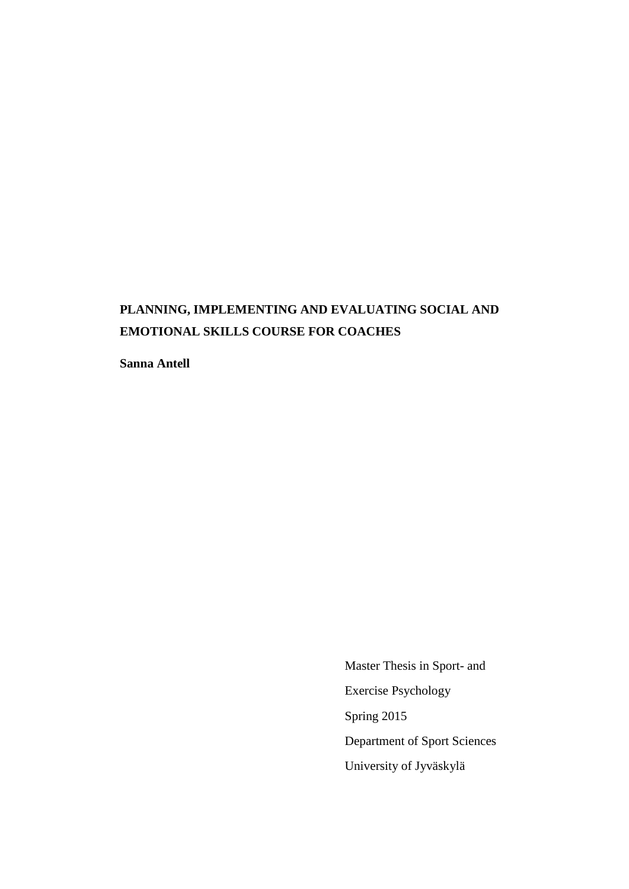# **PLANNING, IMPLEMENTING AND EVALUATING SOCIAL AND EMOTIONAL SKILLS COURSE FOR COACHES**

**Sanna Antell**

 Master Thesis in Sport- and Exercise Psychology Spring 2015 Department of Sport Sciences University of Jyväskylä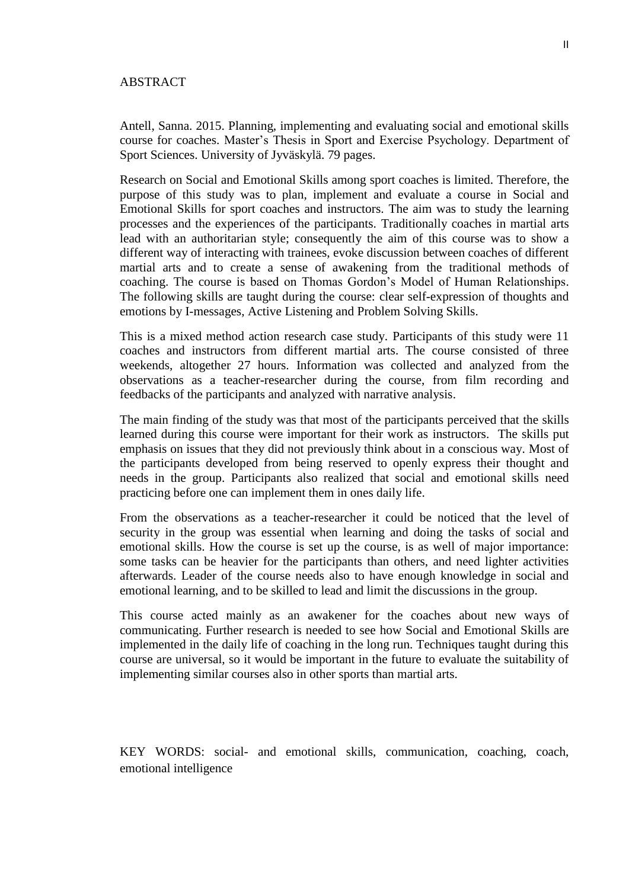## ABSTRACT

Antell, Sanna. 2015. Planning, implementing and evaluating social and emotional skills course for coaches. Master's Thesis in Sport and Exercise Psychology. Department of Sport Sciences. University of Jyväskylä. 79 pages.

Research on Social and Emotional Skills among sport coaches is limited. Therefore, the purpose of this study was to plan, implement and evaluate a course in Social and Emotional Skills for sport coaches and instructors. The aim was to study the learning processes and the experiences of the participants. Traditionally coaches in martial arts lead with an authoritarian style; consequently the aim of this course was to show a different way of interacting with trainees, evoke discussion between coaches of different martial arts and to create a sense of awakening from the traditional methods of coaching. The course is based on Thomas Gordon's Model of Human Relationships. The following skills are taught during the course: clear self-expression of thoughts and emotions by I-messages, Active Listening and Problem Solving Skills.

This is a mixed method action research case study. Participants of this study were 11 coaches and instructors from different martial arts. The course consisted of three weekends, altogether 27 hours. Information was collected and analyzed from the observations as a teacher-researcher during the course, from film recording and feedbacks of the participants and analyzed with narrative analysis.

The main finding of the study was that most of the participants perceived that the skills learned during this course were important for their work as instructors. The skills put emphasis on issues that they did not previously think about in a conscious way. Most of the participants developed from being reserved to openly express their thought and needs in the group. Participants also realized that social and emotional skills need practicing before one can implement them in ones daily life.

From the observations as a teacher-researcher it could be noticed that the level of security in the group was essential when learning and doing the tasks of social and emotional skills. How the course is set up the course, is as well of major importance: some tasks can be heavier for the participants than others, and need lighter activities afterwards. Leader of the course needs also to have enough knowledge in social and emotional learning, and to be skilled to lead and limit the discussions in the group.

This course acted mainly as an awakener for the coaches about new ways of communicating. Further research is needed to see how Social and Emotional Skills are implemented in the daily life of coaching in the long run. Techniques taught during this course are universal, so it would be important in the future to evaluate the suitability of implementing similar courses also in other sports than martial arts.

KEY WORDS: social- and emotional skills, communication, coaching, coach, emotional intelligence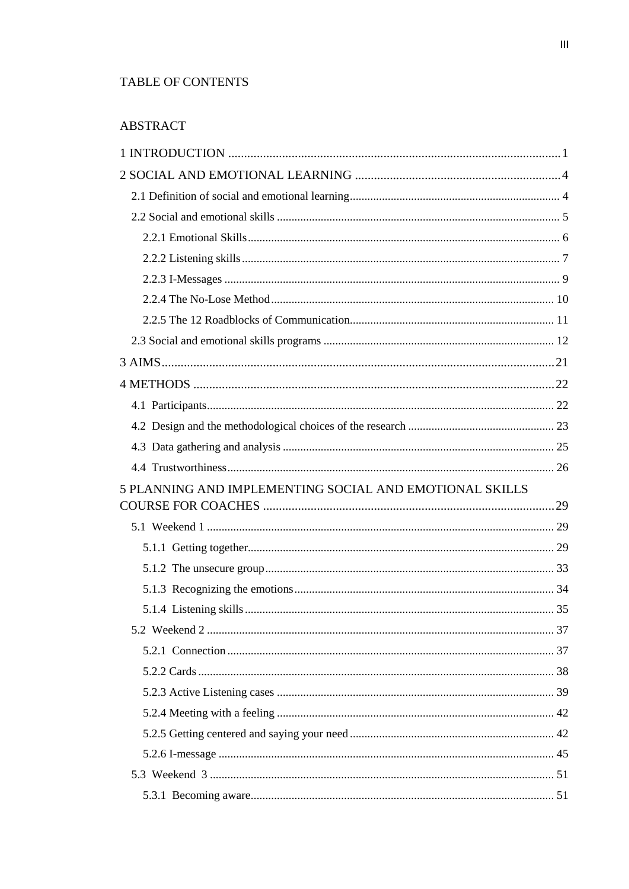## TABLE OF CONTENTS

# **ABSTRACT**

| 5 PLANNING AND IMPLEMENTING SOCIAL AND EMOTIONAL SKILLS |  |
|---------------------------------------------------------|--|
|                                                         |  |
|                                                         |  |
|                                                         |  |
|                                                         |  |
|                                                         |  |
|                                                         |  |
|                                                         |  |
|                                                         |  |
|                                                         |  |
|                                                         |  |
|                                                         |  |
|                                                         |  |
|                                                         |  |
|                                                         |  |
|                                                         |  |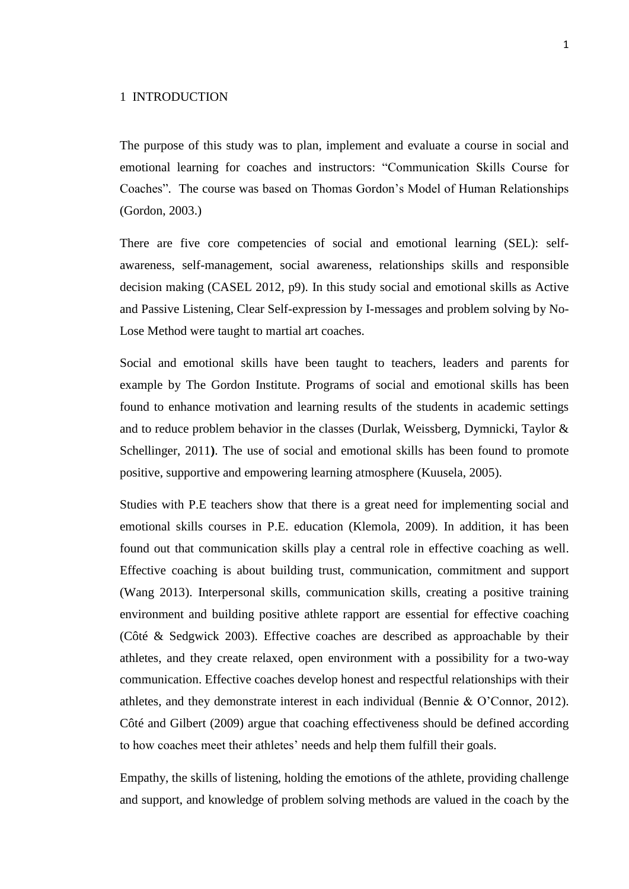### <span id="page-4-0"></span>1 INTRODUCTION

The purpose of this study was to plan, implement and evaluate a course in social and emotional learning for coaches and instructors: "Communication Skills Course for Coaches". The course was based on Thomas Gordon's Model of Human Relationships (Gordon, 2003.)

There are five core competencies of social and emotional learning (SEL): selfawareness, self-management, social awareness, relationships skills and responsible decision making (CASEL 2012, p9). In this study social and emotional skills as Active and Passive Listening, Clear Self-expression by I-messages and problem solving by No-Lose Method were taught to martial art coaches.

Social and emotional skills have been taught to teachers, leaders and parents for example by The Gordon Institute. Programs of social and emotional skills has been found to enhance motivation and learning results of the students in academic settings and to reduce problem behavior in the classes (Durlak, Weissberg, Dymnicki, Taylor & Schellinger, 2011**)**. The use of social and emotional skills has been found to promote positive, supportive and empowering learning atmosphere (Kuusela, 2005).

Studies with P.E teachers show that there is a great need for implementing social and emotional skills courses in P.E. education (Klemola, 2009). In addition, it has been found out that communication skills play a central role in effective coaching as well. Effective coaching is about building trust, communication, commitment and support (Wang 2013). Interpersonal skills, communication skills, creating a positive training environment and building positive athlete rapport are essential for effective coaching (Côté & Sedgwick 2003). Effective coaches are described as approachable by their athletes, and they create relaxed, open environment with a possibility for a two-way communication. Effective coaches develop honest and respectful relationships with their athletes, and they demonstrate interest in each individual (Bennie & O'Connor, 2012). Côté and Gilbert (2009) argue that coaching effectiveness should be defined according to how coaches meet their athletes' needs and help them fulfill their goals.

Empathy, the skills of listening, holding the emotions of the athlete, providing challenge and support, and knowledge of problem solving methods are valued in the coach by the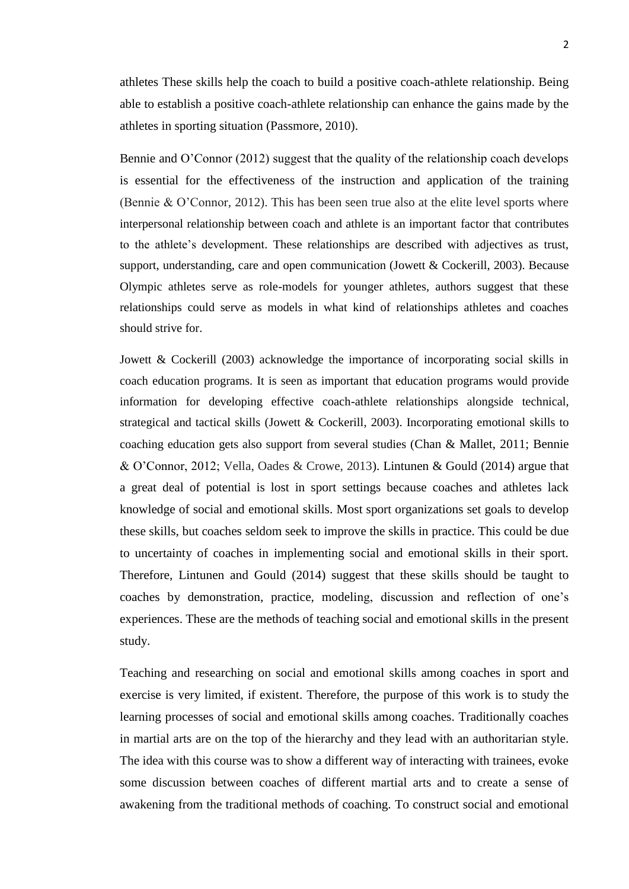athletes These skills help the coach to build a positive coach-athlete relationship. Being able to establish a positive coach-athlete relationship can enhance the gains made by the athletes in sporting situation (Passmore, 2010).

Bennie and O'Connor (2012) suggest that the quality of the relationship coach develops is essential for the effectiveness of the instruction and application of the training (Bennie & O'Connor, 2012). This has been seen true also at the elite level sports where interpersonal relationship between coach and athlete is an important factor that contributes to the athlete's development. These relationships are described with adjectives as trust, support, understanding, care and open communication (Jowett & Cockerill, 2003). Because Olympic athletes serve as role-models for younger athletes, authors suggest that these relationships could serve as models in what kind of relationships athletes and coaches should strive for.

Jowett & Cockerill (2003) acknowledge the importance of incorporating social skills in coach education programs. It is seen as important that education programs would provide information for developing effective coach-athlete relationships alongside technical, strategical and tactical skills (Jowett & Cockerill, 2003). Incorporating emotional skills to coaching education gets also support from several studies (Chan & Mallet, 2011; Bennie & O'Connor, 2012; Vella, Oades & Crowe, 2013). Lintunen & Gould (2014) argue that a great deal of potential is lost in sport settings because coaches and athletes lack knowledge of social and emotional skills. Most sport organizations set goals to develop these skills, but coaches seldom seek to improve the skills in practice. This could be due to uncertainty of coaches in implementing social and emotional skills in their sport. Therefore, Lintunen and Gould (2014) suggest that these skills should be taught to coaches by demonstration, practice, modeling, discussion and reflection of one's experiences. These are the methods of teaching social and emotional skills in the present study.

Teaching and researching on social and emotional skills among coaches in sport and exercise is very limited, if existent. Therefore, the purpose of this work is to study the learning processes of social and emotional skills among coaches. Traditionally coaches in martial arts are on the top of the hierarchy and they lead with an authoritarian style. The idea with this course was to show a different way of interacting with trainees, evoke some discussion between coaches of different martial arts and to create a sense of awakening from the traditional methods of coaching. To construct social and emotional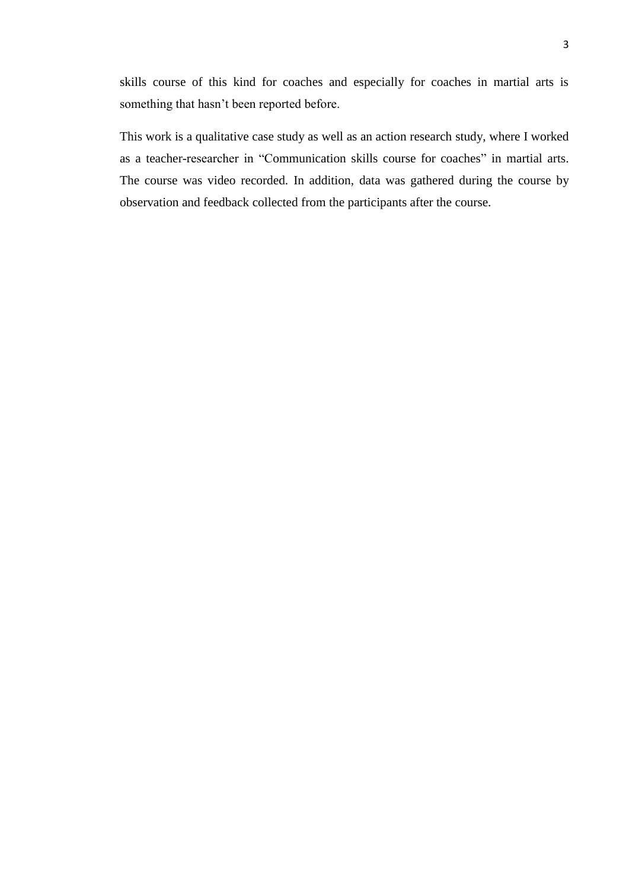skills course of this kind for coaches and especially for coaches in martial arts is something that hasn't been reported before.

This work is a qualitative case study as well as an action research study, where I worked as a teacher-researcher in "Communication skills course for coaches" in martial arts. The course was video recorded. In addition, data was gathered during the course by observation and feedback collected from the participants after the course.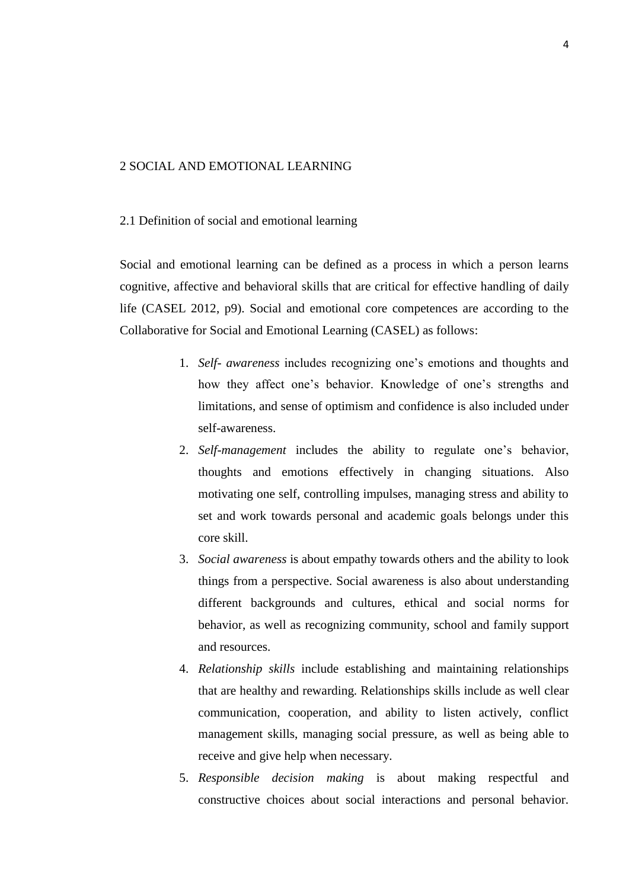#### <span id="page-7-0"></span>2 SOCIAL AND EMOTIONAL LEARNING

#### <span id="page-7-1"></span>2.1 Definition of social and emotional learning

Social and emotional learning can be defined as a process in which a person learns cognitive, affective and behavioral skills that are critical for effective handling of daily life (CASEL 2012, p9). Social and emotional core competences are according to the Collaborative for Social and Emotional Learning (CASEL) as follows:

- 1. *Self- awareness* includes recognizing one's emotions and thoughts and how they affect one's behavior. Knowledge of one's strengths and limitations, and sense of optimism and confidence is also included under self-awareness.
- 2. *Self-management* includes the ability to regulate one's behavior, thoughts and emotions effectively in changing situations. Also motivating one self, controlling impulses, managing stress and ability to set and work towards personal and academic goals belongs under this core skill.
- 3. *Social awareness* is about empathy towards others and the ability to look things from a perspective. Social awareness is also about understanding different backgrounds and cultures, ethical and social norms for behavior, as well as recognizing community, school and family support and resources.
- 4. *Relationship skills* include establishing and maintaining relationships that are healthy and rewarding. Relationships skills include as well clear communication, cooperation, and ability to listen actively, conflict management skills, managing social pressure, as well as being able to receive and give help when necessary.
- 5. *Responsible decision making* is about making respectful and constructive choices about social interactions and personal behavior.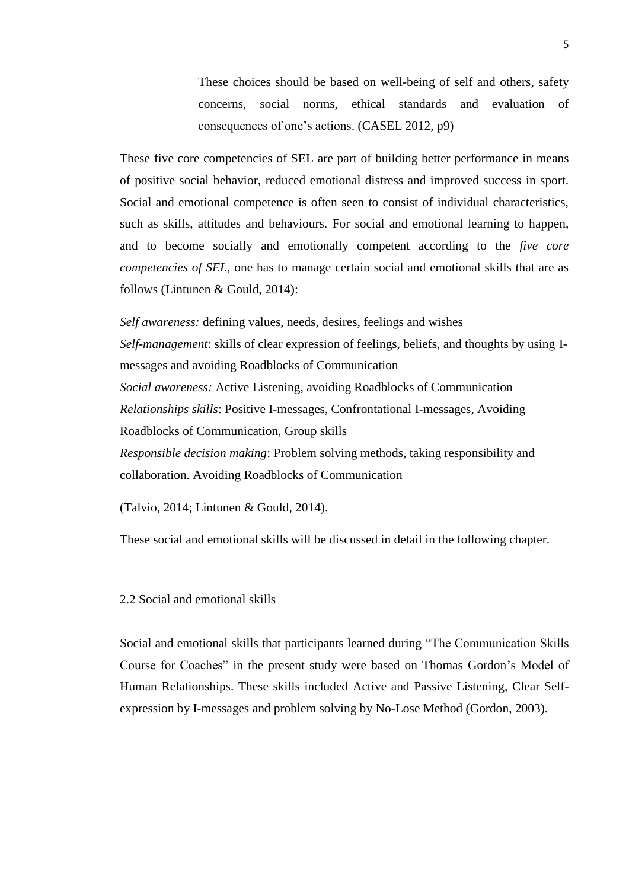These choices should be based on well-being of self and others, safety concerns, social norms, ethical standards and evaluation of consequences of one's actions. (CASEL 2012, p9)

These five core competencies of SEL are part of building better performance in means of positive social behavior, reduced emotional distress and improved success in sport. Social and emotional competence is often seen to consist of individual characteristics, such as skills, attitudes and behaviours. For social and emotional learning to happen, and to become socially and emotionally competent according to the *five core competencies of SEL*, one has to manage certain social and emotional skills that are as follows (Lintunen & Gould, 2014):

*Self awareness:* defining values, needs, desires, feelings and wishes *Self-management*: skills of clear expression of feelings, beliefs, and thoughts by using Imessages and avoiding Roadblocks of Communication *Social awareness:* Active Listening, avoiding Roadblocks of Communication *Relationships skills*: Positive I-messages, Confrontational I-messages, Avoiding Roadblocks of Communication, Group skills *Responsible decision making*: Problem solving methods, taking responsibility and collaboration. Avoiding Roadblocks of Communication

(Talvio, 2014; Lintunen & Gould, 2014).

These social and emotional skills will be discussed in detail in the following chapter.

<span id="page-8-0"></span>2.2 Social and emotional skills

Social and emotional skills that participants learned during "The Communication Skills Course for Coaches" in the present study were based on Thomas Gordon's Model of Human Relationships. These skills included Active and Passive Listening, Clear Selfexpression by I-messages and problem solving by No-Lose Method (Gordon, 2003).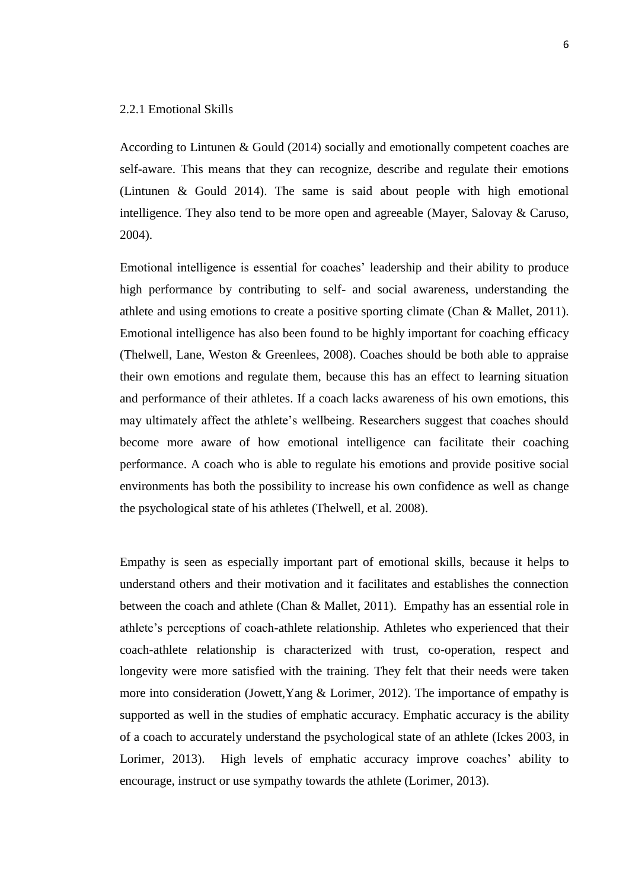## <span id="page-9-0"></span>2.2.1 Emotional Skills

According to Lintunen & Gould (2014) socially and emotionally competent coaches are self-aware. This means that they can recognize, describe and regulate their emotions (Lintunen & Gould 2014). The same is said about people with high emotional intelligence. They also tend to be more open and agreeable (Mayer, Salovay & Caruso, 2004).

Emotional intelligence is essential for coaches' leadership and their ability to produce high performance by contributing to self- and social awareness, understanding the athlete and using emotions to create a positive sporting climate (Chan & Mallet, 2011). Emotional intelligence has also been found to be highly important for coaching efficacy (Thelwell, Lane, Weston & Greenlees, 2008). Coaches should be both able to appraise their own emotions and regulate them, because this has an effect to learning situation and performance of their athletes. If a coach lacks awareness of his own emotions, this may ultimately affect the athlete's wellbeing. Researchers suggest that coaches should become more aware of how emotional intelligence can facilitate their coaching performance. A coach who is able to regulate his emotions and provide positive social environments has both the possibility to increase his own confidence as well as change the psychological state of his athletes (Thelwell, et al. 2008).

Empathy is seen as especially important part of emotional skills, because it helps to understand others and their motivation and it facilitates and establishes the connection between the coach and athlete (Chan & Mallet, 2011). Empathy has an essential role in athlete's perceptions of coach-athlete relationship. Athletes who experienced that their coach-athlete relationship is characterized with trust, co-operation, respect and longevity were more satisfied with the training. They felt that their needs were taken more into consideration (Jowett,Yang & Lorimer, 2012). The importance of empathy is supported as well in the studies of emphatic accuracy. Emphatic accuracy is the ability of a coach to accurately understand the psychological state of an athlete (Ickes 2003, in Lorimer, 2013). High levels of emphatic accuracy improve coaches' ability to encourage, instruct or use sympathy towards the athlete (Lorimer, 2013).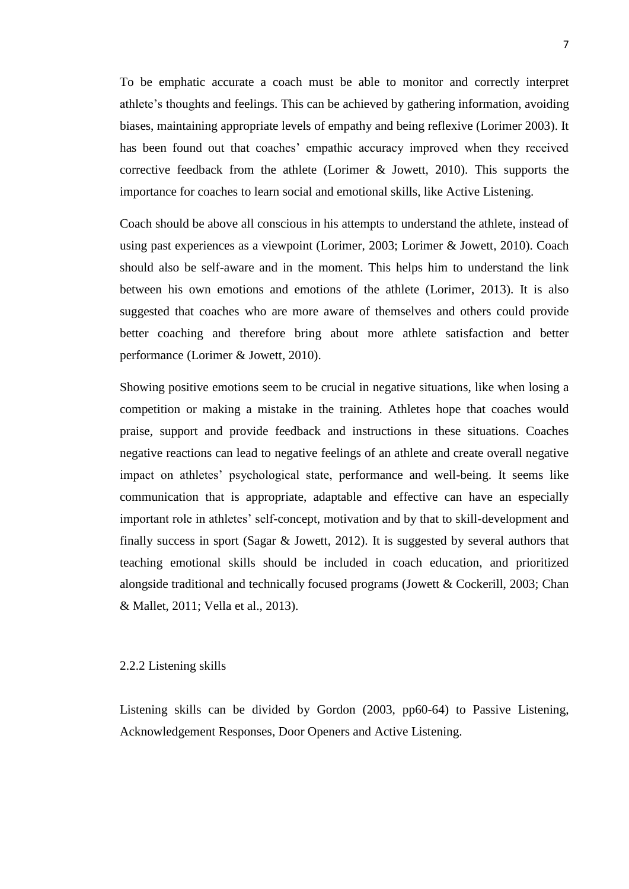To be emphatic accurate a coach must be able to monitor and correctly interpret athlete's thoughts and feelings. This can be achieved by gathering information, avoiding biases, maintaining appropriate levels of empathy and being reflexive (Lorimer 2003). It has been found out that coaches' empathic accuracy improved when they received corrective feedback from the athlete (Lorimer & Jowett, 2010). This supports the importance for coaches to learn social and emotional skills, like Active Listening.

Coach should be above all conscious in his attempts to understand the athlete, instead of using past experiences as a viewpoint (Lorimer, 2003; Lorimer & Jowett, 2010). Coach should also be self-aware and in the moment. This helps him to understand the link between his own emotions and emotions of the athlete (Lorimer, 2013). It is also suggested that coaches who are more aware of themselves and others could provide better coaching and therefore bring about more athlete satisfaction and better performance (Lorimer & Jowett, 2010).

Showing positive emotions seem to be crucial in negative situations, like when losing a competition or making a mistake in the training. Athletes hope that coaches would praise, support and provide feedback and instructions in these situations. Coaches negative reactions can lead to negative feelings of an athlete and create overall negative impact on athletes' psychological state, performance and well-being. It seems like communication that is appropriate, adaptable and effective can have an especially important role in athletes' self-concept, motivation and by that to skill-development and finally success in sport (Sagar & Jowett, 2012). It is suggested by several authors that teaching emotional skills should be included in coach education, and prioritized alongside traditional and technically focused programs (Jowett & Cockerill, 2003; Chan & Mallet, 2011; Vella et al., 2013).

## <span id="page-10-0"></span>2.2.2 Listening skills

Listening skills can be divided by Gordon (2003, pp60-64) to Passive Listening, Acknowledgement Responses, Door Openers and Active Listening.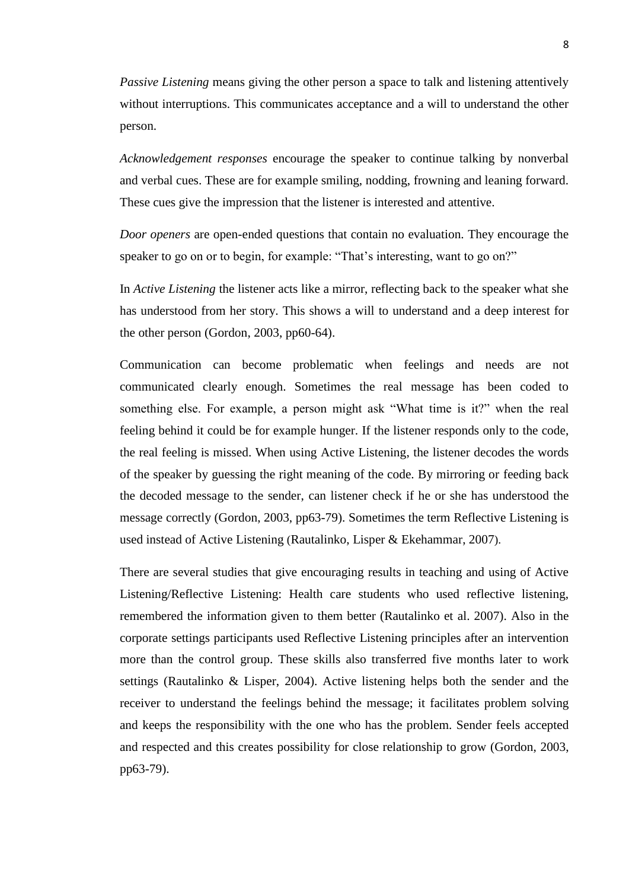*Passive Listening* means giving the other person a space to talk and listening attentively without interruptions. This communicates acceptance and a will to understand the other person.

*Acknowledgement responses* encourage the speaker to continue talking by nonverbal and verbal cues. These are for example smiling, nodding, frowning and leaning forward. These cues give the impression that the listener is interested and attentive.

*Door openers* are open-ended questions that contain no evaluation. They encourage the speaker to go on or to begin, for example: "That's interesting, want to go on?"

In *Active Listening* the listener acts like a mirror, reflecting back to the speaker what she has understood from her story. This shows a will to understand and a deep interest for the other person (Gordon, 2003, pp60-64).

Communication can become problematic when feelings and needs are not communicated clearly enough. Sometimes the real message has been coded to something else. For example, a person might ask "What time is it?" when the real feeling behind it could be for example hunger. If the listener responds only to the code, the real feeling is missed. When using Active Listening, the listener decodes the words of the speaker by guessing the right meaning of the code. By mirroring or feeding back the decoded message to the sender, can listener check if he or she has understood the message correctly (Gordon, 2003, pp63-79). Sometimes the term Reflective Listening is used instead of Active Listening (Rautalinko, Lisper & Ekehammar, 2007).

There are several studies that give encouraging results in teaching and using of Active Listening/Reflective Listening: Health care students who used reflective listening, remembered the information given to them better (Rautalinko et al. 2007). Also in the corporate settings participants used Reflective Listening principles after an intervention more than the control group. These skills also transferred five months later to work settings (Rautalinko & Lisper, 2004). Active listening helps both the sender and the receiver to understand the feelings behind the message; it facilitates problem solving and keeps the responsibility with the one who has the problem. Sender feels accepted and respected and this creates possibility for close relationship to grow (Gordon, 2003, pp63-79).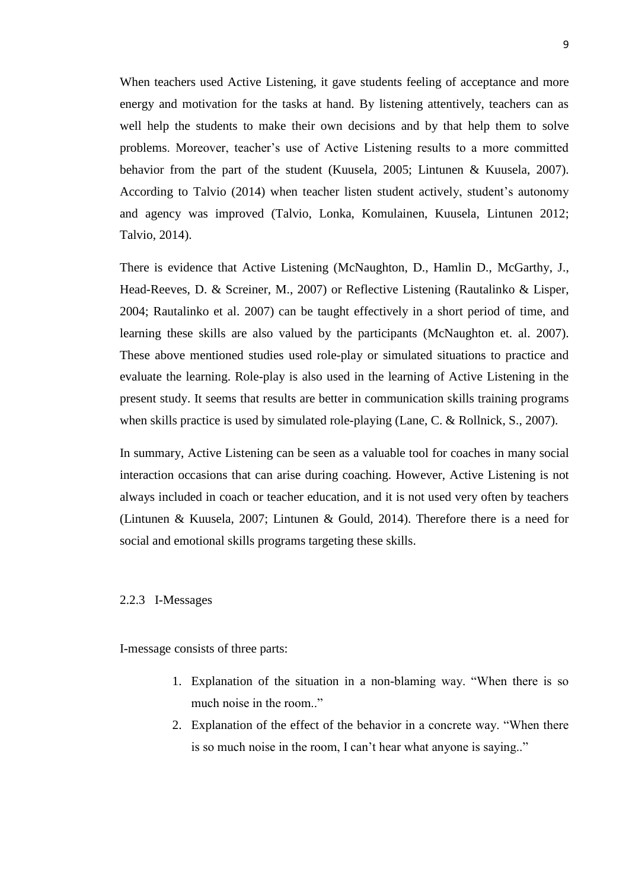When teachers used Active Listening, it gave students feeling of acceptance and more energy and motivation for the tasks at hand. By listening attentively, teachers can as well help the students to make their own decisions and by that help them to solve problems. Moreover, teacher's use of Active Listening results to a more committed behavior from the part of the student (Kuusela, 2005; Lintunen & Kuusela, 2007). According to Talvio (2014) when teacher listen student actively, student's autonomy and agency was improved (Talvio, Lonka, Komulainen, Kuusela, Lintunen 2012; Talvio, 2014).

There is evidence that Active Listening (McNaughton, D., Hamlin D., McGarthy, J., Head-Reeves, D. & Screiner, M., 2007) or Reflective Listening (Rautalinko & Lisper, 2004; Rautalinko et al. 2007) can be taught effectively in a short period of time, and learning these skills are also valued by the participants (McNaughton et. al. 2007). These above mentioned studies used role-play or simulated situations to practice and evaluate the learning. Role-play is also used in the learning of Active Listening in the present study. It seems that results are better in communication skills training programs when skills practice is used by simulated role-playing (Lane, C. & Rollnick, S., 2007).

In summary, Active Listening can be seen as a valuable tool for coaches in many social interaction occasions that can arise during coaching. However, Active Listening is not always included in coach or teacher education, and it is not used very often by teachers (Lintunen & Kuusela, 2007; Lintunen & Gould, 2014). Therefore there is a need for social and emotional skills programs targeting these skills.

## <span id="page-12-0"></span>2.2.3 I-Messages

I-message consists of three parts:

- 1. Explanation of the situation in a non-blaming way. "When there is so much noise in the room."
- 2. Explanation of the effect of the behavior in a concrete way. "When there is so much noise in the room, I can't hear what anyone is saying.."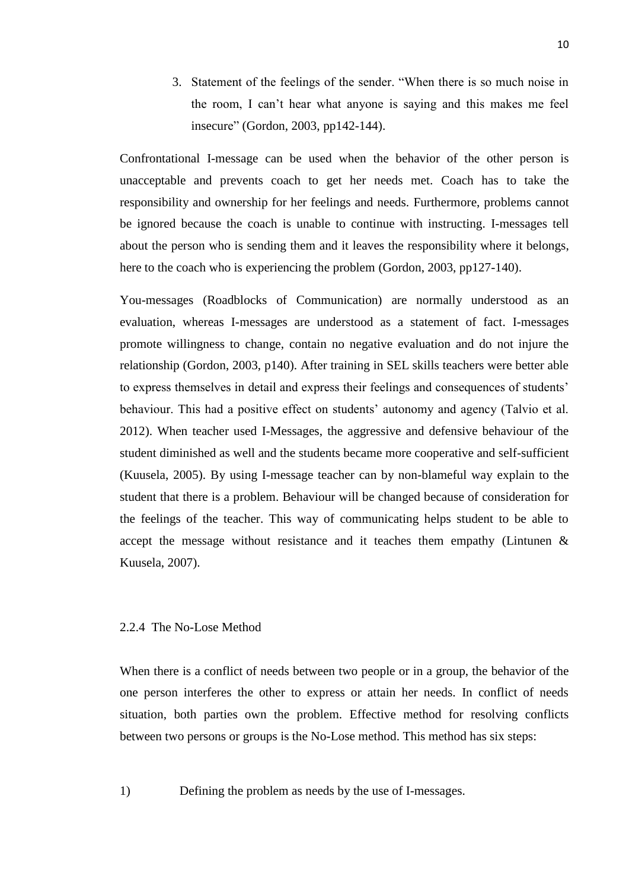3. Statement of the feelings of the sender. "When there is so much noise in the room, I can't hear what anyone is saying and this makes me feel insecure" (Gordon, 2003, pp142-144).

Confrontational I-message can be used when the behavior of the other person is unacceptable and prevents coach to get her needs met. Coach has to take the responsibility and ownership for her feelings and needs. Furthermore, problems cannot be ignored because the coach is unable to continue with instructing. I-messages tell about the person who is sending them and it leaves the responsibility where it belongs, here to the coach who is experiencing the problem (Gordon, 2003, pp127-140).

You-messages (Roadblocks of Communication) are normally understood as an evaluation, whereas I-messages are understood as a statement of fact. I-messages promote willingness to change, contain no negative evaluation and do not injure the relationship (Gordon, 2003, p140). After training in SEL skills teachers were better able to express themselves in detail and express their feelings and consequences of students' behaviour. This had a positive effect on students' autonomy and agency (Talvio et al. 2012). When teacher used I-Messages, the aggressive and defensive behaviour of the student diminished as well and the students became more cooperative and self-sufficient (Kuusela, 2005). By using I-message teacher can by non-blameful way explain to the student that there is a problem. Behaviour will be changed because of consideration for the feelings of the teacher. This way of communicating helps student to be able to accept the message without resistance and it teaches them empathy (Lintunen & Kuusela, 2007).

## <span id="page-13-0"></span>2.2.4 The No-Lose Method

When there is a conflict of needs between two people or in a group, the behavior of the one person interferes the other to express or attain her needs. In conflict of needs situation, both parties own the problem. Effective method for resolving conflicts between two persons or groups is the No-Lose method. This method has six steps:

1) Defining the problem as needs by the use of I-messages.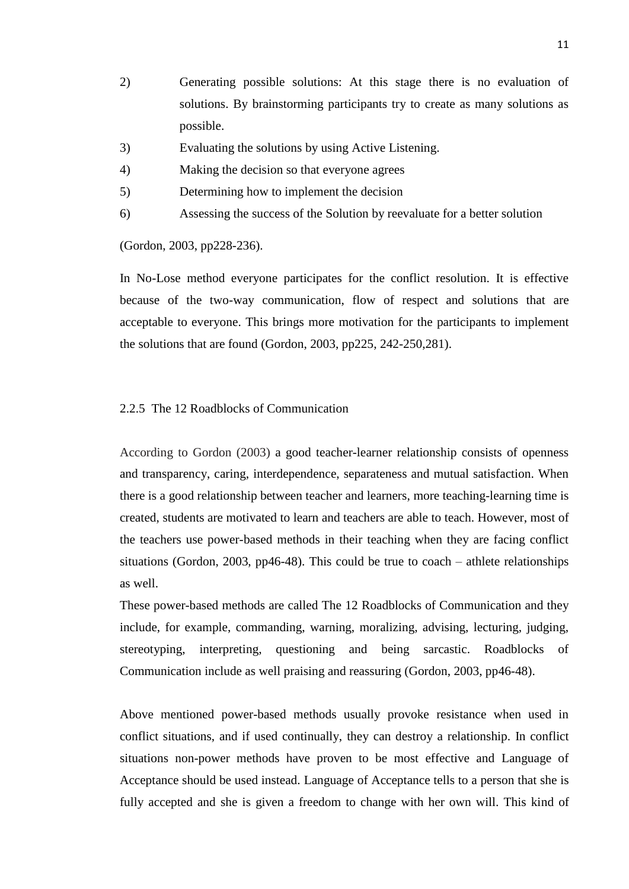- 2) Generating possible solutions: At this stage there is no evaluation of solutions. By brainstorming participants try to create as many solutions as possible.
- 3) Evaluating the solutions by using Active Listening.
- 4) Making the decision so that everyone agrees
- 5) Determining how to implement the decision
- 6) Assessing the success of the Solution by reevaluate for a better solution

(Gordon, 2003, pp228-236).

In No-Lose method everyone participates for the conflict resolution. It is effective because of the two-way communication, flow of respect and solutions that are acceptable to everyone. This brings more motivation for the participants to implement the solutions that are found (Gordon, 2003, pp225, 242-250,281).

## <span id="page-14-0"></span>2.2.5 The 12 Roadblocks of Communication

According to Gordon (2003) a good teacher-learner relationship consists of openness and transparency, caring, interdependence, separateness and mutual satisfaction. When there is a good relationship between teacher and learners, more teaching-learning time is created, students are motivated to learn and teachers are able to teach. However, most of the teachers use power-based methods in their teaching when they are facing conflict situations (Gordon, 2003, pp46-48). This could be true to coach – athlete relationships as well.

These power-based methods are called The 12 Roadblocks of Communication and they include, for example, commanding, warning, moralizing, advising, lecturing, judging, stereotyping, interpreting, questioning and being sarcastic. Roadblocks of Communication include as well praising and reassuring (Gordon, 2003, pp46-48).

Above mentioned power-based methods usually provoke resistance when used in conflict situations, and if used continually, they can destroy a relationship. In conflict situations non-power methods have proven to be most effective and Language of Acceptance should be used instead. Language of Acceptance tells to a person that she is fully accepted and she is given a freedom to change with her own will. This kind of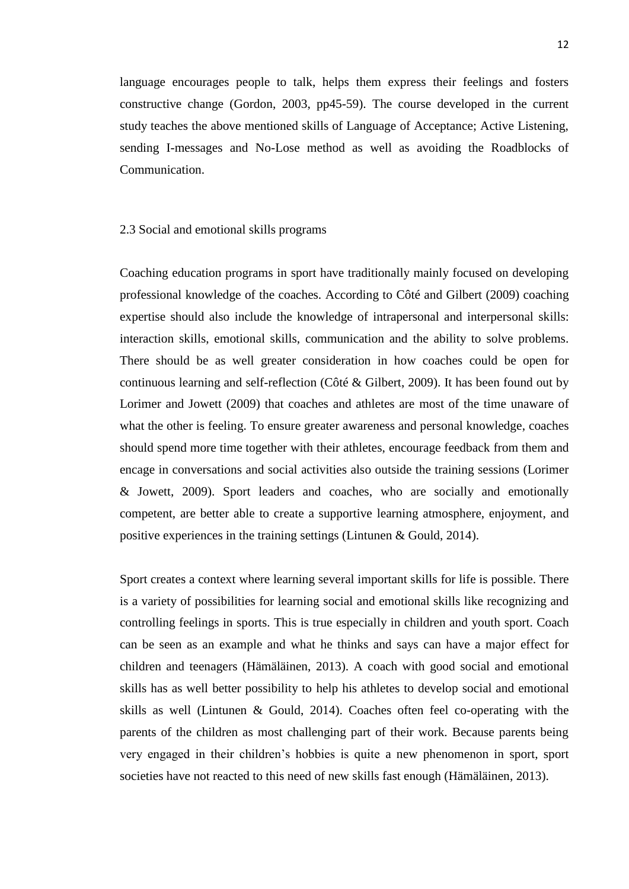language encourages people to talk, helps them express their feelings and fosters constructive change (Gordon, 2003, pp45-59). The course developed in the current study teaches the above mentioned skills of Language of Acceptance; Active Listening, sending I-messages and No-Lose method as well as avoiding the Roadblocks of Communication.

#### <span id="page-15-0"></span>2.3 Social and emotional skills programs

Coaching education programs in sport have traditionally mainly focused on developing professional knowledge of the coaches. According to Côté and Gilbert (2009) coaching expertise should also include the knowledge of intrapersonal and interpersonal skills: interaction skills, emotional skills, communication and the ability to solve problems. There should be as well greater consideration in how coaches could be open for continuous learning and self-reflection (Côté & Gilbert, 2009). It has been found out by Lorimer and Jowett (2009) that coaches and athletes are most of the time unaware of what the other is feeling. To ensure greater awareness and personal knowledge, coaches should spend more time together with their athletes, encourage feedback from them and encage in conversations and social activities also outside the training sessions (Lorimer & Jowett, 2009). Sport leaders and coaches, who are socially and emotionally competent, are better able to create a supportive learning atmosphere, enjoyment, and positive experiences in the training settings (Lintunen & Gould, 2014).

Sport creates a context where learning several important skills for life is possible. There is a variety of possibilities for learning social and emotional skills like recognizing and controlling feelings in sports. This is true especially in children and youth sport. Coach can be seen as an example and what he thinks and says can have a major effect for children and teenagers (Hämäläinen, 2013). A coach with good social and emotional skills has as well better possibility to help his athletes to develop social and emotional skills as well (Lintunen & Gould, 2014). Coaches often feel co-operating with the parents of the children as most challenging part of their work. Because parents being very engaged in their children's hobbies is quite a new phenomenon in sport, sport societies have not reacted to this need of new skills fast enough (Hämäläinen, 2013).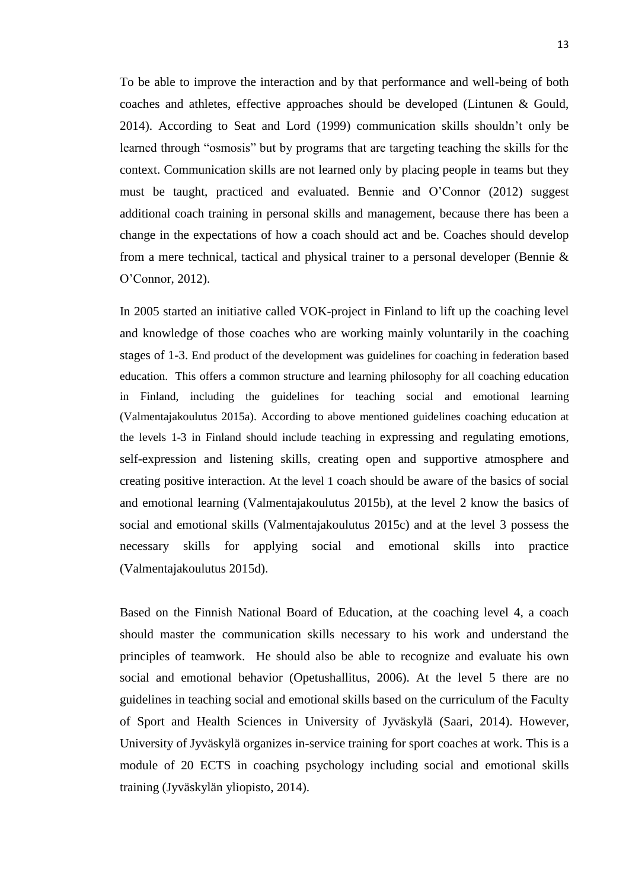To be able to improve the interaction and by that performance and well-being of both coaches and athletes, effective approaches should be developed (Lintunen & Gould, 2014). According to Seat and Lord (1999) communication skills shouldn't only be learned through "osmosis" but by programs that are targeting teaching the skills for the context. Communication skills are not learned only by placing people in teams but they must be taught, practiced and evaluated. Bennie and O'Connor (2012) suggest additional coach training in personal skills and management, because there has been a change in the expectations of how a coach should act and be. Coaches should develop from a mere technical, tactical and physical trainer to a personal developer (Bennie  $\&$ O'Connor, 2012).

In 2005 started an initiative called VOK-project in Finland to lift up the coaching level and knowledge of those coaches who are working mainly voluntarily in the coaching stages of 1-3. End product of the development was guidelines for coaching in federation based education. This offers a common structure and learning philosophy for all coaching education in Finland, including the guidelines for teaching social and emotional learning (Valmentajakoulutus 2015a). According to above mentioned guidelines coaching education at the levels 1-3 in Finland should include teaching in expressing and regulating emotions, self-expression and listening skills, creating open and supportive atmosphere and creating positive interaction. At the level 1 coach should be aware of the basics of social and emotional learning (Valmentajakoulutus 2015b), at the level 2 know the basics of social and emotional skills (Valmentajakoulutus 2015c) and at the level 3 possess the necessary skills for applying social and emotional skills into practice (Valmentajakoulutus 2015d).

Based on the Finnish National Board of Education, at the coaching level 4, a coach should master the communication skills necessary to his work and understand the principles of teamwork. He should also be able to recognize and evaluate his own social and emotional behavior (Opetushallitus, 2006). At the level 5 there are no guidelines in teaching social and emotional skills based on the curriculum of the Faculty of Sport and Health Sciences in University of Jyväskylä (Saari, 2014). However, University of Jyväskylä organizes in-service training for sport coaches at work. This is a module of 20 ECTS in coaching psychology including social and emotional skills training (Jyväskylän yliopisto, 2014).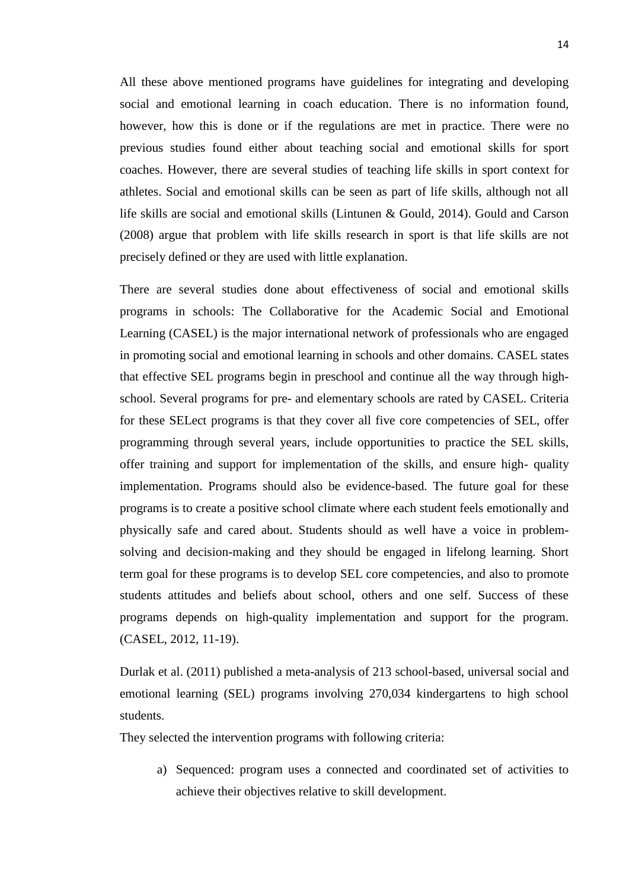All these above mentioned programs have guidelines for integrating and developing social and emotional learning in coach education. There is no information found, however, how this is done or if the regulations are met in practice. There were no previous studies found either about teaching social and emotional skills for sport coaches. However, there are several studies of teaching life skills in sport context for athletes. Social and emotional skills can be seen as part of life skills, although not all life skills are social and emotional skills (Lintunen & Gould, 2014). Gould and Carson (2008) argue that problem with life skills research in sport is that life skills are not precisely defined or they are used with little explanation.

There are several studies done about effectiveness of social and emotional skills programs in schools: The Collaborative for the Academic Social and Emotional Learning (CASEL) is the major international network of professionals who are engaged in promoting social and emotional learning in schools and other domains. CASEL states that effective SEL programs begin in preschool and continue all the way through highschool. Several programs for pre- and elementary schools are rated by CASEL. Criteria for these SELect programs is that they cover all five core competencies of SEL, offer programming through several years, include opportunities to practice the SEL skills, offer training and support for implementation of the skills, and ensure high- quality implementation. Programs should also be evidence-based. The future goal for these programs is to create a positive school climate where each student feels emotionally and physically safe and cared about. Students should as well have a voice in problemsolving and decision-making and they should be engaged in lifelong learning. Short term goal for these programs is to develop SEL core competencies, and also to promote students attitudes and beliefs about school, others and one self. Success of these programs depends on high-quality implementation and support for the program. (CASEL, 2012, 11-19).

Durlak et al. (2011) published a meta-analysis of 213 school-based, universal social and emotional learning (SEL) programs involving 270,034 kindergartens to high school students.

They selected the intervention programs with following criteria:

a) Sequenced: program uses a connected and coordinated set of activities to achieve their objectives relative to skill development.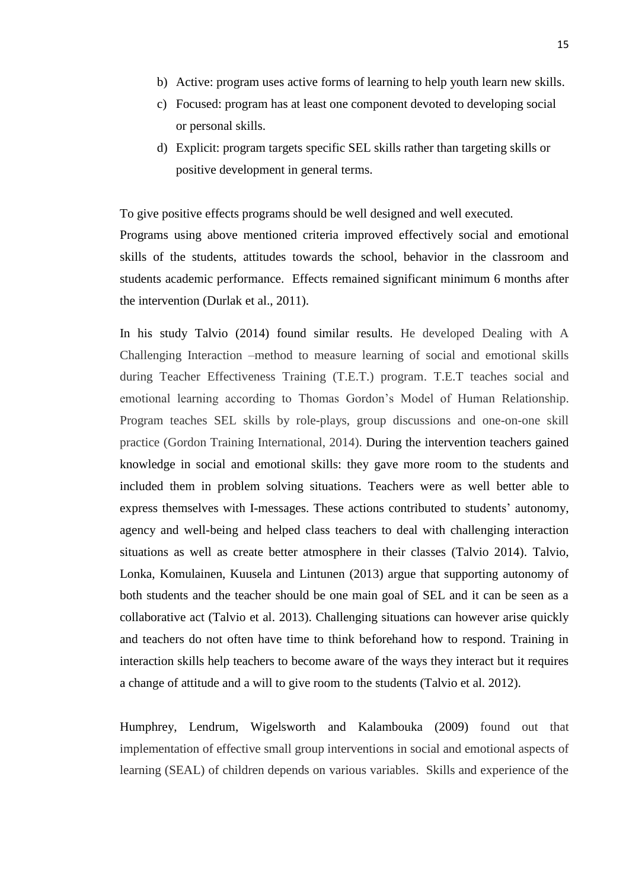- b) Active: program uses active forms of learning to help youth learn new skills.
- c) Focused: program has at least one component devoted to developing social or personal skills.
- d) Explicit: program targets specific SEL skills rather than targeting skills or positive development in general terms.

To give positive effects programs should be well designed and well executed. Programs using above mentioned criteria improved effectively social and emotional skills of the students, attitudes towards the school, behavior in the classroom and students academic performance. Effects remained significant minimum 6 months after the intervention (Durlak et al., 2011).

In his study Talvio (2014) found similar results. He developed Dealing with A Challenging Interaction –method to measure learning of social and emotional skills during Teacher Effectiveness Training (T.E.T.) program. T.E.T teaches social and emotional learning according to Thomas Gordon's Model of Human Relationship. Program teaches SEL skills by role-plays, group discussions and one-on-one skill practice (Gordon Training International, 2014). During the intervention teachers gained knowledge in social and emotional skills: they gave more room to the students and included them in problem solving situations. Teachers were as well better able to express themselves with I-messages. These actions contributed to students' autonomy, agency and well-being and helped class teachers to deal with challenging interaction situations as well as create better atmosphere in their classes (Talvio 2014). Talvio, Lonka, Komulainen, Kuusela and Lintunen (2013) argue that supporting autonomy of both students and the teacher should be one main goal of SEL and it can be seen as a collaborative act (Talvio et al. 2013). Challenging situations can however arise quickly and teachers do not often have time to think beforehand how to respond. Training in interaction skills help teachers to become aware of the ways they interact but it requires a change of attitude and a will to give room to the students (Talvio et al. 2012).

Humphrey, Lendrum, Wigelsworth and Kalambouka (2009) found out that implementation of effective small group interventions in social and emotional aspects of learning (SEAL) of children depends on various variables. Skills and experience of the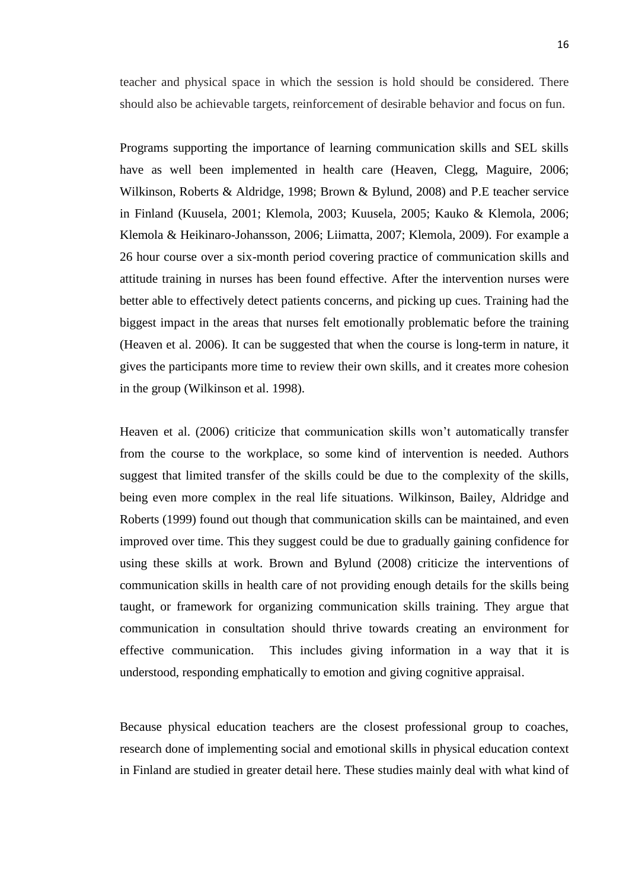teacher and physical space in which the session is hold should be considered. There should also be achievable targets, reinforcement of desirable behavior and focus on fun.

Programs supporting the importance of learning communication skills and SEL skills have as well been implemented in health care (Heaven, Clegg, Maguire, 2006; Wilkinson, Roberts & Aldridge, 1998; Brown & Bylund, 2008) and P.E teacher service in Finland (Kuusela, 2001; Klemola, 2003; Kuusela, 2005; Kauko & Klemola, 2006; Klemola & Heikinaro-Johansson, 2006; Liimatta, 2007; Klemola, 2009). For example a 26 hour course over a six-month period covering practice of communication skills and attitude training in nurses has been found effective. After the intervention nurses were better able to effectively detect patients concerns, and picking up cues. Training had the biggest impact in the areas that nurses felt emotionally problematic before the training (Heaven et al. 2006). It can be suggested that when the course is long-term in nature, it gives the participants more time to review their own skills, and it creates more cohesion in the group (Wilkinson et al. 1998).

Heaven et al. (2006) criticize that communication skills won't automatically transfer from the course to the workplace, so some kind of intervention is needed. Authors suggest that limited transfer of the skills could be due to the complexity of the skills, being even more complex in the real life situations. Wilkinson, Bailey, Aldridge and Roberts (1999) found out though that communication skills can be maintained, and even improved over time. This they suggest could be due to gradually gaining confidence for using these skills at work. Brown and Bylund (2008) criticize the interventions of communication skills in health care of not providing enough details for the skills being taught, or framework for organizing communication skills training. They argue that communication in consultation should thrive towards creating an environment for effective communication. This includes giving information in a way that it is understood, responding emphatically to emotion and giving cognitive appraisal.

Because physical education teachers are the closest professional group to coaches, research done of implementing social and emotional skills in physical education context in Finland are studied in greater detail here. These studies mainly deal with what kind of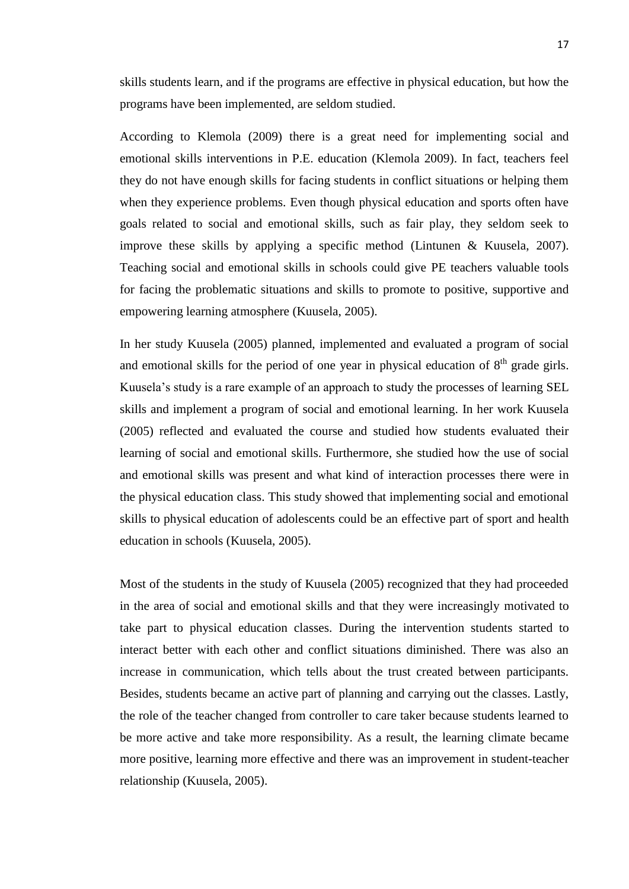skills students learn, and if the programs are effective in physical education, but how the programs have been implemented, are seldom studied.

According to Klemola (2009) there is a great need for implementing social and emotional skills interventions in P.E. education (Klemola 2009). In fact, teachers feel they do not have enough skills for facing students in conflict situations or helping them when they experience problems. Even though physical education and sports often have goals related to social and emotional skills, such as fair play, they seldom seek to improve these skills by applying a specific method (Lintunen & Kuusela, 2007). Teaching social and emotional skills in schools could give PE teachers valuable tools for facing the problematic situations and skills to promote to positive, supportive and empowering learning atmosphere (Kuusela, 2005).

In her study Kuusela (2005) planned, implemented and evaluated a program of social and emotional skills for the period of one year in physical education of  $8<sup>th</sup>$  grade girls. Kuusela's study is a rare example of an approach to study the processes of learning SEL skills and implement a program of social and emotional learning. In her work Kuusela (2005) reflected and evaluated the course and studied how students evaluated their learning of social and emotional skills. Furthermore, she studied how the use of social and emotional skills was present and what kind of interaction processes there were in the physical education class. This study showed that implementing social and emotional skills to physical education of adolescents could be an effective part of sport and health education in schools (Kuusela, 2005).

Most of the students in the study of Kuusela (2005) recognized that they had proceeded in the area of social and emotional skills and that they were increasingly motivated to take part to physical education classes. During the intervention students started to interact better with each other and conflict situations diminished. There was also an increase in communication, which tells about the trust created between participants. Besides, students became an active part of planning and carrying out the classes. Lastly, the role of the teacher changed from controller to care taker because students learned to be more active and take more responsibility. As a result, the learning climate became more positive, learning more effective and there was an improvement in student-teacher relationship (Kuusela, 2005).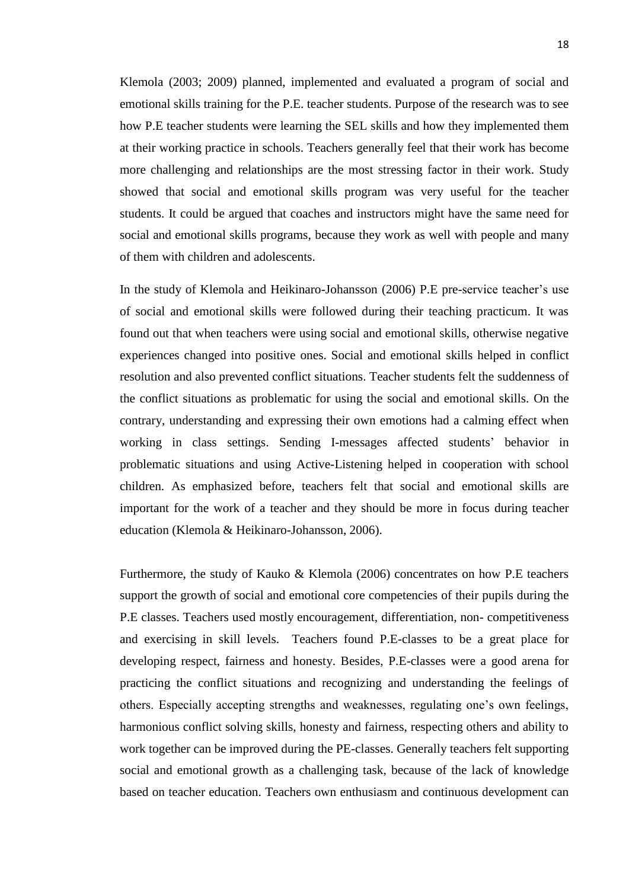Klemola (2003; 2009) planned, implemented and evaluated a program of social and emotional skills training for the P.E. teacher students. Purpose of the research was to see how P.E teacher students were learning the SEL skills and how they implemented them at their working practice in schools. Teachers generally feel that their work has become more challenging and relationships are the most stressing factor in their work. Study showed that social and emotional skills program was very useful for the teacher students. It could be argued that coaches and instructors might have the same need for social and emotional skills programs, because they work as well with people and many of them with children and adolescents.

In the study of Klemola and Heikinaro-Johansson (2006) P.E pre-service teacher's use of social and emotional skills were followed during their teaching practicum. It was found out that when teachers were using social and emotional skills, otherwise negative experiences changed into positive ones. Social and emotional skills helped in conflict resolution and also prevented conflict situations. Teacher students felt the suddenness of the conflict situations as problematic for using the social and emotional skills. On the contrary, understanding and expressing their own emotions had a calming effect when working in class settings. Sending I-messages affected students' behavior in problematic situations and using Active-Listening helped in cooperation with school children. As emphasized before, teachers felt that social and emotional skills are important for the work of a teacher and they should be more in focus during teacher education (Klemola & Heikinaro-Johansson, 2006).

Furthermore, the study of Kauko & Klemola (2006) concentrates on how P.E teachers support the growth of social and emotional core competencies of their pupils during the P.E classes. Teachers used mostly encouragement, differentiation, non- competitiveness and exercising in skill levels. Teachers found P.E-classes to be a great place for developing respect, fairness and honesty. Besides, P.E-classes were a good arena for practicing the conflict situations and recognizing and understanding the feelings of others. Especially accepting strengths and weaknesses, regulating one's own feelings, harmonious conflict solving skills, honesty and fairness, respecting others and ability to work together can be improved during the PE-classes. Generally teachers felt supporting social and emotional growth as a challenging task, because of the lack of knowledge based on teacher education. Teachers own enthusiasm and continuous development can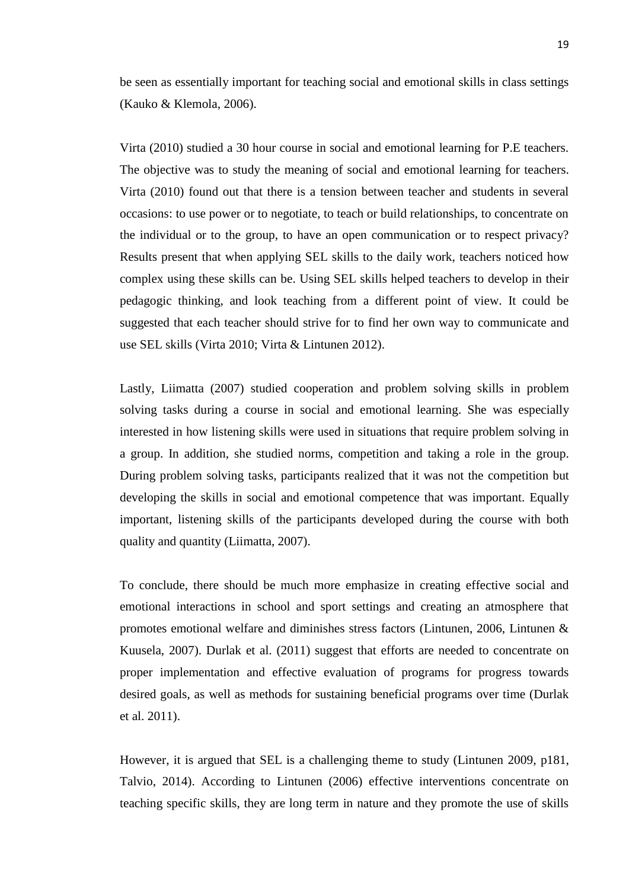be seen as essentially important for teaching social and emotional skills in class settings (Kauko & Klemola, 2006).

Virta (2010) studied a 30 hour course in social and emotional learning for P.E teachers. The objective was to study the meaning of social and emotional learning for teachers. Virta (2010) found out that there is a tension between teacher and students in several occasions: to use power or to negotiate, to teach or build relationships, to concentrate on the individual or to the group, to have an open communication or to respect privacy? Results present that when applying SEL skills to the daily work, teachers noticed how complex using these skills can be. Using SEL skills helped teachers to develop in their pedagogic thinking, and look teaching from a different point of view. It could be suggested that each teacher should strive for to find her own way to communicate and use SEL skills (Virta 2010; Virta & Lintunen 2012).

Lastly, Liimatta (2007) studied cooperation and problem solving skills in problem solving tasks during a course in social and emotional learning. She was especially interested in how listening skills were used in situations that require problem solving in a group. In addition, she studied norms, competition and taking a role in the group. During problem solving tasks, participants realized that it was not the competition but developing the skills in social and emotional competence that was important. Equally important, listening skills of the participants developed during the course with both quality and quantity (Liimatta, 2007).

To conclude, there should be much more emphasize in creating effective social and emotional interactions in school and sport settings and creating an atmosphere that promotes emotional welfare and diminishes stress factors (Lintunen, 2006, Lintunen & Kuusela, 2007). Durlak et al. (2011) suggest that efforts are needed to concentrate on proper implementation and effective evaluation of programs for progress towards desired goals, as well as methods for sustaining beneficial programs over time (Durlak et al. 2011).

However, it is argued that SEL is a challenging theme to study (Lintunen 2009, p181, Talvio, 2014). According to Lintunen (2006) effective interventions concentrate on teaching specific skills, they are long term in nature and they promote the use of skills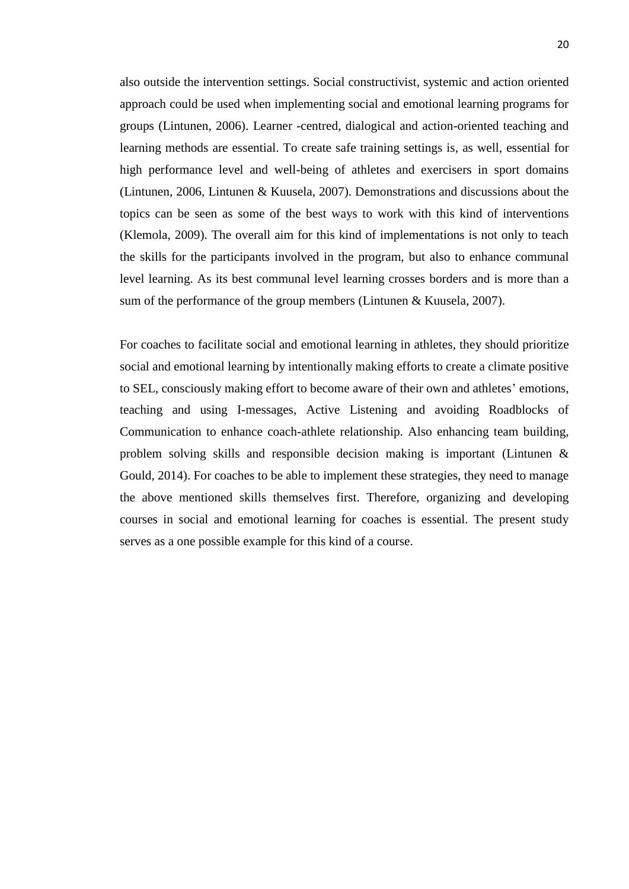also outside the intervention settings. Social constructivist, systemic and action oriented approach could be used when implementing social and emotional learning programs for groups (Lintunen, 2006). Learner -centred, dialogical and action-oriented teaching and learning methods are essential. To create safe training settings is, as well, essential for high performance level and well-being of athletes and exercisers in sport domains (Lintunen, 2006, Lintunen & Kuusela, 2007). Demonstrations and discussions about the topics can be seen as some of the best ways to work with this kind of interventions (Klemola, 2009). The overall aim for this kind of implementations is not only to teach the skills for the participants involved in the program, but also to enhance communal level learning. As its best communal level learning crosses borders and is more than a sum of the performance of the group members (Lintunen & Kuusela, 2007).

For coaches to facilitate social and emotional learning in athletes, they should prioritize social and emotional learning by intentionally making efforts to create a climate positive to SEL, consciously making effort to become aware of their own and athletes' emotions, teaching and using I-messages, Active Listening and avoiding Roadblocks of Communication to enhance coach-athlete relationship. Also enhancing team building, problem solving skills and responsible decision making is important (Lintunen & Gould, 2014). For coaches to be able to implement these strategies, they need to manage the above mentioned skills themselves first. Therefore, organizing and developing courses in social and emotional learning for coaches is essential. The present study serves as a one possible example for this kind of a course.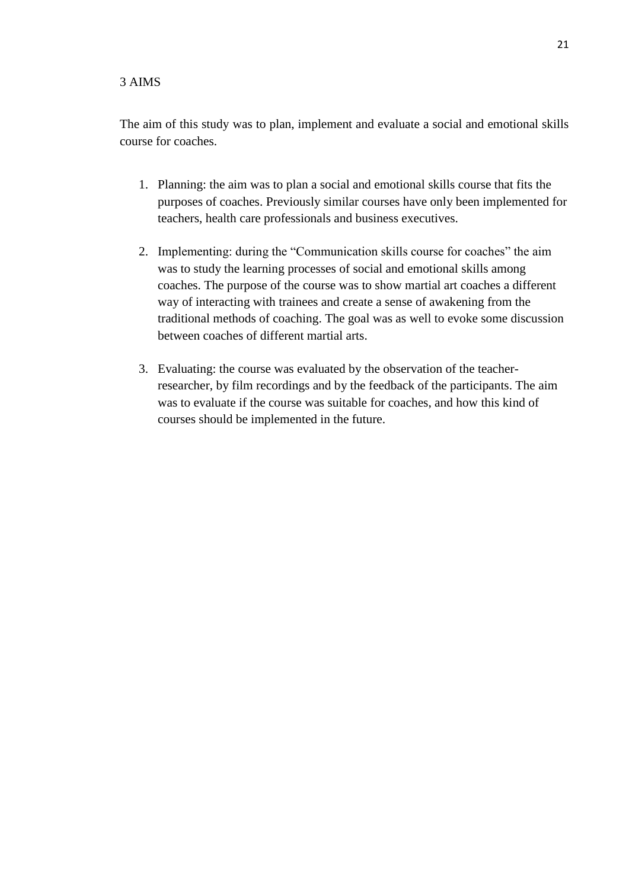## <span id="page-24-0"></span>3 AIMS

The aim of this study was to plan, implement and evaluate a social and emotional skills course for coaches.

- 1. Planning: the aim was to plan a social and emotional skills course that fits the purposes of coaches. Previously similar courses have only been implemented for teachers, health care professionals and business executives.
- 2. Implementing: during the "Communication skills course for coaches" the aim was to study the learning processes of social and emotional skills among coaches. The purpose of the course was to show martial art coaches a different way of interacting with trainees and create a sense of awakening from the traditional methods of coaching. The goal was as well to evoke some discussion between coaches of different martial arts.
- 3. Evaluating: the course was evaluated by the observation of the teacherresearcher, by film recordings and by the feedback of the participants. The aim was to evaluate if the course was suitable for coaches, and how this kind of courses should be implemented in the future.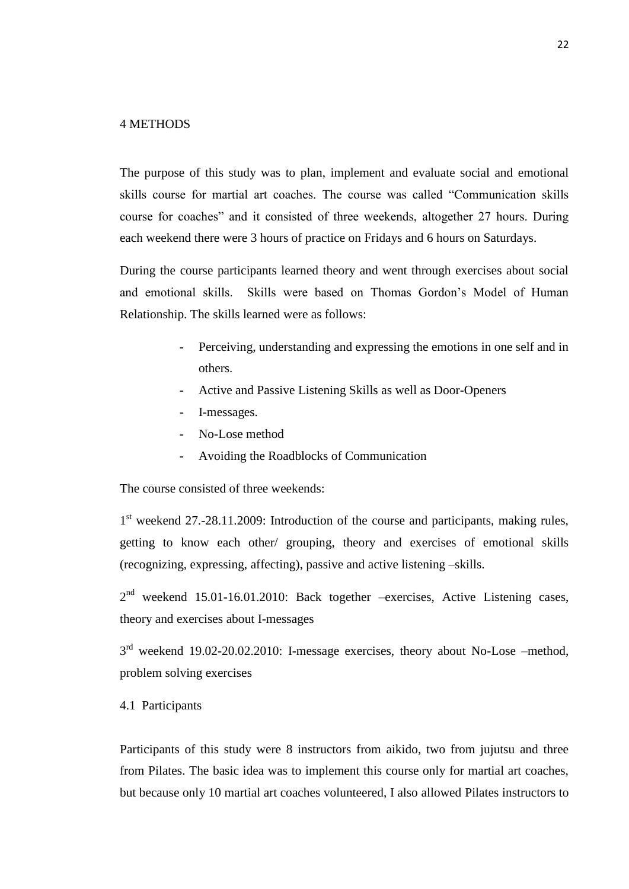## <span id="page-25-0"></span>4 METHODS

The purpose of this study was to plan, implement and evaluate social and emotional skills course for martial art coaches. The course was called "Communication skills course for coaches" and it consisted of three weekends, altogether 27 hours. During each weekend there were 3 hours of practice on Fridays and 6 hours on Saturdays.

During the course participants learned theory and went through exercises about social and emotional skills. Skills were based on Thomas Gordon's Model of Human Relationship. The skills learned were as follows:

- Perceiving, understanding and expressing the emotions in one self and in others.
- Active and Passive Listening Skills as well as Door-Openers
- I-messages.
- No-Lose method
- Avoiding the Roadblocks of Communication

The course consisted of three weekends:

1<sup>st</sup> weekend 27.-28.11.2009: Introduction of the course and participants, making rules, getting to know each other/ grouping, theory and exercises of emotional skills (recognizing, expressing, affecting), passive and active listening –skills.

 $2<sup>nd</sup>$  weekend 15.01-16.01.2010: Back together -exercises, Active Listening cases, theory and exercises about I-messages

 $3<sup>rd</sup>$  weekend 19.02-20.02.2010: I-message exercises, theory about No-Lose –method, problem solving exercises

## <span id="page-25-1"></span>4.1 Participants

Participants of this study were 8 instructors from aikido, two from jujutsu and three from Pilates. The basic idea was to implement this course only for martial art coaches, but because only 10 martial art coaches volunteered, I also allowed Pilates instructors to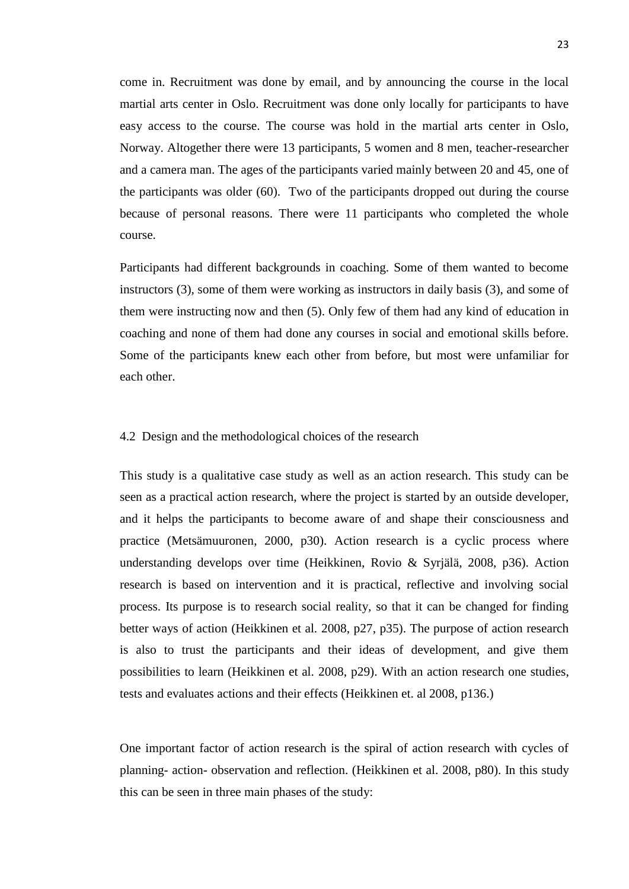come in. Recruitment was done by email, and by announcing the course in the local martial arts center in Oslo. Recruitment was done only locally for participants to have easy access to the course. The course was hold in the martial arts center in Oslo, Norway. Altogether there were 13 participants, 5 women and 8 men, teacher-researcher and a camera man. The ages of the participants varied mainly between 20 and 45, one of the participants was older (60). Two of the participants dropped out during the course because of personal reasons. There were 11 participants who completed the whole course.

Participants had different backgrounds in coaching. Some of them wanted to become instructors (3), some of them were working as instructors in daily basis (3), and some of them were instructing now and then (5). Only few of them had any kind of education in coaching and none of them had done any courses in social and emotional skills before. Some of the participants knew each other from before, but most were unfamiliar for each other.

## <span id="page-26-0"></span>4.2 Design and the methodological choices of the research

This study is a qualitative case study as well as an action research. This study can be seen as a practical action research, where the project is started by an outside developer, and it helps the participants to become aware of and shape their consciousness and practice (Metsämuuronen, 2000, p30). Action research is a cyclic process where understanding develops over time (Heikkinen, Rovio & Syrjälä, 2008, p36). Action research is based on intervention and it is practical, reflective and involving social process. Its purpose is to research social reality, so that it can be changed for finding better ways of action (Heikkinen et al. 2008, p27, p35). The purpose of action research is also to trust the participants and their ideas of development, and give them possibilities to learn (Heikkinen et al. 2008, p29). With an action research one studies, tests and evaluates actions and their effects (Heikkinen et. al 2008, p136.)

One important factor of action research is the spiral of action research with cycles of planning- action- observation and reflection. (Heikkinen et al. 2008, p80). In this study this can be seen in three main phases of the study: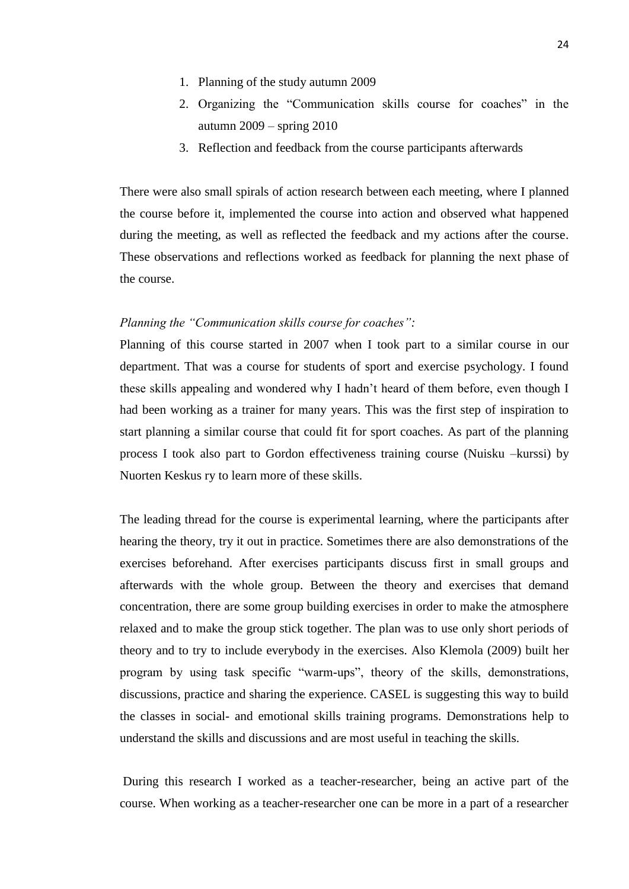- 1. Planning of the study autumn 2009
- 2. Organizing the "Communication skills course for coaches" in the autumn 2009 – spring 2010
- 3. Reflection and feedback from the course participants afterwards

There were also small spirals of action research between each meeting, where I planned the course before it, implemented the course into action and observed what happened during the meeting, as well as reflected the feedback and my actions after the course. These observations and reflections worked as feedback for planning the next phase of the course.

### *Planning the "Communication skills course for coaches":*

Planning of this course started in 2007 when I took part to a similar course in our department. That was a course for students of sport and exercise psychology. I found these skills appealing and wondered why I hadn't heard of them before, even though I had been working as a trainer for many years. This was the first step of inspiration to start planning a similar course that could fit for sport coaches. As part of the planning process I took also part to Gordon effectiveness training course (Nuisku –kurssi) by Nuorten Keskus ry to learn more of these skills.

The leading thread for the course is experimental learning, where the participants after hearing the theory, try it out in practice. Sometimes there are also demonstrations of the exercises beforehand. After exercises participants discuss first in small groups and afterwards with the whole group. Between the theory and exercises that demand concentration, there are some group building exercises in order to make the atmosphere relaxed and to make the group stick together. The plan was to use only short periods of theory and to try to include everybody in the exercises. Also Klemola (2009) built her program by using task specific "warm-ups", theory of the skills, demonstrations, discussions, practice and sharing the experience. CASEL is suggesting this way to build the classes in social- and emotional skills training programs. Demonstrations help to understand the skills and discussions and are most useful in teaching the skills.

During this research I worked as a teacher-researcher, being an active part of the course. When working as a teacher-researcher one can be more in a part of a researcher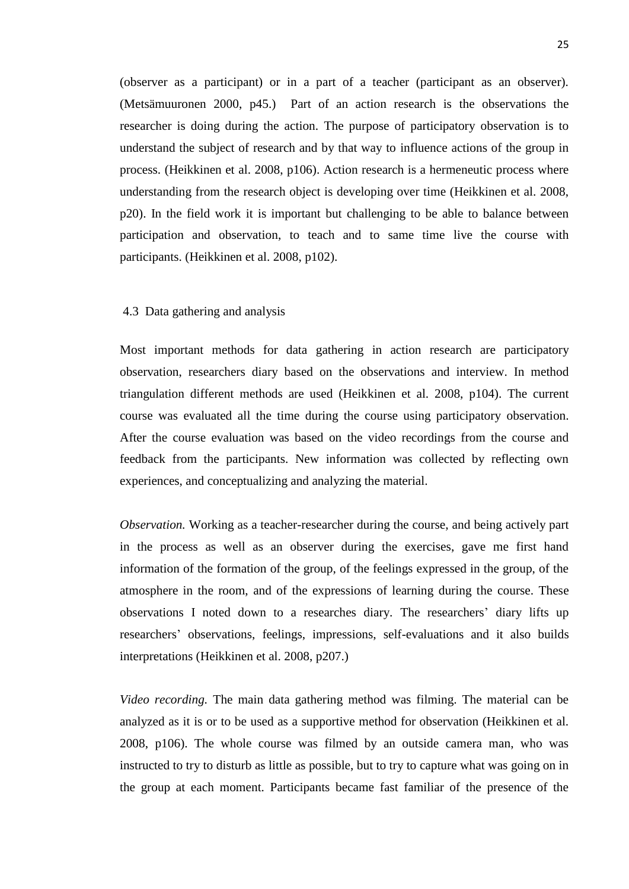(observer as a participant) or in a part of a teacher (participant as an observer). (Metsämuuronen 2000, p45.) Part of an action research is the observations the researcher is doing during the action. The purpose of participatory observation is to understand the subject of research and by that way to influence actions of the group in process. (Heikkinen et al. 2008, p106). Action research is a hermeneutic process where understanding from the research object is developing over time (Heikkinen et al. 2008, p20). In the field work it is important but challenging to be able to balance between participation and observation, to teach and to same time live the course with participants. (Heikkinen et al. 2008, p102).

## <span id="page-28-0"></span>4.3 Data gathering and analysis

Most important methods for data gathering in action research are participatory observation, researchers diary based on the observations and interview. In method triangulation different methods are used (Heikkinen et al. 2008, p104). The current course was evaluated all the time during the course using participatory observation. After the course evaluation was based on the video recordings from the course and feedback from the participants. New information was collected by reflecting own experiences, and conceptualizing and analyzing the material.

*Observation.* Working as a teacher-researcher during the course, and being actively part in the process as well as an observer during the exercises, gave me first hand information of the formation of the group, of the feelings expressed in the group, of the atmosphere in the room, and of the expressions of learning during the course. These observations I noted down to a researches diary. The researchers' diary lifts up researchers' observations, feelings, impressions, self-evaluations and it also builds interpretations (Heikkinen et al. 2008, p207.)

*Video recording.* The main data gathering method was filming. The material can be analyzed as it is or to be used as a supportive method for observation (Heikkinen et al. 2008, p106). The whole course was filmed by an outside camera man, who was instructed to try to disturb as little as possible, but to try to capture what was going on in the group at each moment. Participants became fast familiar of the presence of the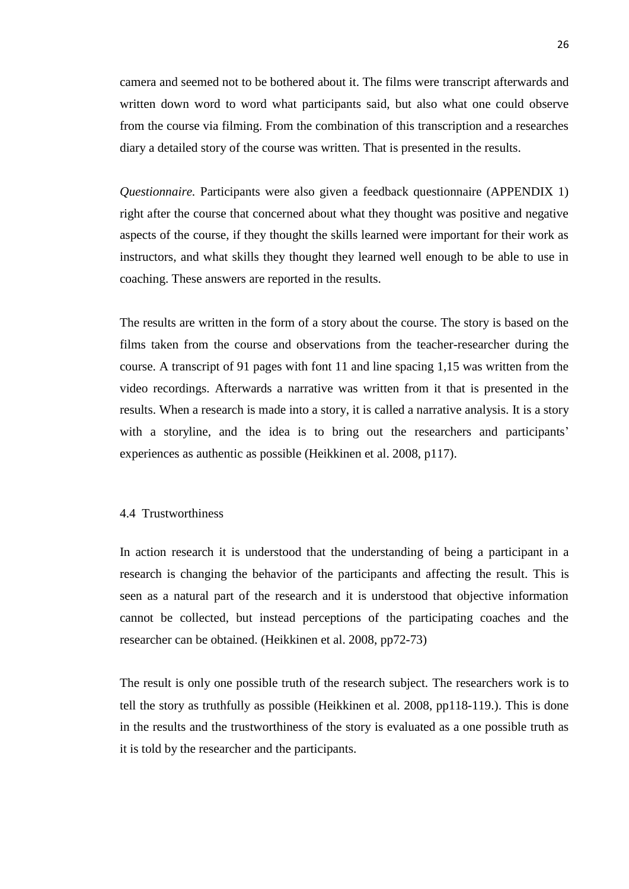camera and seemed not to be bothered about it. The films were transcript afterwards and written down word to word what participants said, but also what one could observe from the course via filming. From the combination of this transcription and a researches diary a detailed story of the course was written. That is presented in the results.

*Questionnaire.* Participants were also given a feedback questionnaire (APPENDIX 1) right after the course that concerned about what they thought was positive and negative aspects of the course, if they thought the skills learned were important for their work as instructors, and what skills they thought they learned well enough to be able to use in coaching. These answers are reported in the results.

The results are written in the form of a story about the course. The story is based on the films taken from the course and observations from the teacher-researcher during the course. A transcript of 91 pages with font 11 and line spacing 1,15 was written from the video recordings. Afterwards a narrative was written from it that is presented in the results. When a research is made into a story, it is called a narrative analysis. It is a story with a storyline, and the idea is to bring out the researchers and participants' experiences as authentic as possible (Heikkinen et al. 2008, p117).

## <span id="page-29-0"></span>4.4 Trustworthiness

In action research it is understood that the understanding of being a participant in a research is changing the behavior of the participants and affecting the result. This is seen as a natural part of the research and it is understood that objective information cannot be collected, but instead perceptions of the participating coaches and the researcher can be obtained. (Heikkinen et al. 2008, pp72-73)

The result is only one possible truth of the research subject. The researchers work is to tell the story as truthfully as possible (Heikkinen et al. 2008, pp118-119.). This is done in the results and the trustworthiness of the story is evaluated as a one possible truth as it is told by the researcher and the participants.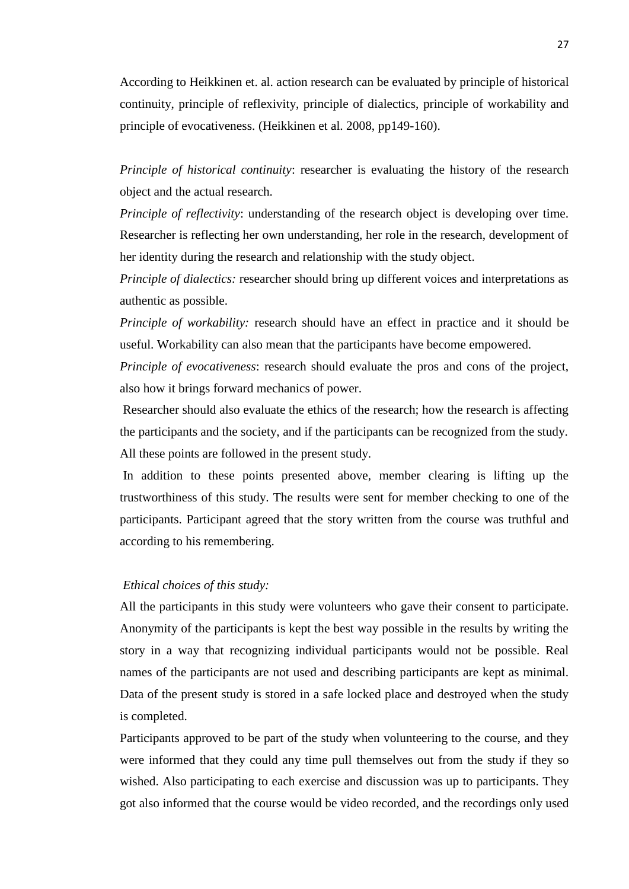According to Heikkinen et. al. action research can be evaluated by principle of historical continuity, principle of reflexivity, principle of dialectics, principle of workability and principle of evocativeness. (Heikkinen et al. 2008, pp149-160).

*Principle of historical continuity*: researcher is evaluating the history of the research object and the actual research.

*Principle of reflectivity*: understanding of the research object is developing over time. Researcher is reflecting her own understanding, her role in the research, development of her identity during the research and relationship with the study object.

*Principle of dialectics:* researcher should bring up different voices and interpretations as authentic as possible.

*Principle of workability:* research should have an effect in practice and it should be useful. Workability can also mean that the participants have become empowered.

*Principle of evocativeness:* research should evaluate the pros and cons of the project, also how it brings forward mechanics of power.

Researcher should also evaluate the ethics of the research; how the research is affecting the participants and the society, and if the participants can be recognized from the study. All these points are followed in the present study.

In addition to these points presented above, member clearing is lifting up the trustworthiness of this study. The results were sent for member checking to one of the participants. Participant agreed that the story written from the course was truthful and according to his remembering.

## *Ethical choices of this study:*

All the participants in this study were volunteers who gave their consent to participate. Anonymity of the participants is kept the best way possible in the results by writing the story in a way that recognizing individual participants would not be possible. Real names of the participants are not used and describing participants are kept as minimal. Data of the present study is stored in a safe locked place and destroyed when the study is completed.

Participants approved to be part of the study when volunteering to the course, and they were informed that they could any time pull themselves out from the study if they so wished. Also participating to each exercise and discussion was up to participants. They got also informed that the course would be video recorded, and the recordings only used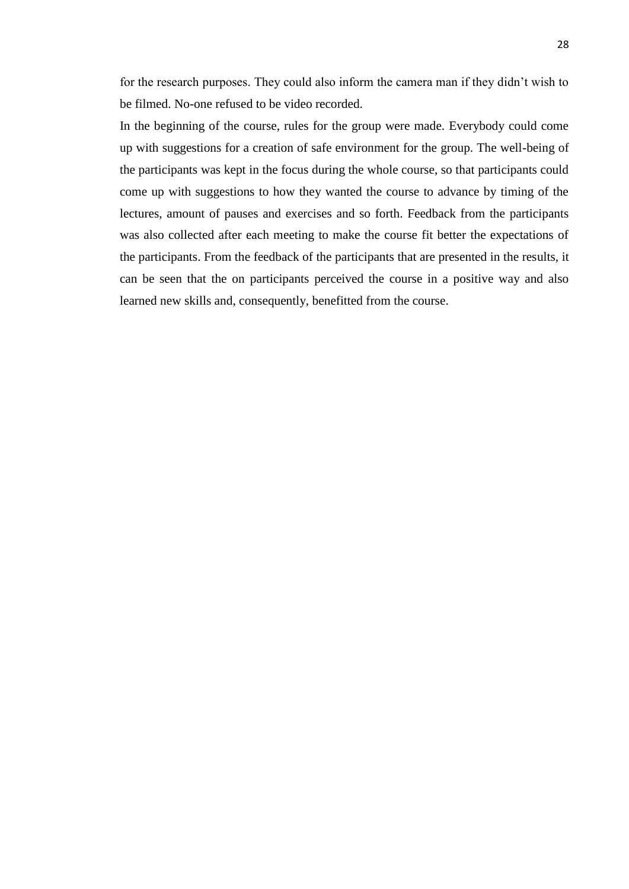for the research purposes. They could also inform the camera man if they didn't wish to be filmed. No-one refused to be video recorded.

In the beginning of the course, rules for the group were made. Everybody could come up with suggestions for a creation of safe environment for the group. The well-being of the participants was kept in the focus during the whole course, so that participants could come up with suggestions to how they wanted the course to advance by timing of the lectures, amount of pauses and exercises and so forth. Feedback from the participants was also collected after each meeting to make the course fit better the expectations of the participants. From the feedback of the participants that are presented in the results, it can be seen that the on participants perceived the course in a positive way and also learned new skills and, consequently, benefitted from the course.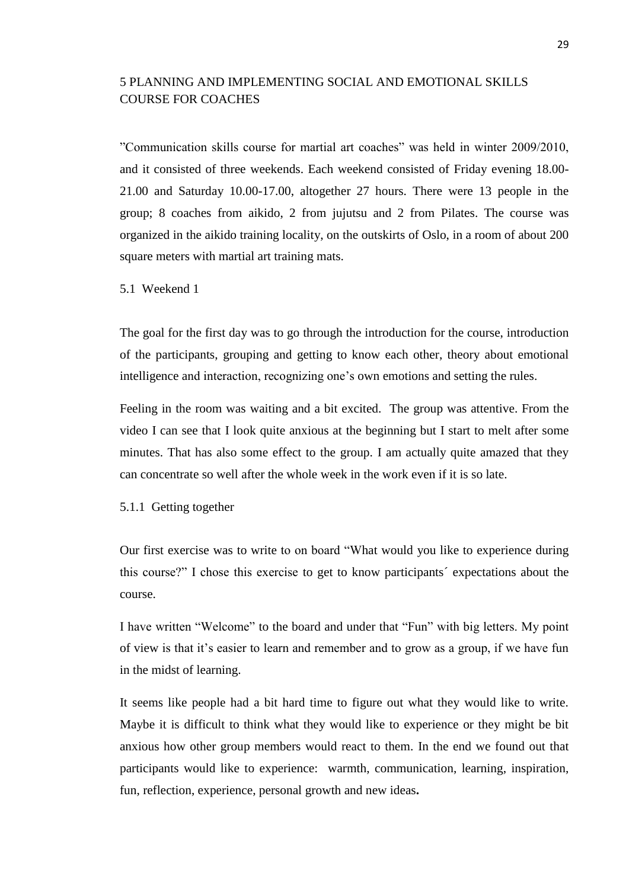# <span id="page-32-0"></span>5 PLANNING AND IMPLEMENTING SOCIAL AND EMOTIONAL SKILLS COURSE FOR COACHES

"Communication skills course for martial art coaches" was held in winter 2009/2010, and it consisted of three weekends. Each weekend consisted of Friday evening 18.00- 21.00 and Saturday 10.00-17.00, altogether 27 hours. There were 13 people in the group; 8 coaches from aikido, 2 from jujutsu and 2 from Pilates. The course was organized in the aikido training locality, on the outskirts of Oslo, in a room of about 200 square meters with martial art training mats.

## <span id="page-32-1"></span>5.1 Weekend 1

The goal for the first day was to go through the introduction for the course, introduction of the participants, grouping and getting to know each other, theory about emotional intelligence and interaction, recognizing one's own emotions and setting the rules.

Feeling in the room was waiting and a bit excited. The group was attentive. From the video I can see that I look quite anxious at the beginning but I start to melt after some minutes. That has also some effect to the group. I am actually quite amazed that they can concentrate so well after the whole week in the work even if it is so late.

## <span id="page-32-2"></span>5.1.1 Getting together

Our first exercise was to write to on board "What would you like to experience during this course?" I chose this exercise to get to know participants´ expectations about the course.

I have written "Welcome" to the board and under that "Fun" with big letters. My point of view is that it's easier to learn and remember and to grow as a group, if we have fun in the midst of learning.

It seems like people had a bit hard time to figure out what they would like to write. Maybe it is difficult to think what they would like to experience or they might be bit anxious how other group members would react to them. In the end we found out that participants would like to experience: warmth, communication, learning, inspiration, fun, reflection, experience, personal growth and new ideas**.**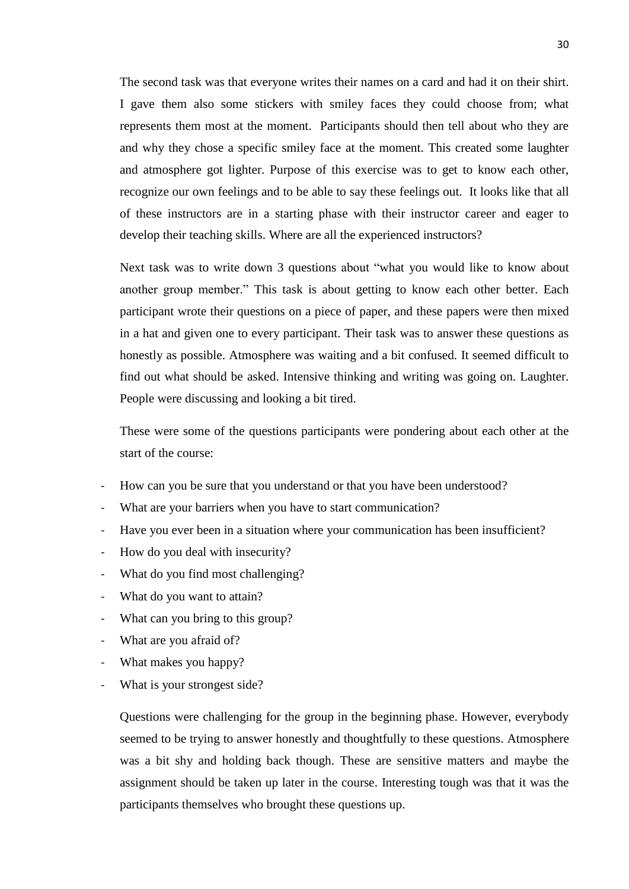The second task was that everyone writes their names on a card and had it on their shirt. I gave them also some stickers with smiley faces they could choose from; what represents them most at the moment. Participants should then tell about who they are and why they chose a specific smiley face at the moment. This created some laughter and atmosphere got lighter. Purpose of this exercise was to get to know each other, recognize our own feelings and to be able to say these feelings out. It looks like that all of these instructors are in a starting phase with their instructor career and eager to develop their teaching skills. Where are all the experienced instructors?

Next task was to write down 3 questions about "what you would like to know about another group member." This task is about getting to know each other better. Each participant wrote their questions on a piece of paper, and these papers were then mixed in a hat and given one to every participant. Their task was to answer these questions as honestly as possible. Atmosphere was waiting and a bit confused. It seemed difficult to find out what should be asked. Intensive thinking and writing was going on. Laughter. People were discussing and looking a bit tired.

These were some of the questions participants were pondering about each other at the start of the course:

- How can you be sure that you understand or that you have been understood?
- What are your barriers when you have to start communication?
- Have you ever been in a situation where your communication has been insufficient?
- How do you deal with insecurity?
- What do you find most challenging?
- What do you want to attain?
- What can you bring to this group?
- What are you afraid of?
- What makes you happy?
- What is your strongest side?

Questions were challenging for the group in the beginning phase. However, everybody seemed to be trying to answer honestly and thoughtfully to these questions. Atmosphere was a bit shy and holding back though. These are sensitive matters and maybe the assignment should be taken up later in the course. Interesting tough was that it was the participants themselves who brought these questions up.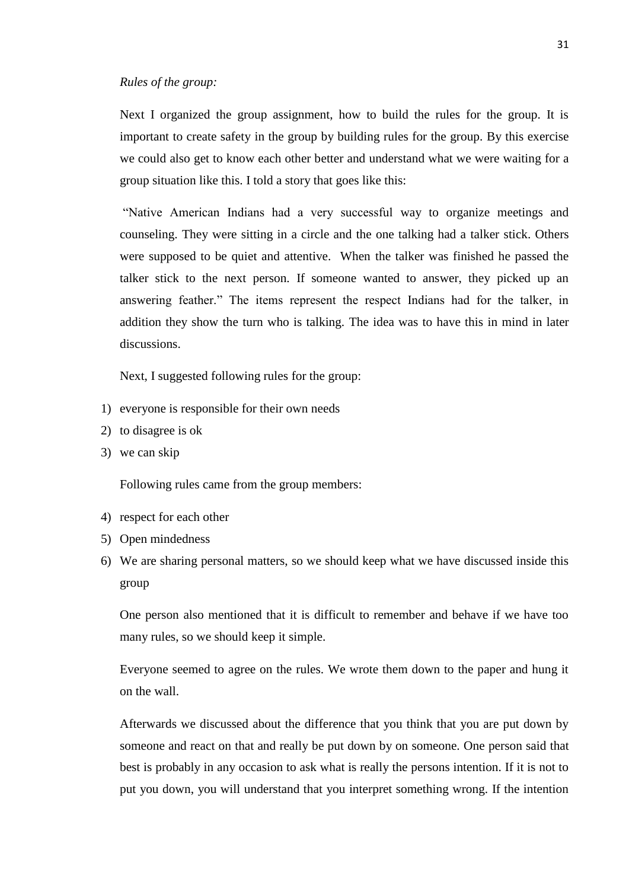#### *Rules of the group:*

Next I organized the group assignment, how to build the rules for the group. It is important to create safety in the group by building rules for the group. By this exercise we could also get to know each other better and understand what we were waiting for a group situation like this. I told a story that goes like this:

"Native American Indians had a very successful way to organize meetings and counseling. They were sitting in a circle and the one talking had a talker stick. Others were supposed to be quiet and attentive. When the talker was finished he passed the talker stick to the next person. If someone wanted to answer, they picked up an answering feather." The items represent the respect Indians had for the talker, in addition they show the turn who is talking. The idea was to have this in mind in later discussions.

Next, I suggested following rules for the group:

- 1) everyone is responsible for their own needs
- 2) to disagree is ok
- 3) we can skip

Following rules came from the group members:

- 4) respect for each other
- 5) Open mindedness
- 6) We are sharing personal matters, so we should keep what we have discussed inside this group

One person also mentioned that it is difficult to remember and behave if we have too many rules, so we should keep it simple.

Everyone seemed to agree on the rules. We wrote them down to the paper and hung it on the wall.

Afterwards we discussed about the difference that you think that you are put down by someone and react on that and really be put down by on someone. One person said that best is probably in any occasion to ask what is really the persons intention. If it is not to put you down, you will understand that you interpret something wrong. If the intention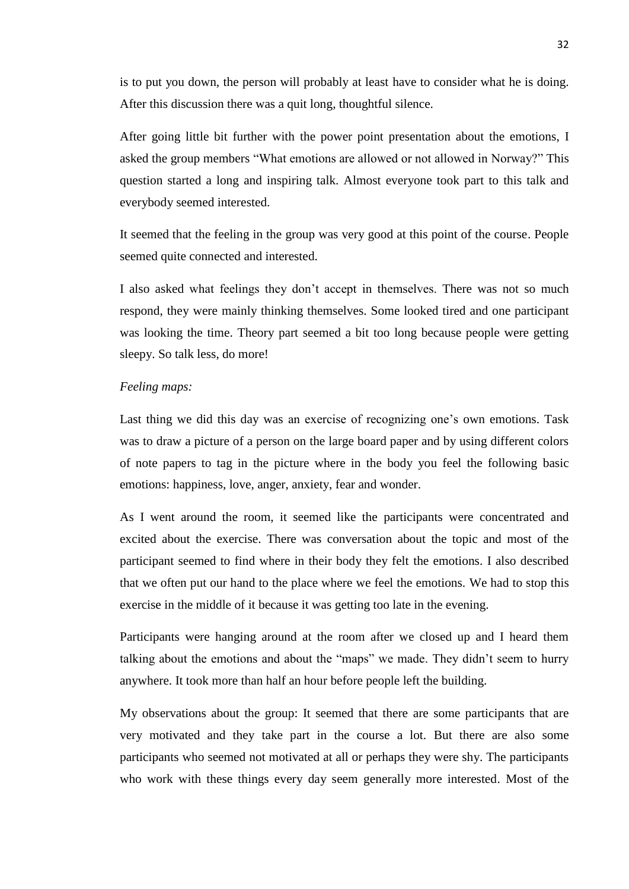is to put you down, the person will probably at least have to consider what he is doing. After this discussion there was a quit long, thoughtful silence.

After going little bit further with the power point presentation about the emotions, I asked the group members "What emotions are allowed or not allowed in Norway?" This question started a long and inspiring talk. Almost everyone took part to this talk and everybody seemed interested.

It seemed that the feeling in the group was very good at this point of the course. People seemed quite connected and interested.

I also asked what feelings they don't accept in themselves. There was not so much respond, they were mainly thinking themselves. Some looked tired and one participant was looking the time. Theory part seemed a bit too long because people were getting sleepy. So talk less, do more!

## *Feeling maps:*

Last thing we did this day was an exercise of recognizing one's own emotions. Task was to draw a picture of a person on the large board paper and by using different colors of note papers to tag in the picture where in the body you feel the following basic emotions: happiness, love, anger, anxiety, fear and wonder.

As I went around the room, it seemed like the participants were concentrated and excited about the exercise. There was conversation about the topic and most of the participant seemed to find where in their body they felt the emotions. I also described that we often put our hand to the place where we feel the emotions. We had to stop this exercise in the middle of it because it was getting too late in the evening.

Participants were hanging around at the room after we closed up and I heard them talking about the emotions and about the "maps" we made. They didn't seem to hurry anywhere. It took more than half an hour before people left the building.

My observations about the group: It seemed that there are some participants that are very motivated and they take part in the course a lot. But there are also some participants who seemed not motivated at all or perhaps they were shy. The participants who work with these things every day seem generally more interested. Most of the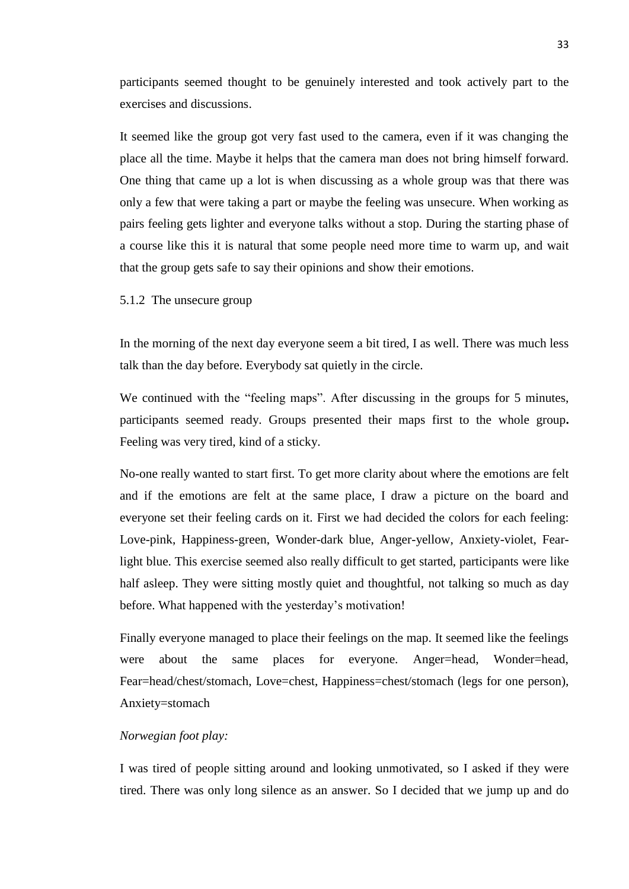participants seemed thought to be genuinely interested and took actively part to the exercises and discussions.

It seemed like the group got very fast used to the camera, even if it was changing the place all the time. Maybe it helps that the camera man does not bring himself forward. One thing that came up a lot is when discussing as a whole group was that there was only a few that were taking a part or maybe the feeling was unsecure. When working as pairs feeling gets lighter and everyone talks without a stop. During the starting phase of a course like this it is natural that some people need more time to warm up, and wait that the group gets safe to say their opinions and show their emotions.

5.1.2 The unsecure group

In the morning of the next day everyone seem a bit tired, I as well. There was much less talk than the day before. Everybody sat quietly in the circle.

We continued with the "feeling maps". After discussing in the groups for 5 minutes, participants seemed ready. Groups presented their maps first to the whole group**.**  Feeling was very tired, kind of a sticky.

No-one really wanted to start first. To get more clarity about where the emotions are felt and if the emotions are felt at the same place, I draw a picture on the board and everyone set their feeling cards on it. First we had decided the colors for each feeling: Love-pink, Happiness-green, Wonder-dark blue, Anger-yellow, Anxiety-violet, Fearlight blue. This exercise seemed also really difficult to get started, participants were like half asleep. They were sitting mostly quiet and thoughtful, not talking so much as day before. What happened with the yesterday's motivation!

Finally everyone managed to place their feelings on the map. It seemed like the feelings were about the same places for everyone. Anger=head, Wonder=head, Fear=head/chest/stomach, Love=chest, Happiness=chest/stomach (legs for one person), Anxiety=stomach

# *Norwegian foot play:*

I was tired of people sitting around and looking unmotivated, so I asked if they were tired. There was only long silence as an answer. So I decided that we jump up and do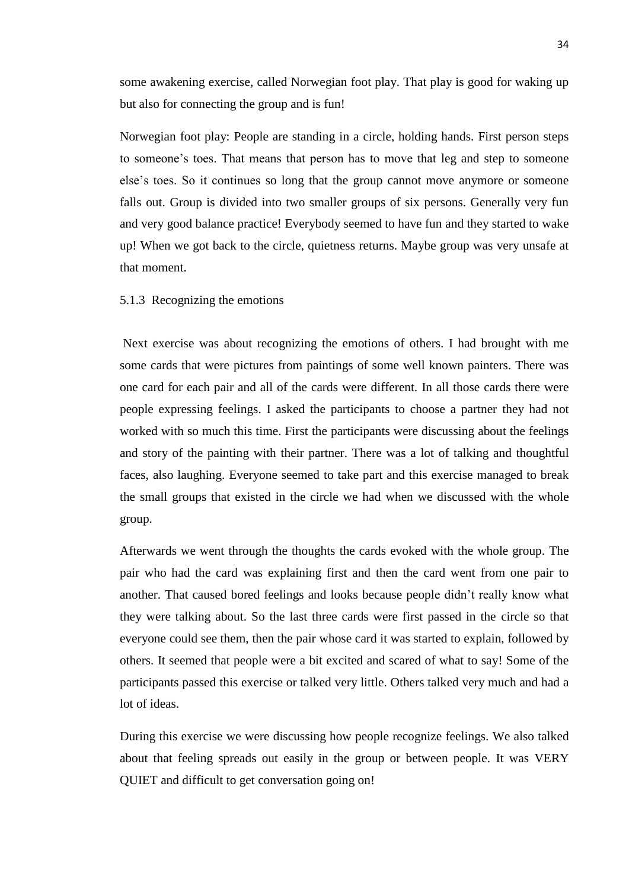some awakening exercise, called Norwegian foot play. That play is good for waking up but also for connecting the group and is fun!

Norwegian foot play: People are standing in a circle, holding hands. First person steps to someone's toes. That means that person has to move that leg and step to someone else's toes. So it continues so long that the group cannot move anymore or someone falls out. Group is divided into two smaller groups of six persons. Generally very fun and very good balance practice! Everybody seemed to have fun and they started to wake up! When we got back to the circle, quietness returns. Maybe group was very unsafe at that moment.

# 5.1.3 Recognizing the emotions

Next exercise was about recognizing the emotions of others. I had brought with me some cards that were pictures from paintings of some well known painters. There was one card for each pair and all of the cards were different. In all those cards there were people expressing feelings. I asked the participants to choose a partner they had not worked with so much this time. First the participants were discussing about the feelings and story of the painting with their partner. There was a lot of talking and thoughtful faces, also laughing. Everyone seemed to take part and this exercise managed to break the small groups that existed in the circle we had when we discussed with the whole group.

Afterwards we went through the thoughts the cards evoked with the whole group. The pair who had the card was explaining first and then the card went from one pair to another. That caused bored feelings and looks because people didn't really know what they were talking about. So the last three cards were first passed in the circle so that everyone could see them, then the pair whose card it was started to explain, followed by others. It seemed that people were a bit excited and scared of what to say! Some of the participants passed this exercise or talked very little. Others talked very much and had a lot of ideas.

During this exercise we were discussing how people recognize feelings. We also talked about that feeling spreads out easily in the group or between people. It was VERY QUIET and difficult to get conversation going on!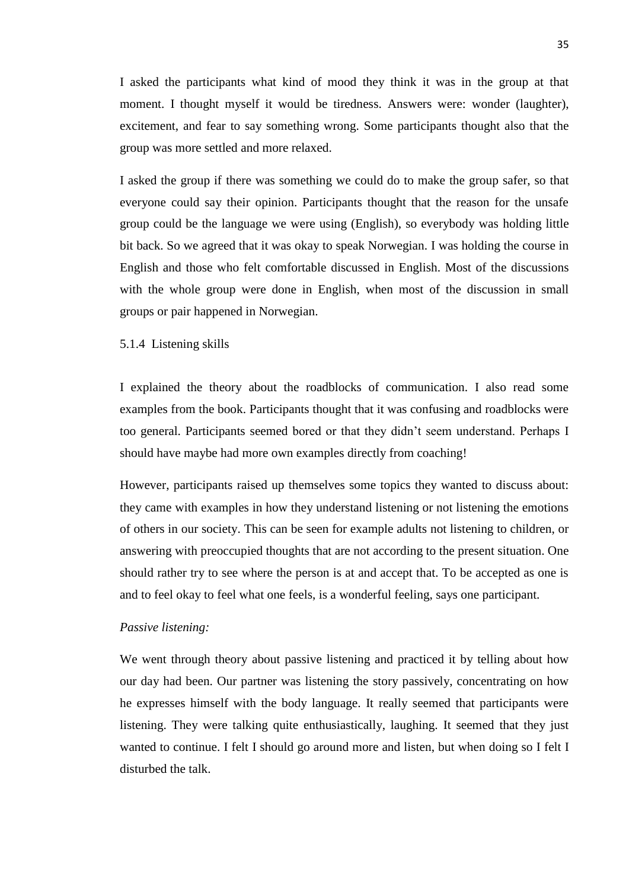I asked the participants what kind of mood they think it was in the group at that moment. I thought myself it would be tiredness. Answers were: wonder (laughter), excitement, and fear to say something wrong. Some participants thought also that the group was more settled and more relaxed.

I asked the group if there was something we could do to make the group safer, so that everyone could say their opinion. Participants thought that the reason for the unsafe group could be the language we were using (English), so everybody was holding little bit back. So we agreed that it was okay to speak Norwegian. I was holding the course in English and those who felt comfortable discussed in English. Most of the discussions with the whole group were done in English, when most of the discussion in small groups or pair happened in Norwegian.

# 5.1.4 Listening skills

I explained the theory about the roadblocks of communication. I also read some examples from the book. Participants thought that it was confusing and roadblocks were too general. Participants seemed bored or that they didn't seem understand. Perhaps I should have maybe had more own examples directly from coaching!

However, participants raised up themselves some topics they wanted to discuss about: they came with examples in how they understand listening or not listening the emotions of others in our society. This can be seen for example adults not listening to children, or answering with preoccupied thoughts that are not according to the present situation. One should rather try to see where the person is at and accept that. To be accepted as one is and to feel okay to feel what one feels, is a wonderful feeling, says one participant.

## *Passive listening:*

We went through theory about passive listening and practiced it by telling about how our day had been. Our partner was listening the story passively, concentrating on how he expresses himself with the body language. It really seemed that participants were listening. They were talking quite enthusiastically, laughing. It seemed that they just wanted to continue. I felt I should go around more and listen, but when doing so I felt I disturbed the talk.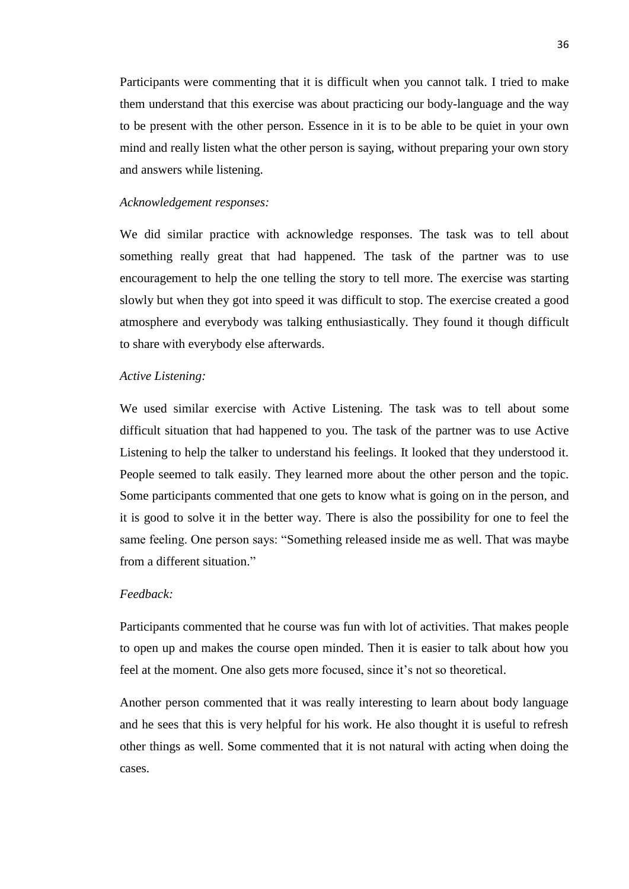Participants were commenting that it is difficult when you cannot talk. I tried to make them understand that this exercise was about practicing our body-language and the way to be present with the other person. Essence in it is to be able to be quiet in your own mind and really listen what the other person is saying, without preparing your own story and answers while listening.

# *Acknowledgement responses:*

We did similar practice with acknowledge responses. The task was to tell about something really great that had happened. The task of the partner was to use encouragement to help the one telling the story to tell more. The exercise was starting slowly but when they got into speed it was difficult to stop. The exercise created a good atmosphere and everybody was talking enthusiastically. They found it though difficult to share with everybody else afterwards.

# *Active Listening:*

We used similar exercise with Active Listening. The task was to tell about some difficult situation that had happened to you. The task of the partner was to use Active Listening to help the talker to understand his feelings. It looked that they understood it. People seemed to talk easily. They learned more about the other person and the topic. Some participants commented that one gets to know what is going on in the person, and it is good to solve it in the better way. There is also the possibility for one to feel the same feeling. One person says: "Something released inside me as well. That was maybe from a different situation."

# *Feedback:*

Participants commented that he course was fun with lot of activities. That makes people to open up and makes the course open minded. Then it is easier to talk about how you feel at the moment. One also gets more focused, since it's not so theoretical.

Another person commented that it was really interesting to learn about body language and he sees that this is very helpful for his work. He also thought it is useful to refresh other things as well. Some commented that it is not natural with acting when doing the cases.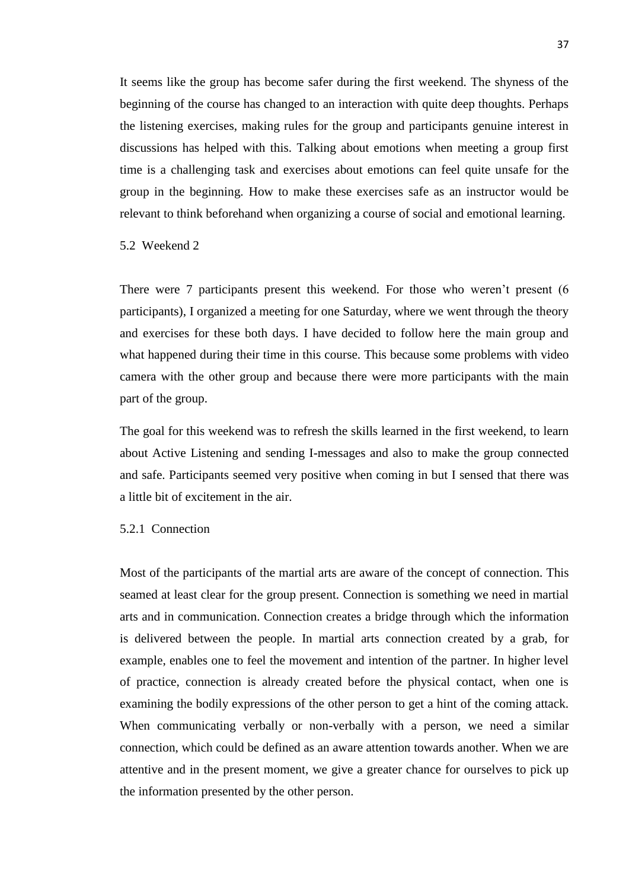It seems like the group has become safer during the first weekend. The shyness of the beginning of the course has changed to an interaction with quite deep thoughts. Perhaps the listening exercises, making rules for the group and participants genuine interest in discussions has helped with this. Talking about emotions when meeting a group first time is a challenging task and exercises about emotions can feel quite unsafe for the group in the beginning. How to make these exercises safe as an instructor would be relevant to think beforehand when organizing a course of social and emotional learning.

## 5.2 Weekend 2

There were 7 participants present this weekend. For those who weren't present (6 participants), I organized a meeting for one Saturday, where we went through the theory and exercises for these both days. I have decided to follow here the main group and what happened during their time in this course. This because some problems with video camera with the other group and because there were more participants with the main part of the group.

The goal for this weekend was to refresh the skills learned in the first weekend, to learn about Active Listening and sending I-messages and also to make the group connected and safe. Participants seemed very positive when coming in but I sensed that there was a little bit of excitement in the air.

# 5.2.1 Connection

Most of the participants of the martial arts are aware of the concept of connection. This seamed at least clear for the group present. Connection is something we need in martial arts and in communication. Connection creates a bridge through which the information is delivered between the people. In martial arts connection created by a grab, for example, enables one to feel the movement and intention of the partner. In higher level of practice, connection is already created before the physical contact, when one is examining the bodily expressions of the other person to get a hint of the coming attack. When communicating verbally or non-verbally with a person, we need a similar connection, which could be defined as an aware attention towards another. When we are attentive and in the present moment, we give a greater chance for ourselves to pick up the information presented by the other person.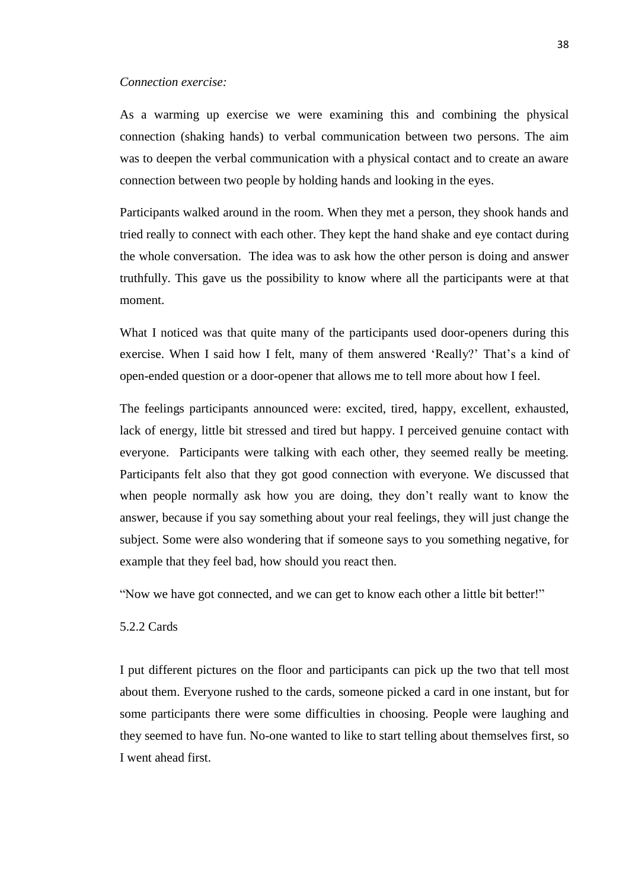## *Connection exercise:*

As a warming up exercise we were examining this and combining the physical connection (shaking hands) to verbal communication between two persons. The aim was to deepen the verbal communication with a physical contact and to create an aware connection between two people by holding hands and looking in the eyes.

Participants walked around in the room. When they met a person, they shook hands and tried really to connect with each other. They kept the hand shake and eye contact during the whole conversation. The idea was to ask how the other person is doing and answer truthfully. This gave us the possibility to know where all the participants were at that moment.

What I noticed was that quite many of the participants used door-openers during this exercise. When I said how I felt, many of them answered 'Really?' That's a kind of open-ended question or a door-opener that allows me to tell more about how I feel.

The feelings participants announced were: excited, tired, happy, excellent, exhausted, lack of energy, little bit stressed and tired but happy. I perceived genuine contact with everyone. Participants were talking with each other, they seemed really be meeting. Participants felt also that they got good connection with everyone. We discussed that when people normally ask how you are doing, they don't really want to know the answer, because if you say something about your real feelings, they will just change the subject. Some were also wondering that if someone says to you something negative, for example that they feel bad, how should you react then.

"Now we have got connected, and we can get to know each other a little bit better!"

# 5.2.2 Cards

I put different pictures on the floor and participants can pick up the two that tell most about them. Everyone rushed to the cards, someone picked a card in one instant, but for some participants there were some difficulties in choosing. People were laughing and they seemed to have fun. No-one wanted to like to start telling about themselves first, so I went ahead first.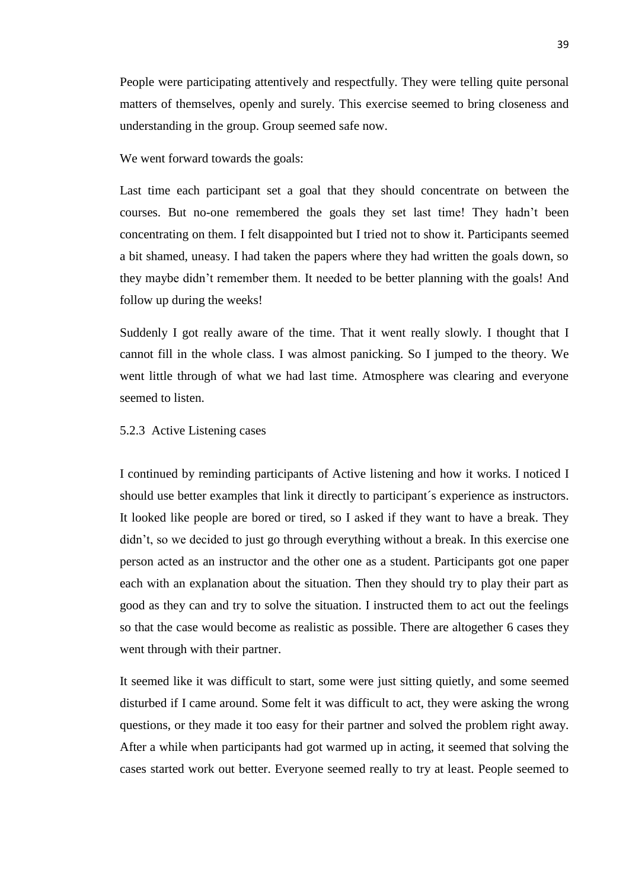People were participating attentively and respectfully. They were telling quite personal matters of themselves, openly and surely. This exercise seemed to bring closeness and understanding in the group. Group seemed safe now.

We went forward towards the goals:

Last time each participant set a goal that they should concentrate on between the courses. But no-one remembered the goals they set last time! They hadn't been concentrating on them. I felt disappointed but I tried not to show it. Participants seemed a bit shamed, uneasy. I had taken the papers where they had written the goals down, so they maybe didn't remember them. It needed to be better planning with the goals! And follow up during the weeks!

Suddenly I got really aware of the time. That it went really slowly. I thought that I cannot fill in the whole class. I was almost panicking. So I jumped to the theory. We went little through of what we had last time. Atmosphere was clearing and everyone seemed to listen.

## 5.2.3 Active Listening cases

I continued by reminding participants of Active listening and how it works. I noticed I should use better examples that link it directly to participant´s experience as instructors. It looked like people are bored or tired, so I asked if they want to have a break. They didn't, so we decided to just go through everything without a break. In this exercise one person acted as an instructor and the other one as a student. Participants got one paper each with an explanation about the situation. Then they should try to play their part as good as they can and try to solve the situation. I instructed them to act out the feelings so that the case would become as realistic as possible. There are altogether 6 cases they went through with their partner.

It seemed like it was difficult to start, some were just sitting quietly, and some seemed disturbed if I came around. Some felt it was difficult to act, they were asking the wrong questions, or they made it too easy for their partner and solved the problem right away. After a while when participants had got warmed up in acting, it seemed that solving the cases started work out better. Everyone seemed really to try at least. People seemed to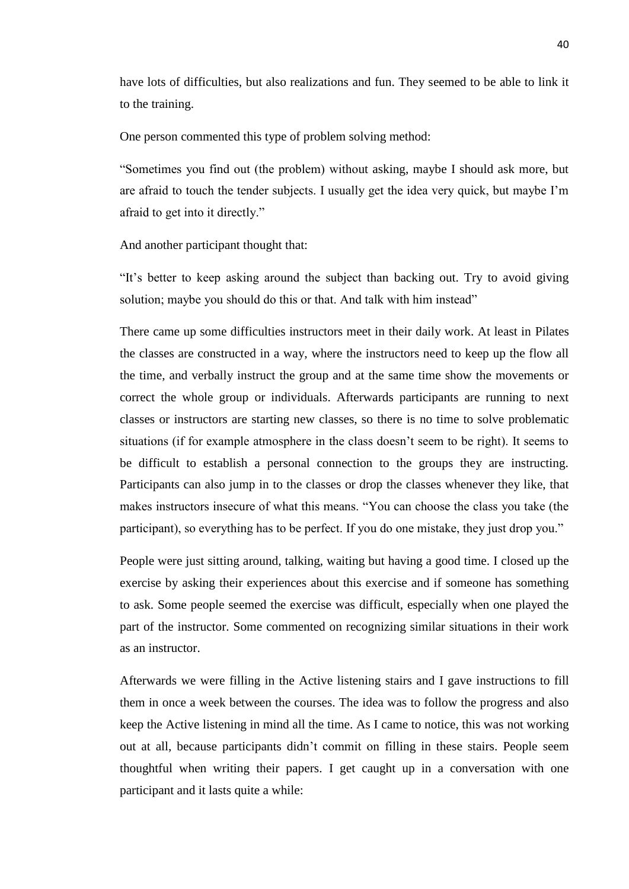have lots of difficulties, but also realizations and fun. They seemed to be able to link it to the training.

One person commented this type of problem solving method:

"Sometimes you find out (the problem) without asking, maybe I should ask more, but are afraid to touch the tender subjects. I usually get the idea very quick, but maybe I'm afraid to get into it directly."

And another participant thought that:

"It's better to keep asking around the subject than backing out. Try to avoid giving solution; maybe you should do this or that. And talk with him instead"

There came up some difficulties instructors meet in their daily work. At least in Pilates the classes are constructed in a way, where the instructors need to keep up the flow all the time, and verbally instruct the group and at the same time show the movements or correct the whole group or individuals. Afterwards participants are running to next classes or instructors are starting new classes, so there is no time to solve problematic situations (if for example atmosphere in the class doesn't seem to be right). It seems to be difficult to establish a personal connection to the groups they are instructing. Participants can also jump in to the classes or drop the classes whenever they like, that makes instructors insecure of what this means. "You can choose the class you take (the participant), so everything has to be perfect. If you do one mistake, they just drop you."

People were just sitting around, talking, waiting but having a good time. I closed up the exercise by asking their experiences about this exercise and if someone has something to ask. Some people seemed the exercise was difficult, especially when one played the part of the instructor. Some commented on recognizing similar situations in their work as an instructor.

Afterwards we were filling in the Active listening stairs and I gave instructions to fill them in once a week between the courses. The idea was to follow the progress and also keep the Active listening in mind all the time. As I came to notice, this was not working out at all, because participants didn't commit on filling in these stairs. People seem thoughtful when writing their papers. I get caught up in a conversation with one participant and it lasts quite a while: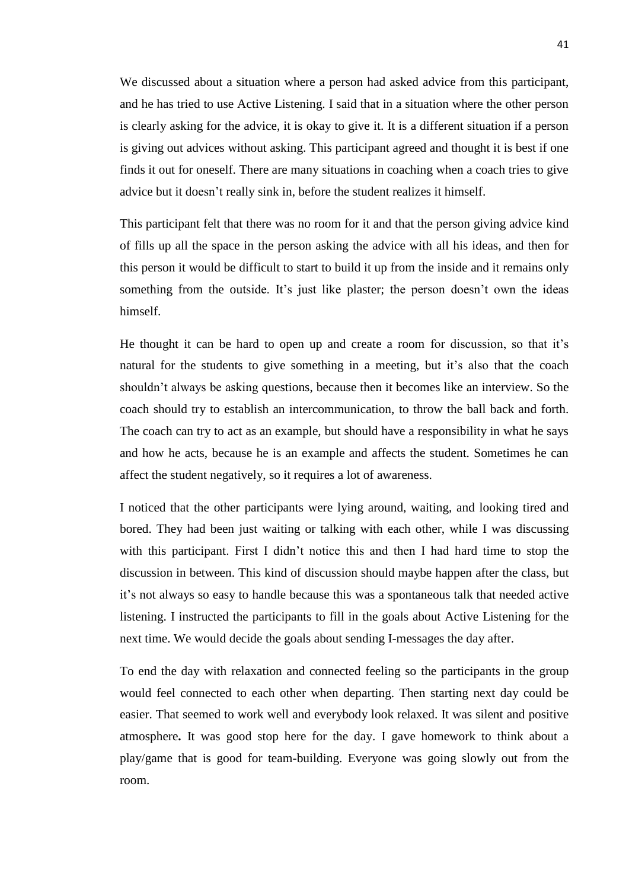We discussed about a situation where a person had asked advice from this participant, and he has tried to use Active Listening. I said that in a situation where the other person is clearly asking for the advice, it is okay to give it. It is a different situation if a person is giving out advices without asking. This participant agreed and thought it is best if one finds it out for oneself. There are many situations in coaching when a coach tries to give advice but it doesn't really sink in, before the student realizes it himself.

This participant felt that there was no room for it and that the person giving advice kind of fills up all the space in the person asking the advice with all his ideas, and then for this person it would be difficult to start to build it up from the inside and it remains only something from the outside. It's just like plaster; the person doesn't own the ideas himself.

He thought it can be hard to open up and create a room for discussion, so that it's natural for the students to give something in a meeting, but it's also that the coach shouldn't always be asking questions, because then it becomes like an interview. So the coach should try to establish an intercommunication, to throw the ball back and forth. The coach can try to act as an example, but should have a responsibility in what he says and how he acts, because he is an example and affects the student. Sometimes he can affect the student negatively, so it requires a lot of awareness.

I noticed that the other participants were lying around, waiting, and looking tired and bored. They had been just waiting or talking with each other, while I was discussing with this participant. First I didn't notice this and then I had hard time to stop the discussion in between. This kind of discussion should maybe happen after the class, but it's not always so easy to handle because this was a spontaneous talk that needed active listening. I instructed the participants to fill in the goals about Active Listening for the next time. We would decide the goals about sending I-messages the day after.

To end the day with relaxation and connected feeling so the participants in the group would feel connected to each other when departing. Then starting next day could be easier. That seemed to work well and everybody look relaxed. It was silent and positive atmosphere**.** It was good stop here for the day. I gave homework to think about a play/game that is good for team-building. Everyone was going slowly out from the room.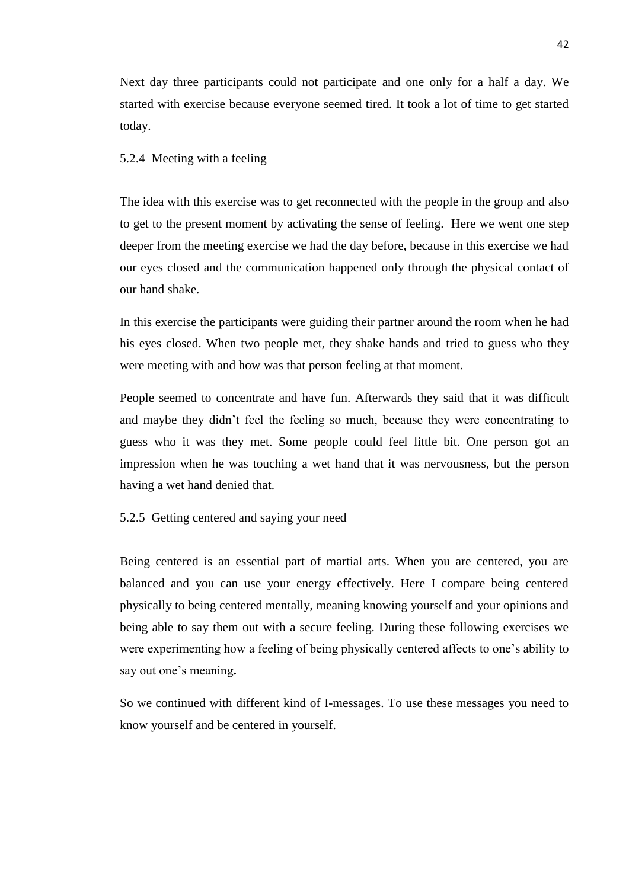Next day three participants could not participate and one only for a half a day. We started with exercise because everyone seemed tired. It took a lot of time to get started today.

# 5.2.4 Meeting with a feeling

The idea with this exercise was to get reconnected with the people in the group and also to get to the present moment by activating the sense of feeling. Here we went one step deeper from the meeting exercise we had the day before, because in this exercise we had our eyes closed and the communication happened only through the physical contact of our hand shake.

In this exercise the participants were guiding their partner around the room when he had his eyes closed. When two people met, they shake hands and tried to guess who they were meeting with and how was that person feeling at that moment.

People seemed to concentrate and have fun. Afterwards they said that it was difficult and maybe they didn't feel the feeling so much, because they were concentrating to guess who it was they met. Some people could feel little bit. One person got an impression when he was touching a wet hand that it was nervousness, but the person having a wet hand denied that.

# 5.2.5 Getting centered and saying your need

Being centered is an essential part of martial arts. When you are centered, you are balanced and you can use your energy effectively. Here I compare being centered physically to being centered mentally, meaning knowing yourself and your opinions and being able to say them out with a secure feeling. During these following exercises we were experimenting how a feeling of being physically centered affects to one's ability to say out one's meaning**.**

So we continued with different kind of I-messages. To use these messages you need to know yourself and be centered in yourself.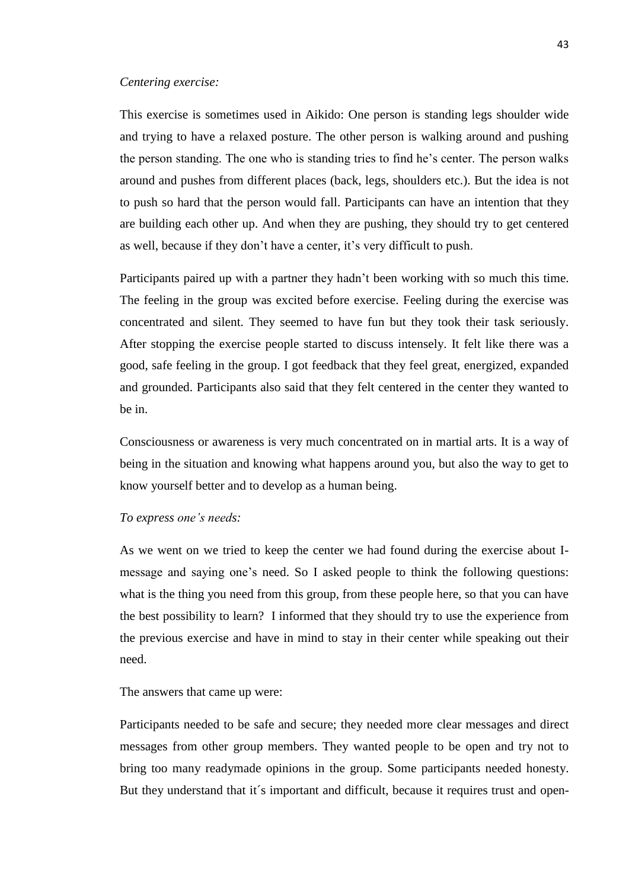### *Centering exercise:*

This exercise is sometimes used in Aikido: One person is standing legs shoulder wide and trying to have a relaxed posture. The other person is walking around and pushing the person standing. The one who is standing tries to find he's center. The person walks around and pushes from different places (back, legs, shoulders etc.). But the idea is not to push so hard that the person would fall. Participants can have an intention that they are building each other up. And when they are pushing, they should try to get centered as well, because if they don't have a center, it's very difficult to push.

Participants paired up with a partner they hadn't been working with so much this time. The feeling in the group was excited before exercise. Feeling during the exercise was concentrated and silent. They seemed to have fun but they took their task seriously. After stopping the exercise people started to discuss intensely. It felt like there was a good, safe feeling in the group. I got feedback that they feel great, energized, expanded and grounded. Participants also said that they felt centered in the center they wanted to be in.

Consciousness or awareness is very much concentrated on in martial arts. It is a way of being in the situation and knowing what happens around you, but also the way to get to know yourself better and to develop as a human being.

### *To express one's needs:*

As we went on we tried to keep the center we had found during the exercise about Imessage and saying one's need. So I asked people to think the following questions: what is the thing you need from this group, from these people here, so that you can have the best possibility to learn? I informed that they should try to use the experience from the previous exercise and have in mind to stay in their center while speaking out their need.

# The answers that came up were:

Participants needed to be safe and secure; they needed more clear messages and direct messages from other group members. They wanted people to be open and try not to bring too many readymade opinions in the group. Some participants needed honesty. But they understand that it's important and difficult, because it requires trust and open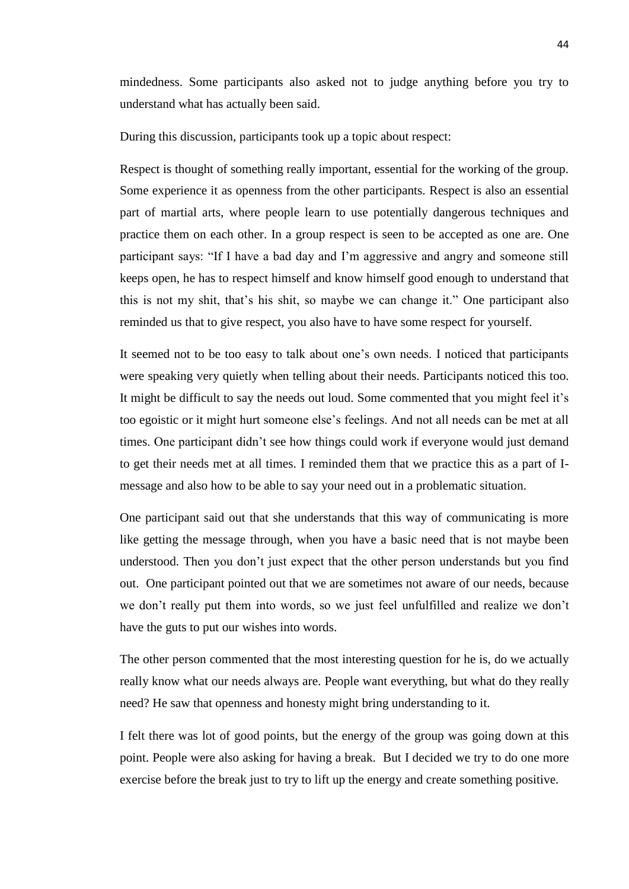mindedness. Some participants also asked not to judge anything before you try to understand what has actually been said.

During this discussion, participants took up a topic about respect:

Respect is thought of something really important, essential for the working of the group. Some experience it as openness from the other participants. Respect is also an essential part of martial arts, where people learn to use potentially dangerous techniques and practice them on each other. In a group respect is seen to be accepted as one are. One participant says: "If I have a bad day and I'm aggressive and angry and someone still keeps open, he has to respect himself and know himself good enough to understand that this is not my shit, that's his shit, so maybe we can change it." One participant also reminded us that to give respect, you also have to have some respect for yourself.

It seemed not to be too easy to talk about one's own needs. I noticed that participants were speaking very quietly when telling about their needs. Participants noticed this too. It might be difficult to say the needs out loud. Some commented that you might feel it's too egoistic or it might hurt someone else's feelings. And not all needs can be met at all times. One participant didn't see how things could work if everyone would just demand to get their needs met at all times. I reminded them that we practice this as a part of Imessage and also how to be able to say your need out in a problematic situation.

One participant said out that she understands that this way of communicating is more like getting the message through, when you have a basic need that is not maybe been understood. Then you don't just expect that the other person understands but you find out. One participant pointed out that we are sometimes not aware of our needs, because we don't really put them into words, so we just feel unfulfilled and realize we don't have the guts to put our wishes into words.

The other person commented that the most interesting question for he is, do we actually really know what our needs always are. People want everything, but what do they really need? He saw that openness and honesty might bring understanding to it.

I felt there was lot of good points, but the energy of the group was going down at this point. People were also asking for having a break. But I decided we try to do one more exercise before the break just to try to lift up the energy and create something positive.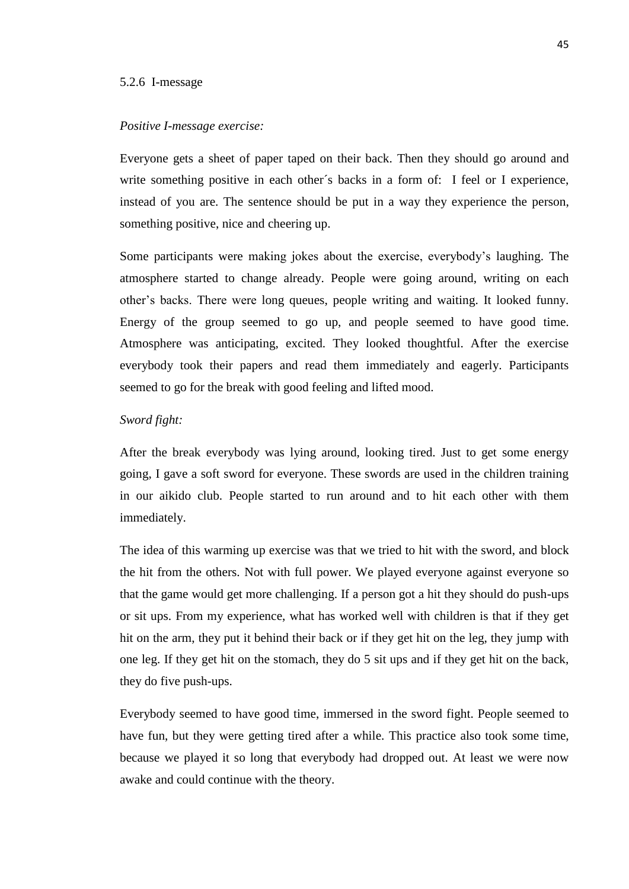### 5.2.6 I-message

### *Positive I-message exercise:*

Everyone gets a sheet of paper taped on their back. Then they should go around and write something positive in each other's backs in a form of: I feel or I experience, instead of you are. The sentence should be put in a way they experience the person, something positive, nice and cheering up.

Some participants were making jokes about the exercise, everybody's laughing. The atmosphere started to change already. People were going around, writing on each other's backs. There were long queues, people writing and waiting. It looked funny. Energy of the group seemed to go up, and people seemed to have good time. Atmosphere was anticipating, excited. They looked thoughtful. After the exercise everybody took their papers and read them immediately and eagerly. Participants seemed to go for the break with good feeling and lifted mood.

## *Sword fight:*

After the break everybody was lying around, looking tired. Just to get some energy going, I gave a soft sword for everyone. These swords are used in the children training in our aikido club. People started to run around and to hit each other with them immediately.

The idea of this warming up exercise was that we tried to hit with the sword, and block the hit from the others. Not with full power. We played everyone against everyone so that the game would get more challenging. If a person got a hit they should do push-ups or sit ups. From my experience, what has worked well with children is that if they get hit on the arm, they put it behind their back or if they get hit on the leg, they jump with one leg. If they get hit on the stomach, they do 5 sit ups and if they get hit on the back, they do five push-ups.

Everybody seemed to have good time, immersed in the sword fight. People seemed to have fun, but they were getting tired after a while. This practice also took some time, because we played it so long that everybody had dropped out. At least we were now awake and could continue with the theory.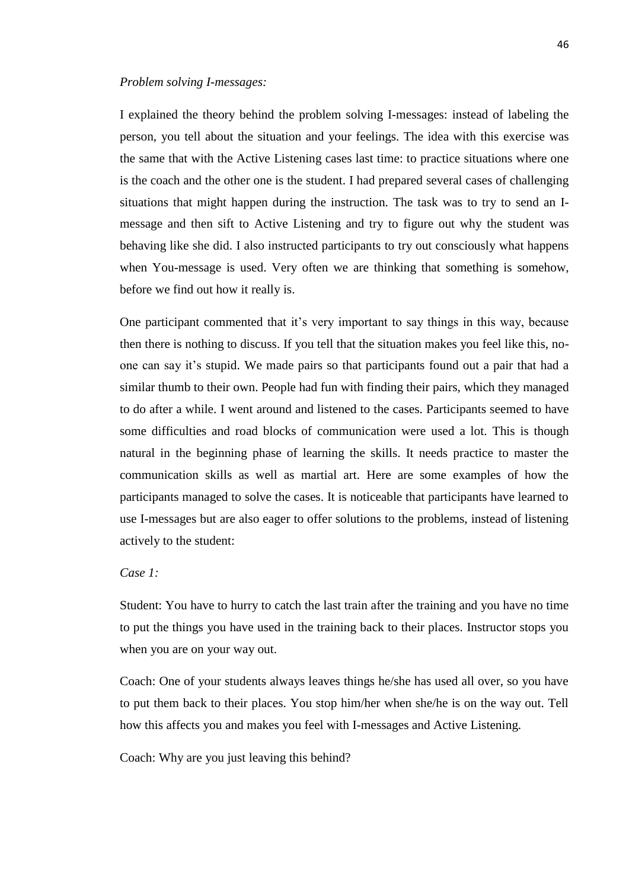### *Problem solving I-messages:*

I explained the theory behind the problem solving I-messages: instead of labeling the person, you tell about the situation and your feelings. The idea with this exercise was the same that with the Active Listening cases last time: to practice situations where one is the coach and the other one is the student. I had prepared several cases of challenging situations that might happen during the instruction. The task was to try to send an Imessage and then sift to Active Listening and try to figure out why the student was behaving like she did. I also instructed participants to try out consciously what happens when You-message is used. Very often we are thinking that something is somehow, before we find out how it really is.

One participant commented that it's very important to say things in this way, because then there is nothing to discuss. If you tell that the situation makes you feel like this, noone can say it's stupid. We made pairs so that participants found out a pair that had a similar thumb to their own. People had fun with finding their pairs, which they managed to do after a while. I went around and listened to the cases. Participants seemed to have some difficulties and road blocks of communication were used a lot. This is though natural in the beginning phase of learning the skills. It needs practice to master the communication skills as well as martial art. Here are some examples of how the participants managed to solve the cases. It is noticeable that participants have learned to use I-messages but are also eager to offer solutions to the problems, instead of listening actively to the student:

# *Case 1:*

Student: You have to hurry to catch the last train after the training and you have no time to put the things you have used in the training back to their places. Instructor stops you when you are on your way out.

Coach: One of your students always leaves things he/she has used all over, so you have to put them back to their places. You stop him/her when she/he is on the way out. Tell how this affects you and makes you feel with I-messages and Active Listening.

Coach: Why are you just leaving this behind?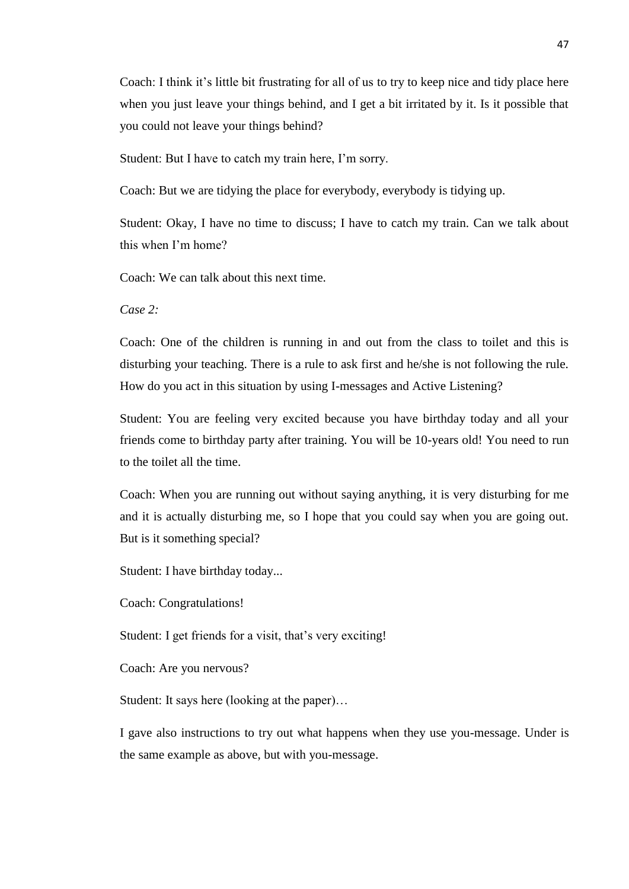Coach: I think it's little bit frustrating for all of us to try to keep nice and tidy place here when you just leave your things behind, and I get a bit irritated by it. Is it possible that you could not leave your things behind?

Student: But I have to catch my train here, I'm sorry.

Coach: But we are tidying the place for everybody, everybody is tidying up.

Student: Okay, I have no time to discuss; I have to catch my train. Can we talk about this when I'm home?

Coach: We can talk about this next time.

*Case 2:*

Coach: One of the children is running in and out from the class to toilet and this is disturbing your teaching. There is a rule to ask first and he/she is not following the rule. How do you act in this situation by using I-messages and Active Listening?

Student: You are feeling very excited because you have birthday today and all your friends come to birthday party after training. You will be 10-years old! You need to run to the toilet all the time.

Coach: When you are running out without saying anything, it is very disturbing for me and it is actually disturbing me, so I hope that you could say when you are going out. But is it something special?

Student: I have birthday today...

Coach: Congratulations!

Student: I get friends for a visit, that's very exciting!

Coach: Are you nervous?

Student: It says here (looking at the paper)…

I gave also instructions to try out what happens when they use you-message. Under is the same example as above, but with you-message.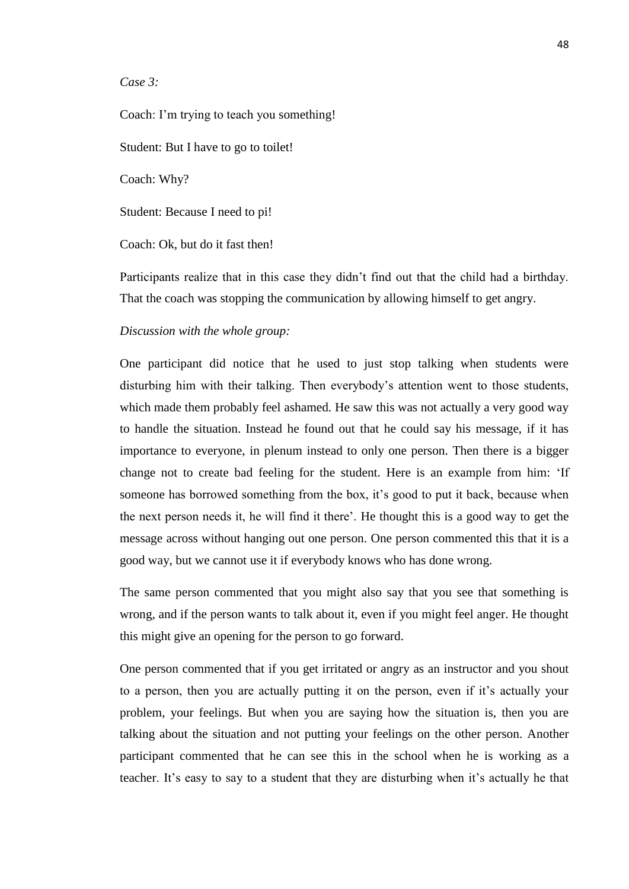*Case 3:*

Coach: I'm trying to teach you something!

Student: But I have to go to toilet!

Coach: Why?

Student: Because I need to pi!

Coach: Ok, but do it fast then!

Participants realize that in this case they didn't find out that the child had a birthday. That the coach was stopping the communication by allowing himself to get angry.

### *Discussion with the whole group:*

One participant did notice that he used to just stop talking when students were disturbing him with their talking. Then everybody's attention went to those students, which made them probably feel ashamed. He saw this was not actually a very good way to handle the situation. Instead he found out that he could say his message, if it has importance to everyone, in plenum instead to only one person. Then there is a bigger change not to create bad feeling for the student. Here is an example from him: 'If someone has borrowed something from the box, it's good to put it back, because when the next person needs it, he will find it there'. He thought this is a good way to get the message across without hanging out one person. One person commented this that it is a good way, but we cannot use it if everybody knows who has done wrong.

The same person commented that you might also say that you see that something is wrong, and if the person wants to talk about it, even if you might feel anger. He thought this might give an opening for the person to go forward.

One person commented that if you get irritated or angry as an instructor and you shout to a person, then you are actually putting it on the person, even if it's actually your problem, your feelings. But when you are saying how the situation is, then you are talking about the situation and not putting your feelings on the other person. Another participant commented that he can see this in the school when he is working as a teacher. It's easy to say to a student that they are disturbing when it's actually he that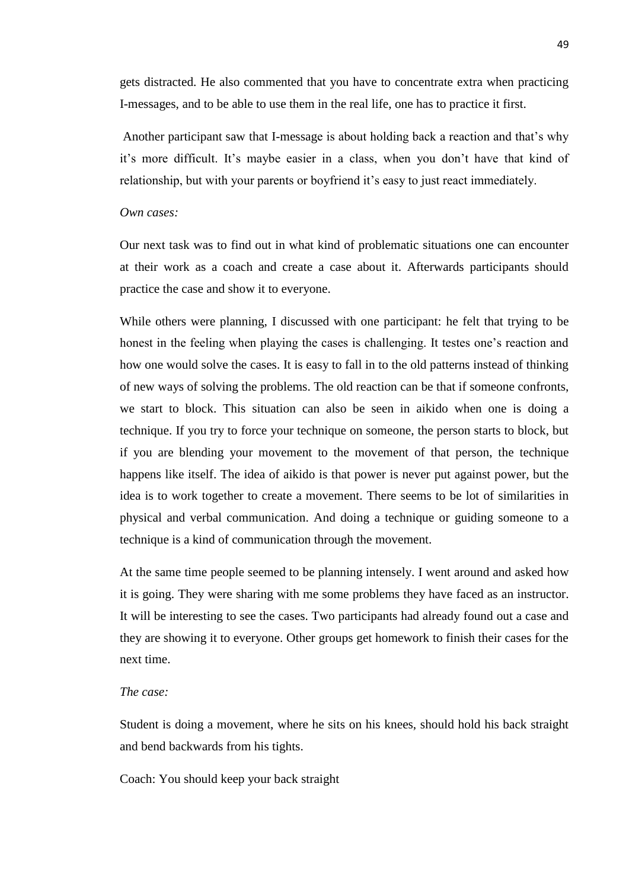gets distracted. He also commented that you have to concentrate extra when practicing I-messages, and to be able to use them in the real life, one has to practice it first.

Another participant saw that I-message is about holding back a reaction and that's why it's more difficult. It's maybe easier in a class, when you don't have that kind of relationship, but with your parents or boyfriend it's easy to just react immediately.

### *Own cases:*

Our next task was to find out in what kind of problematic situations one can encounter at their work as a coach and create a case about it. Afterwards participants should practice the case and show it to everyone.

While others were planning, I discussed with one participant: he felt that trying to be honest in the feeling when playing the cases is challenging. It testes one's reaction and how one would solve the cases. It is easy to fall in to the old patterns instead of thinking of new ways of solving the problems. The old reaction can be that if someone confronts, we start to block. This situation can also be seen in aikido when one is doing a technique. If you try to force your technique on someone, the person starts to block, but if you are blending your movement to the movement of that person, the technique happens like itself. The idea of aikido is that power is never put against power, but the idea is to work together to create a movement. There seems to be lot of similarities in physical and verbal communication. And doing a technique or guiding someone to a technique is a kind of communication through the movement.

At the same time people seemed to be planning intensely. I went around and asked how it is going. They were sharing with me some problems they have faced as an instructor. It will be interesting to see the cases. Two participants had already found out a case and they are showing it to everyone. Other groups get homework to finish their cases for the next time.

## *The case:*

Student is doing a movement, where he sits on his knees, should hold his back straight and bend backwards from his tights.

Coach: You should keep your back straight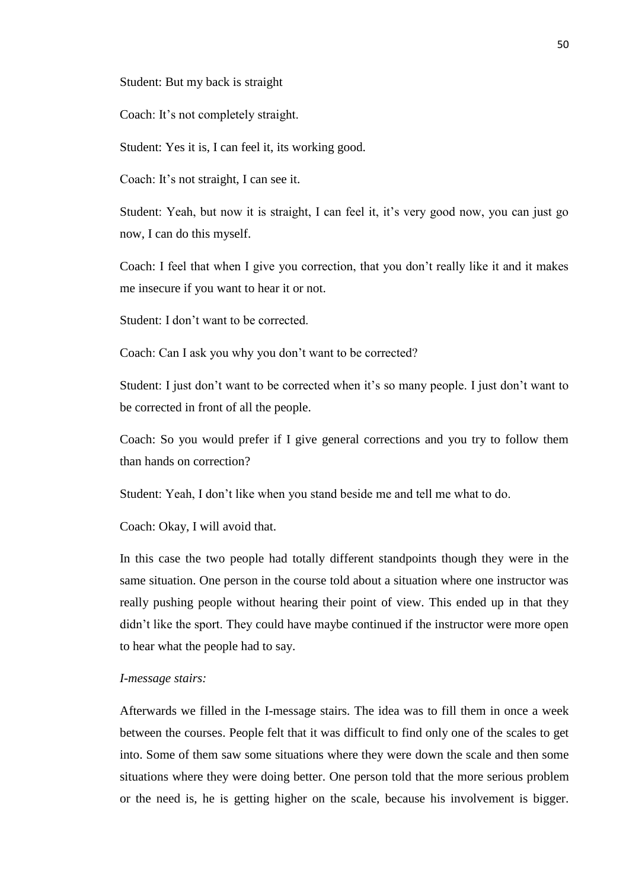Student: But my back is straight

Coach: It's not completely straight.

Student: Yes it is, I can feel it, its working good.

Coach: It's not straight, I can see it.

Student: Yeah, but now it is straight, I can feel it, it's very good now, you can just go now, I can do this myself.

Coach: I feel that when I give you correction, that you don't really like it and it makes me insecure if you want to hear it or not.

Student: I don't want to be corrected.

Coach: Can I ask you why you don't want to be corrected?

Student: I just don't want to be corrected when it's so many people. I just don't want to be corrected in front of all the people.

Coach: So you would prefer if I give general corrections and you try to follow them than hands on correction?

Student: Yeah, I don't like when you stand beside me and tell me what to do.

Coach: Okay, I will avoid that.

In this case the two people had totally different standpoints though they were in the same situation. One person in the course told about a situation where one instructor was really pushing people without hearing their point of view. This ended up in that they didn't like the sport. They could have maybe continued if the instructor were more open to hear what the people had to say.

## *I-message stairs:*

Afterwards we filled in the I-message stairs. The idea was to fill them in once a week between the courses. People felt that it was difficult to find only one of the scales to get into. Some of them saw some situations where they were down the scale and then some situations where they were doing better. One person told that the more serious problem or the need is, he is getting higher on the scale, because his involvement is bigger.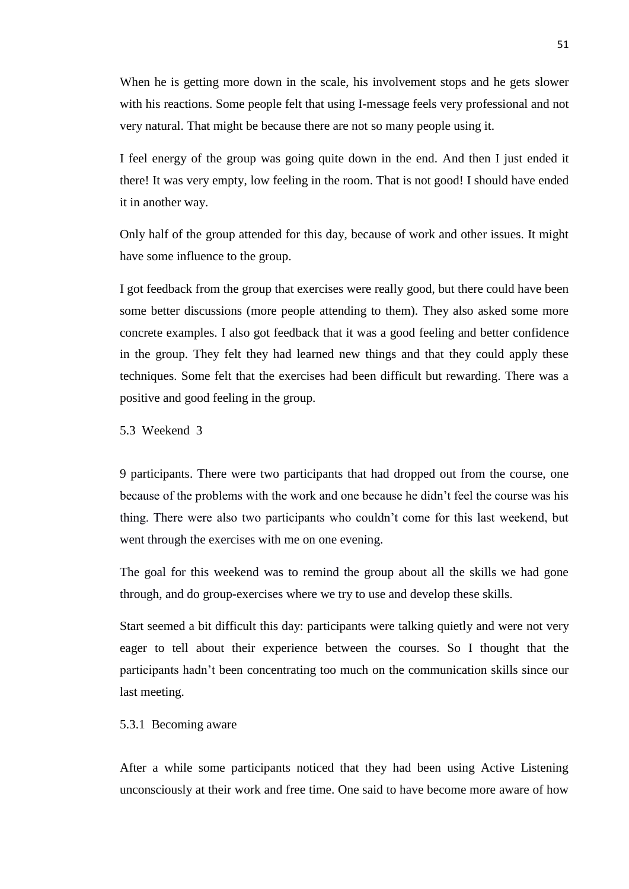When he is getting more down in the scale, his involvement stops and he gets slower with his reactions. Some people felt that using I-message feels very professional and not very natural. That might be because there are not so many people using it.

I feel energy of the group was going quite down in the end. And then I just ended it there! It was very empty, low feeling in the room. That is not good! I should have ended it in another way.

Only half of the group attended for this day, because of work and other issues. It might have some influence to the group.

I got feedback from the group that exercises were really good, but there could have been some better discussions (more people attending to them). They also asked some more concrete examples. I also got feedback that it was a good feeling and better confidence in the group. They felt they had learned new things and that they could apply these techniques. Some felt that the exercises had been difficult but rewarding. There was a positive and good feeling in the group.

5.3 Weekend 3

9 participants. There were two participants that had dropped out from the course, one because of the problems with the work and one because he didn't feel the course was his thing. There were also two participants who couldn't come for this last weekend, but went through the exercises with me on one evening.

The goal for this weekend was to remind the group about all the skills we had gone through, and do group-exercises where we try to use and develop these skills.

Start seemed a bit difficult this day: participants were talking quietly and were not very eager to tell about their experience between the courses. So I thought that the participants hadn't been concentrating too much on the communication skills since our last meeting.

# 5.3.1 Becoming aware

After a while some participants noticed that they had been using Active Listening unconsciously at their work and free time. One said to have become more aware of how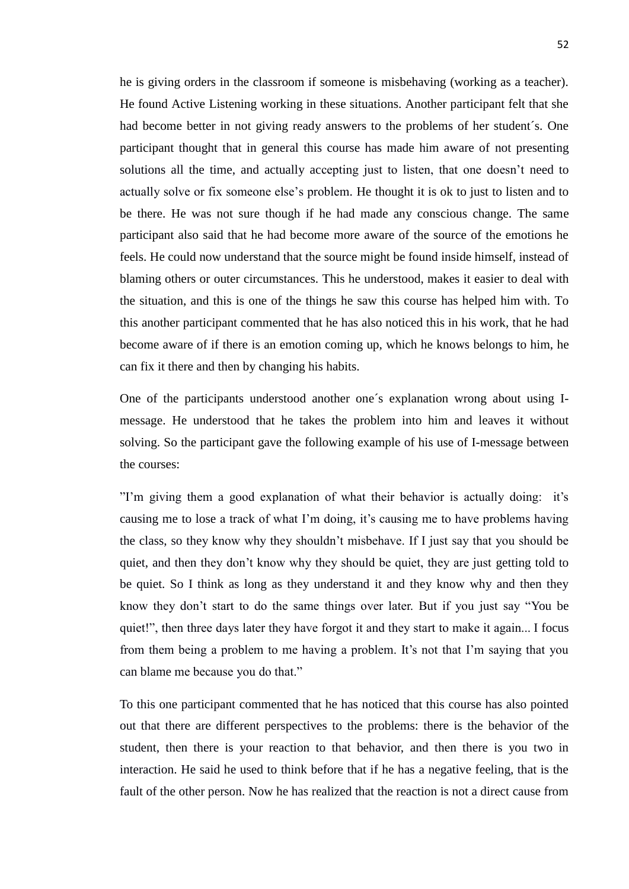he is giving orders in the classroom if someone is misbehaving (working as a teacher). He found Active Listening working in these situations. Another participant felt that she had become better in not giving ready answers to the problems of her student´s. One participant thought that in general this course has made him aware of not presenting solutions all the time, and actually accepting just to listen, that one doesn't need to actually solve or fix someone else's problem. He thought it is ok to just to listen and to be there. He was not sure though if he had made any conscious change. The same participant also said that he had become more aware of the source of the emotions he feels. He could now understand that the source might be found inside himself, instead of blaming others or outer circumstances. This he understood, makes it easier to deal with the situation, and this is one of the things he saw this course has helped him with. To this another participant commented that he has also noticed this in his work, that he had become aware of if there is an emotion coming up, which he knows belongs to him, he can fix it there and then by changing his habits.

One of the participants understood another one´s explanation wrong about using Imessage. He understood that he takes the problem into him and leaves it without solving. So the participant gave the following example of his use of I-message between the courses:

"I'm giving them a good explanation of what their behavior is actually doing: it's causing me to lose a track of what I'm doing, it's causing me to have problems having the class, so they know why they shouldn't misbehave. If I just say that you should be quiet, and then they don't know why they should be quiet, they are just getting told to be quiet. So I think as long as they understand it and they know why and then they know they don't start to do the same things over later. But if you just say "You be quiet!", then three days later they have forgot it and they start to make it again... I focus from them being a problem to me having a problem. It's not that I'm saying that you can blame me because you do that."

To this one participant commented that he has noticed that this course has also pointed out that there are different perspectives to the problems: there is the behavior of the student, then there is your reaction to that behavior, and then there is you two in interaction. He said he used to think before that if he has a negative feeling, that is the fault of the other person. Now he has realized that the reaction is not a direct cause from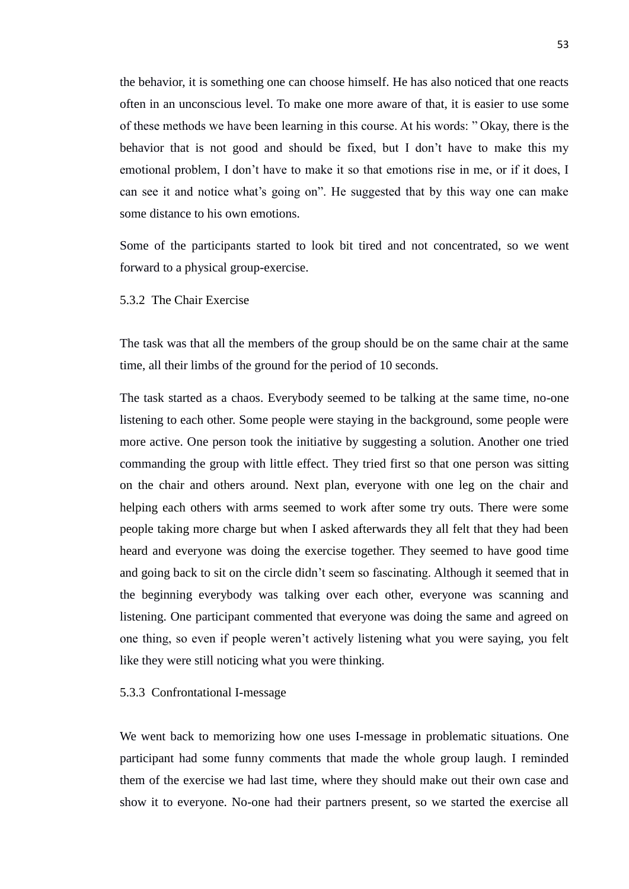the behavior, it is something one can choose himself. He has also noticed that one reacts often in an unconscious level. To make one more aware of that, it is easier to use some of these methods we have been learning in this course. At his words: " Okay, there is the behavior that is not good and should be fixed, but I don't have to make this my emotional problem, I don't have to make it so that emotions rise in me, or if it does, I can see it and notice what's going on". He suggested that by this way one can make some distance to his own emotions.

Some of the participants started to look bit tired and not concentrated, so we went forward to a physical group-exercise.

## 5.3.2 The Chair Exercise

The task was that all the members of the group should be on the same chair at the same time, all their limbs of the ground for the period of 10 seconds.

The task started as a chaos. Everybody seemed to be talking at the same time, no-one listening to each other. Some people were staying in the background, some people were more active. One person took the initiative by suggesting a solution. Another one tried commanding the group with little effect. They tried first so that one person was sitting on the chair and others around. Next plan, everyone with one leg on the chair and helping each others with arms seemed to work after some try outs. There were some people taking more charge but when I asked afterwards they all felt that they had been heard and everyone was doing the exercise together. They seemed to have good time and going back to sit on the circle didn't seem so fascinating. Although it seemed that in the beginning everybody was talking over each other, everyone was scanning and listening. One participant commented that everyone was doing the same and agreed on one thing, so even if people weren't actively listening what you were saying, you felt like they were still noticing what you were thinking.

#### 5.3.3 Confrontational I-message

We went back to memorizing how one uses I-message in problematic situations. One participant had some funny comments that made the whole group laugh. I reminded them of the exercise we had last time, where they should make out their own case and show it to everyone. No-one had their partners present, so we started the exercise all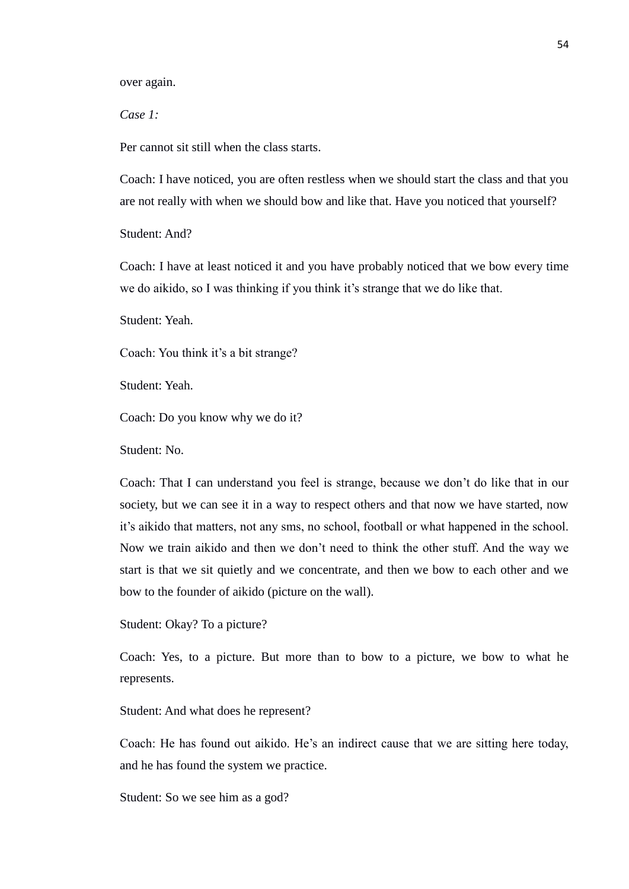over again.

*Case 1:*

Per cannot sit still when the class starts.

Coach: I have noticed, you are often restless when we should start the class and that you are not really with when we should bow and like that. Have you noticed that yourself?

Student: And?

Coach: I have at least noticed it and you have probably noticed that we bow every time we do aikido, so I was thinking if you think it's strange that we do like that.

Student: Yeah.

Coach: You think it's a bit strange?

Student: Yeah.

Coach: Do you know why we do it?

Student: No.

Coach: That I can understand you feel is strange, because we don't do like that in our society, but we can see it in a way to respect others and that now we have started, now it's aikido that matters, not any sms, no school, football or what happened in the school. Now we train aikido and then we don't need to think the other stuff. And the way we start is that we sit quietly and we concentrate, and then we bow to each other and we bow to the founder of aikido (picture on the wall).

Student: Okay? To a picture?

Coach: Yes, to a picture. But more than to bow to a picture, we bow to what he represents.

Student: And what does he represent?

Coach: He has found out aikido. He's an indirect cause that we are sitting here today, and he has found the system we practice.

Student: So we see him as a god?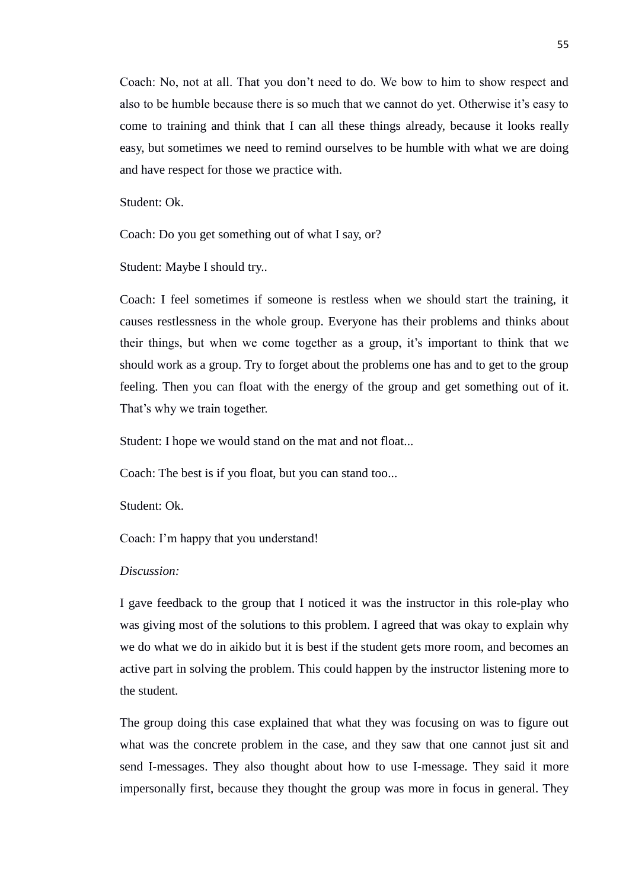Coach: No, not at all. That you don't need to do. We bow to him to show respect and also to be humble because there is so much that we cannot do yet. Otherwise it's easy to come to training and think that I can all these things already, because it looks really easy, but sometimes we need to remind ourselves to be humble with what we are doing and have respect for those we practice with.

Student: Ok.

Coach: Do you get something out of what I say, or?

Student: Maybe I should try..

Coach: I feel sometimes if someone is restless when we should start the training, it causes restlessness in the whole group. Everyone has their problems and thinks about their things, but when we come together as a group, it's important to think that we should work as a group. Try to forget about the problems one has and to get to the group feeling. Then you can float with the energy of the group and get something out of it. That's why we train together.

Student: I hope we would stand on the mat and not float...

Coach: The best is if you float, but you can stand too...

Student: Ok.

Coach: I'm happy that you understand!

# *Discussion:*

I gave feedback to the group that I noticed it was the instructor in this role-play who was giving most of the solutions to this problem. I agreed that was okay to explain why we do what we do in aikido but it is best if the student gets more room, and becomes an active part in solving the problem. This could happen by the instructor listening more to the student.

The group doing this case explained that what they was focusing on was to figure out what was the concrete problem in the case, and they saw that one cannot just sit and send I-messages. They also thought about how to use I-message. They said it more impersonally first, because they thought the group was more in focus in general. They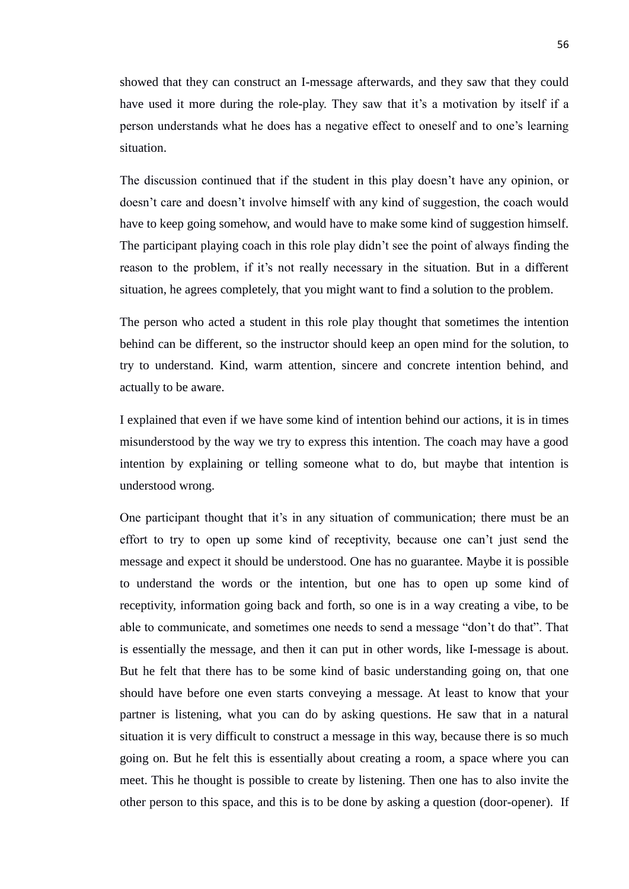showed that they can construct an I-message afterwards, and they saw that they could have used it more during the role-play. They saw that it's a motivation by itself if a person understands what he does has a negative effect to oneself and to one's learning situation.

The discussion continued that if the student in this play doesn't have any opinion, or doesn't care and doesn't involve himself with any kind of suggestion, the coach would have to keep going somehow, and would have to make some kind of suggestion himself. The participant playing coach in this role play didn't see the point of always finding the reason to the problem, if it's not really necessary in the situation. But in a different situation, he agrees completely, that you might want to find a solution to the problem.

The person who acted a student in this role play thought that sometimes the intention behind can be different, so the instructor should keep an open mind for the solution, to try to understand. Kind, warm attention, sincere and concrete intention behind, and actually to be aware.

I explained that even if we have some kind of intention behind our actions, it is in times misunderstood by the way we try to express this intention. The coach may have a good intention by explaining or telling someone what to do, but maybe that intention is understood wrong.

One participant thought that it's in any situation of communication; there must be an effort to try to open up some kind of receptivity, because one can't just send the message and expect it should be understood. One has no guarantee. Maybe it is possible to understand the words or the intention, but one has to open up some kind of receptivity, information going back and forth, so one is in a way creating a vibe, to be able to communicate, and sometimes one needs to send a message "don't do that". That is essentially the message, and then it can put in other words, like I-message is about. But he felt that there has to be some kind of basic understanding going on, that one should have before one even starts conveying a message. At least to know that your partner is listening, what you can do by asking questions. He saw that in a natural situation it is very difficult to construct a message in this way, because there is so much going on. But he felt this is essentially about creating a room, a space where you can meet. This he thought is possible to create by listening. Then one has to also invite the other person to this space, and this is to be done by asking a question (door-opener). If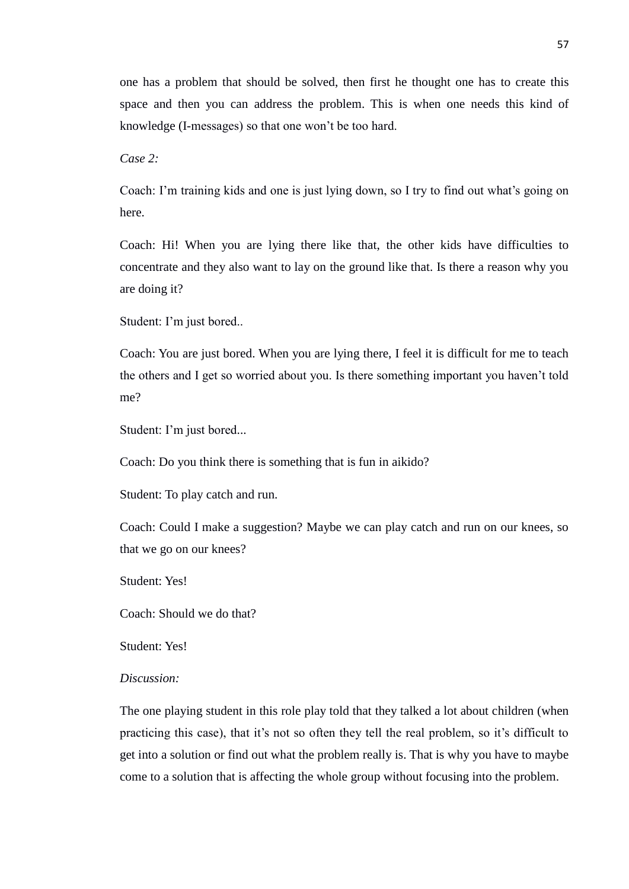one has a problem that should be solved, then first he thought one has to create this space and then you can address the problem. This is when one needs this kind of knowledge (I-messages) so that one won't be too hard.

*Case 2:*

Coach: I'm training kids and one is just lying down, so I try to find out what's going on here.

Coach: Hi! When you are lying there like that, the other kids have difficulties to concentrate and they also want to lay on the ground like that. Is there a reason why you are doing it?

Student: I'm just bored..

Coach: You are just bored. When you are lying there, I feel it is difficult for me to teach the others and I get so worried about you. Is there something important you haven't told me?

Student: I'm just bored...

Coach: Do you think there is something that is fun in aikido?

Student: To play catch and run.

Coach: Could I make a suggestion? Maybe we can play catch and run on our knees, so that we go on our knees?

Student: Yes!

Coach: Should we do that?

Student: Yes!

### *Discussion:*

The one playing student in this role play told that they talked a lot about children (when practicing this case), that it's not so often they tell the real problem, so it's difficult to get into a solution or find out what the problem really is. That is why you have to maybe come to a solution that is affecting the whole group without focusing into the problem.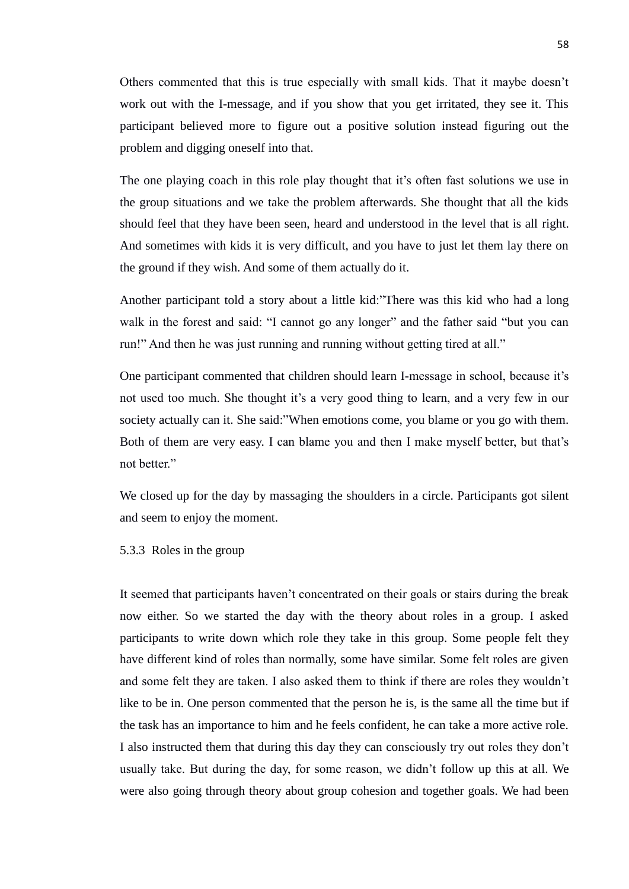Others commented that this is true especially with small kids. That it maybe doesn't work out with the I-message, and if you show that you get irritated, they see it. This participant believed more to figure out a positive solution instead figuring out the problem and digging oneself into that.

The one playing coach in this role play thought that it's often fast solutions we use in the group situations and we take the problem afterwards. She thought that all the kids should feel that they have been seen, heard and understood in the level that is all right. And sometimes with kids it is very difficult, and you have to just let them lay there on the ground if they wish. And some of them actually do it.

Another participant told a story about a little kid:"There was this kid who had a long walk in the forest and said: "I cannot go any longer" and the father said "but you can run!" And then he was just running and running without getting tired at all."

One participant commented that children should learn I-message in school, because it's not used too much. She thought it's a very good thing to learn, and a very few in our society actually can it. She said:"When emotions come, you blame or you go with them. Both of them are very easy. I can blame you and then I make myself better, but that's not better."

We closed up for the day by massaging the shoulders in a circle. Participants got silent and seem to enjoy the moment.

# 5.3.3 Roles in the group

It seemed that participants haven't concentrated on their goals or stairs during the break now either. So we started the day with the theory about roles in a group. I asked participants to write down which role they take in this group. Some people felt they have different kind of roles than normally, some have similar. Some felt roles are given and some felt they are taken. I also asked them to think if there are roles they wouldn't like to be in. One person commented that the person he is, is the same all the time but if the task has an importance to him and he feels confident, he can take a more active role. I also instructed them that during this day they can consciously try out roles they don't usually take. But during the day, for some reason, we didn't follow up this at all. We were also going through theory about group cohesion and together goals. We had been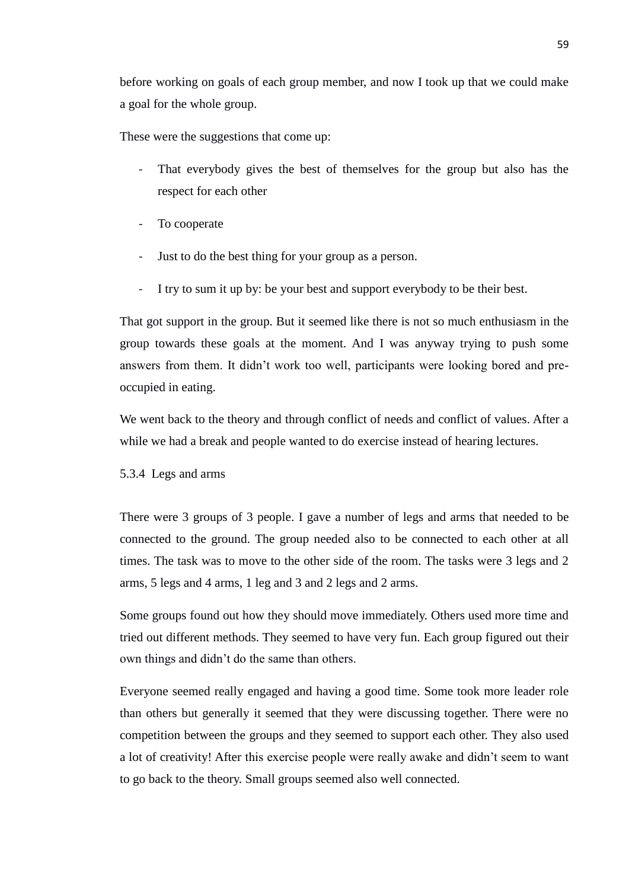before working on goals of each group member, and now I took up that we could make a goal for the whole group.

These were the suggestions that come up:

- That everybody gives the best of themselves for the group but also has the respect for each other
- To cooperate
- Just to do the best thing for your group as a person.
- I try to sum it up by: be your best and support everybody to be their best.

That got support in the group. But it seemed like there is not so much enthusiasm in the group towards these goals at the moment. And I was anyway trying to push some answers from them. It didn't work too well, participants were looking bored and preoccupied in eating.

We went back to the theory and through conflict of needs and conflict of values. After a while we had a break and people wanted to do exercise instead of hearing lectures.

5.3.4 Legs and arms

There were 3 groups of 3 people. I gave a number of legs and arms that needed to be connected to the ground. The group needed also to be connected to each other at all times. The task was to move to the other side of the room. The tasks were 3 legs and 2 arms, 5 legs and 4 arms, 1 leg and 3 and 2 legs and 2 arms.

Some groups found out how they should move immediately. Others used more time and tried out different methods. They seemed to have very fun. Each group figured out their own things and didn't do the same than others.

Everyone seemed really engaged and having a good time. Some took more leader role than others but generally it seemed that they were discussing together. There were no competition between the groups and they seemed to support each other. They also used a lot of creativity! After this exercise people were really awake and didn't seem to want to go back to the theory. Small groups seemed also well connected.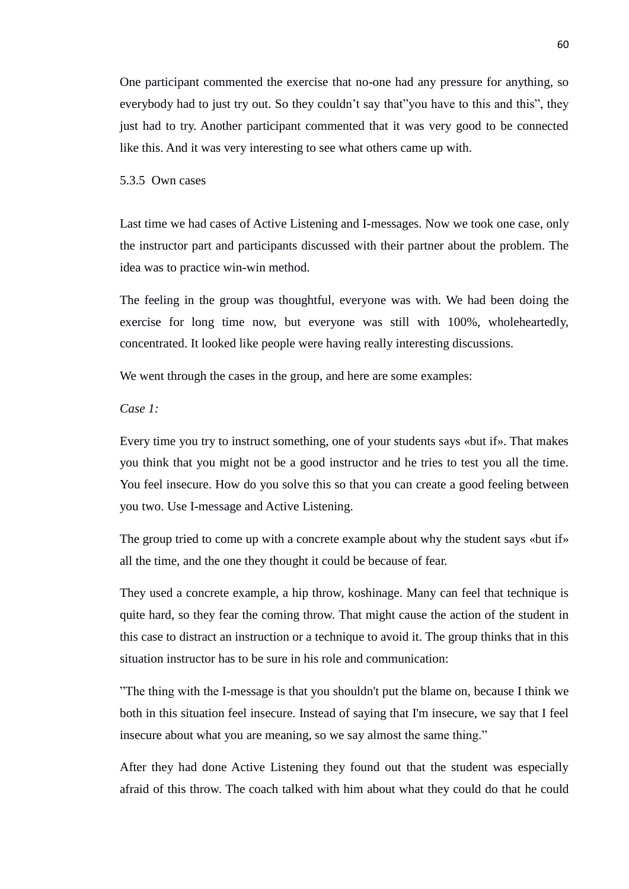One participant commented the exercise that no-one had any pressure for anything, so everybody had to just try out. So they couldn't say that"you have to this and this", they just had to try. Another participant commented that it was very good to be connected like this. And it was very interesting to see what others came up with.

## 5.3.5 Own cases

Last time we had cases of Active Listening and I-messages. Now we took one case, only the instructor part and participants discussed with their partner about the problem. The idea was to practice win-win method.

The feeling in the group was thoughtful, everyone was with. We had been doing the exercise for long time now, but everyone was still with 100%, wholeheartedly, concentrated. It looked like people were having really interesting discussions.

We went through the cases in the group, and here are some examples:

# *Case 1:*

Every time you try to instruct something, one of your students says «but if». That makes you think that you might not be a good instructor and he tries to test you all the time. You feel insecure. How do you solve this so that you can create a good feeling between you two. Use I-message and Active Listening.

The group tried to come up with a concrete example about why the student says «but if» all the time, and the one they thought it could be because of fear.

They used a concrete example, a hip throw, koshinage. Many can feel that technique is quite hard, so they fear the coming throw. That might cause the action of the student in this case to distract an instruction or a technique to avoid it. The group thinks that in this situation instructor has to be sure in his role and communication:

"The thing with the I-message is that you shouldn't put the blame on, because I think we both in this situation feel insecure. Instead of saying that I'm insecure, we say that I feel insecure about what you are meaning, so we say almost the same thing."

After they had done Active Listening they found out that the student was especially afraid of this throw. The coach talked with him about what they could do that he could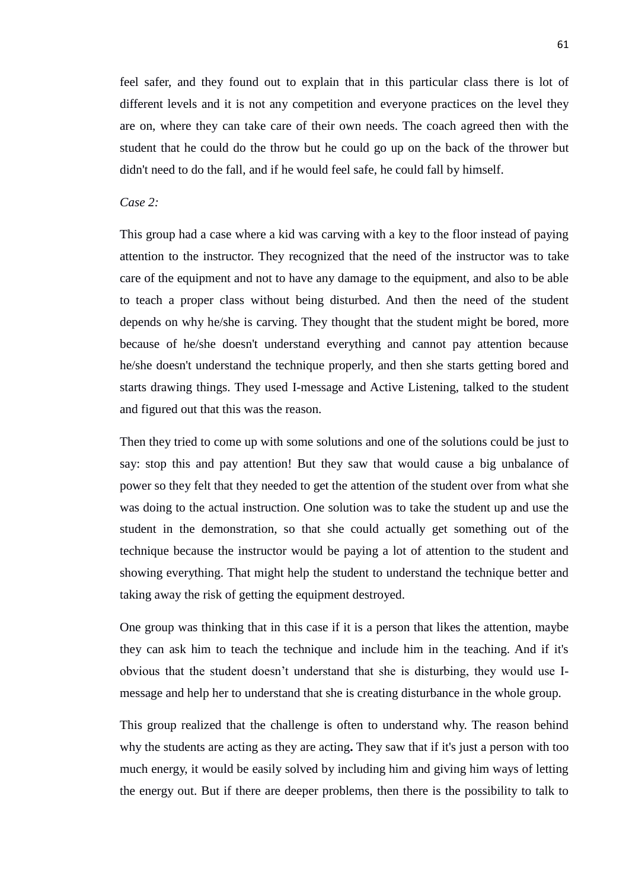feel safer, and they found out to explain that in this particular class there is lot of different levels and it is not any competition and everyone practices on the level they are on, where they can take care of their own needs. The coach agreed then with the student that he could do the throw but he could go up on the back of the thrower but didn't need to do the fall, and if he would feel safe, he could fall by himself.

# *Case 2:*

This group had a case where a kid was carving with a key to the floor instead of paying attention to the instructor. They recognized that the need of the instructor was to take care of the equipment and not to have any damage to the equipment, and also to be able to teach a proper class without being disturbed. And then the need of the student depends on why he/she is carving. They thought that the student might be bored, more because of he/she doesn't understand everything and cannot pay attention because he/she doesn't understand the technique properly, and then she starts getting bored and starts drawing things. They used I-message and Active Listening, talked to the student and figured out that this was the reason.

Then they tried to come up with some solutions and one of the solutions could be just to say: stop this and pay attention! But they saw that would cause a big unbalance of power so they felt that they needed to get the attention of the student over from what she was doing to the actual instruction. One solution was to take the student up and use the student in the demonstration, so that she could actually get something out of the technique because the instructor would be paying a lot of attention to the student and showing everything. That might help the student to understand the technique better and taking away the risk of getting the equipment destroyed.

One group was thinking that in this case if it is a person that likes the attention, maybe they can ask him to teach the technique and include him in the teaching. And if it's obvious that the student doesn't understand that she is disturbing, they would use Imessage and help her to understand that she is creating disturbance in the whole group.

This group realized that the challenge is often to understand why. The reason behind why the students are acting as they are acting**.** They saw that if it's just a person with too much energy, it would be easily solved by including him and giving him ways of letting the energy out. But if there are deeper problems, then there is the possibility to talk to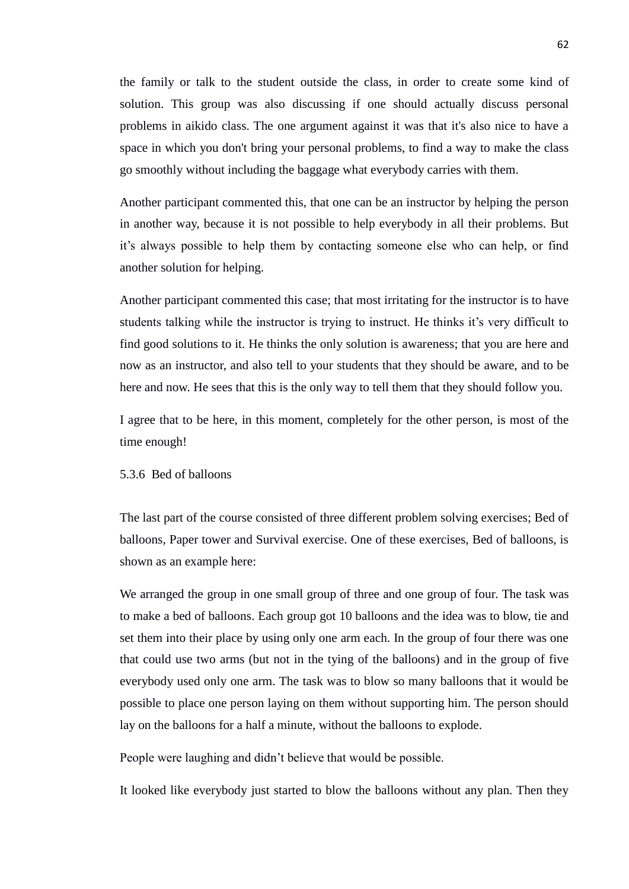the family or talk to the student outside the class, in order to create some kind of solution. This group was also discussing if one should actually discuss personal problems in aikido class. The one argument against it was that it's also nice to have a space in which you don't bring your personal problems, to find a way to make the class go smoothly without including the baggage what everybody carries with them.

Another participant commented this, that one can be an instructor by helping the person in another way, because it is not possible to help everybody in all their problems. But it's always possible to help them by contacting someone else who can help, or find another solution for helping.

Another participant commented this case; that most irritating for the instructor is to have students talking while the instructor is trying to instruct. He thinks it's very difficult to find good solutions to it. He thinks the only solution is awareness; that you are here and now as an instructor, and also tell to your students that they should be aware, and to be here and now. He sees that this is the only way to tell them that they should follow you.

I agree that to be here, in this moment, completely for the other person, is most of the time enough!

# 5.3.6 Bed of balloons

The last part of the course consisted of three different problem solving exercises; Bed of balloons, Paper tower and Survival exercise. One of these exercises, Bed of balloons, is shown as an example here:

We arranged the group in one small group of three and one group of four. The task was to make a bed of balloons. Each group got 10 balloons and the idea was to blow, tie and set them into their place by using only one arm each. In the group of four there was one that could use two arms (but not in the tying of the balloons) and in the group of five everybody used only one arm. The task was to blow so many balloons that it would be possible to place one person laying on them without supporting him. The person should lay on the balloons for a half a minute, without the balloons to explode.

People were laughing and didn't believe that would be possible.

It looked like everybody just started to blow the balloons without any plan. Then they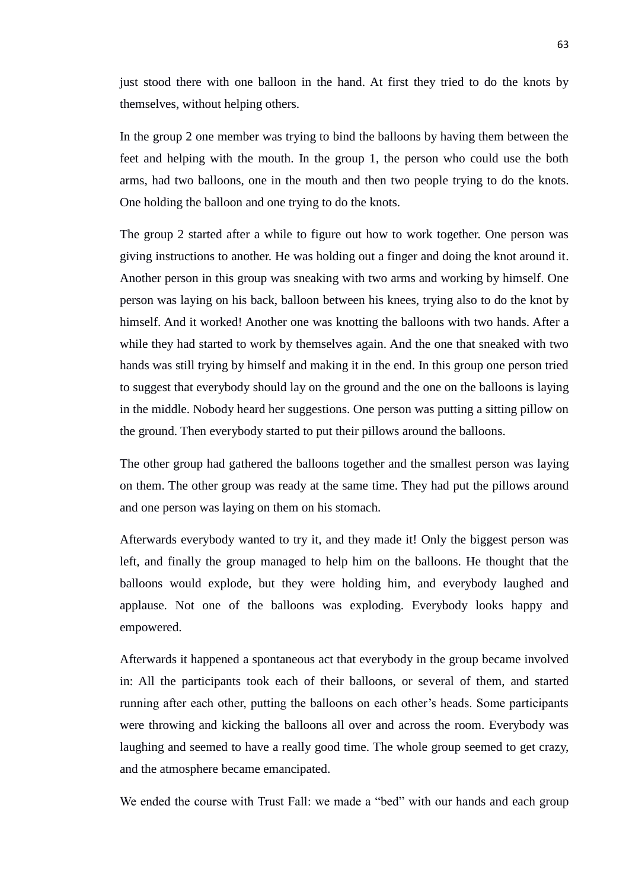just stood there with one balloon in the hand. At first they tried to do the knots by themselves, without helping others.

In the group 2 one member was trying to bind the balloons by having them between the feet and helping with the mouth. In the group 1, the person who could use the both arms, had two balloons, one in the mouth and then two people trying to do the knots. One holding the balloon and one trying to do the knots.

The group 2 started after a while to figure out how to work together. One person was giving instructions to another. He was holding out a finger and doing the knot around it. Another person in this group was sneaking with two arms and working by himself. One person was laying on his back, balloon between his knees, trying also to do the knot by himself. And it worked! Another one was knotting the balloons with two hands. After a while they had started to work by themselves again. And the one that sneaked with two hands was still trying by himself and making it in the end. In this group one person tried to suggest that everybody should lay on the ground and the one on the balloons is laying in the middle. Nobody heard her suggestions. One person was putting a sitting pillow on the ground. Then everybody started to put their pillows around the balloons.

The other group had gathered the balloons together and the smallest person was laying on them. The other group was ready at the same time. They had put the pillows around and one person was laying on them on his stomach.

Afterwards everybody wanted to try it, and they made it! Only the biggest person was left, and finally the group managed to help him on the balloons. He thought that the balloons would explode, but they were holding him, and everybody laughed and applause. Not one of the balloons was exploding. Everybody looks happy and empowered.

Afterwards it happened a spontaneous act that everybody in the group became involved in: All the participants took each of their balloons, or several of them, and started running after each other, putting the balloons on each other's heads. Some participants were throwing and kicking the balloons all over and across the room. Everybody was laughing and seemed to have a really good time. The whole group seemed to get crazy, and the atmosphere became emancipated.

We ended the course with Trust Fall: we made a "bed" with our hands and each group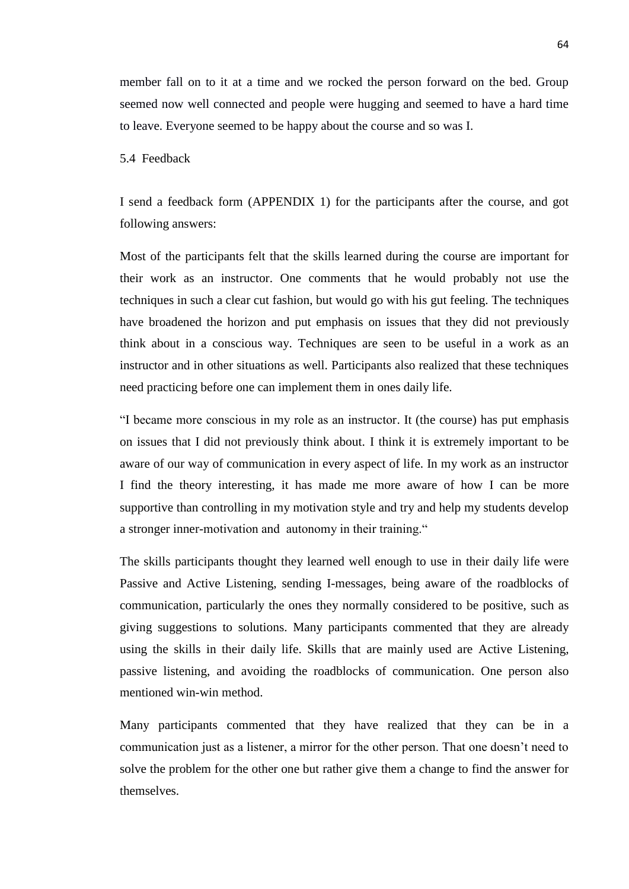member fall on to it at a time and we rocked the person forward on the bed. Group seemed now well connected and people were hugging and seemed to have a hard time to leave. Everyone seemed to be happy about the course and so was I.

# 5.4 Feedback

I send a feedback form (APPENDIX 1) for the participants after the course, and got following answers:

Most of the participants felt that the skills learned during the course are important for their work as an instructor. One comments that he would probably not use the techniques in such a clear cut fashion, but would go with his gut feeling. The techniques have broadened the horizon and put emphasis on issues that they did not previously think about in a conscious way. Techniques are seen to be useful in a work as an instructor and in other situations as well. Participants also realized that these techniques need practicing before one can implement them in ones daily life.

"I became more conscious in my role as an instructor. It (the course) has put emphasis on issues that I did not previously think about. I think it is extremely important to be aware of our way of communication in every aspect of life. In my work as an instructor I find the theory interesting, it has made me more aware of how I can be more supportive than controlling in my motivation style and try and help my students develop a stronger inner-motivation and autonomy in their training."

The skills participants thought they learned well enough to use in their daily life were Passive and Active Listening, sending I-messages, being aware of the roadblocks of communication, particularly the ones they normally considered to be positive, such as giving suggestions to solutions. Many participants commented that they are already using the skills in their daily life. Skills that are mainly used are Active Listening, passive listening, and avoiding the roadblocks of communication. One person also mentioned win-win method.

Many participants commented that they have realized that they can be in a communication just as a listener, a mirror for the other person. That one doesn't need to solve the problem for the other one but rather give them a change to find the answer for themselves.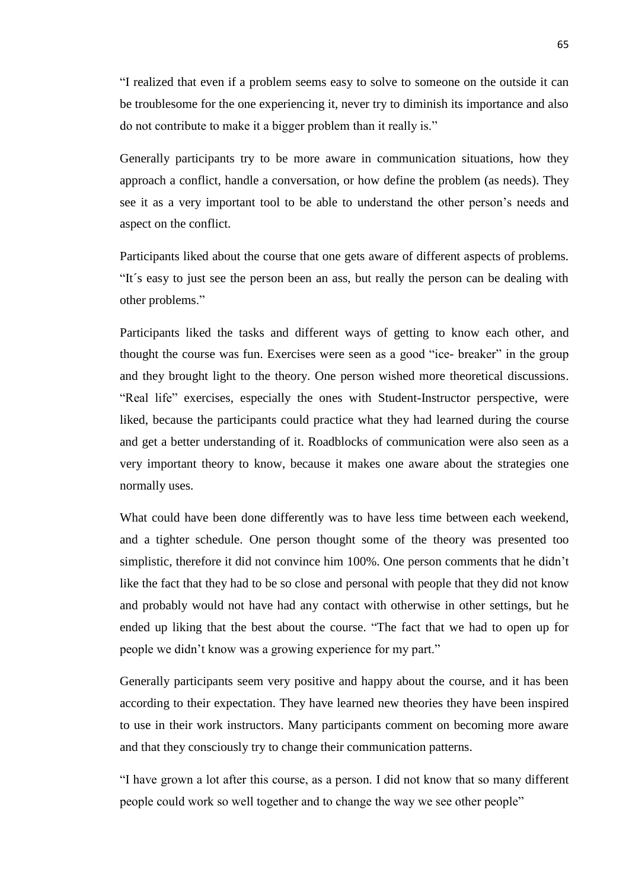"I realized that even if a problem seems easy to solve to someone on the outside it can be troublesome for the one experiencing it, never try to diminish its importance and also do not contribute to make it a bigger problem than it really is."

Generally participants try to be more aware in communication situations, how they approach a conflict, handle a conversation, or how define the problem (as needs). They see it as a very important tool to be able to understand the other person's needs and aspect on the conflict.

Participants liked about the course that one gets aware of different aspects of problems. "It´s easy to just see the person been an ass, but really the person can be dealing with other problems."

Participants liked the tasks and different ways of getting to know each other, and thought the course was fun. Exercises were seen as a good "ice- breaker" in the group and they brought light to the theory. One person wished more theoretical discussions. "Real life" exercises, especially the ones with Student-Instructor perspective, were liked, because the participants could practice what they had learned during the course and get a better understanding of it. Roadblocks of communication were also seen as a very important theory to know, because it makes one aware about the strategies one normally uses.

What could have been done differently was to have less time between each weekend, and a tighter schedule. One person thought some of the theory was presented too simplistic, therefore it did not convince him 100%. One person comments that he didn't like the fact that they had to be so close and personal with people that they did not know and probably would not have had any contact with otherwise in other settings, but he ended up liking that the best about the course. "The fact that we had to open up for people we didn't know was a growing experience for my part."

Generally participants seem very positive and happy about the course, and it has been according to their expectation. They have learned new theories they have been inspired to use in their work instructors. Many participants comment on becoming more aware and that they consciously try to change their communication patterns.

"I have grown a lot after this course, as a person. I did not know that so many different people could work so well together and to change the way we see other people"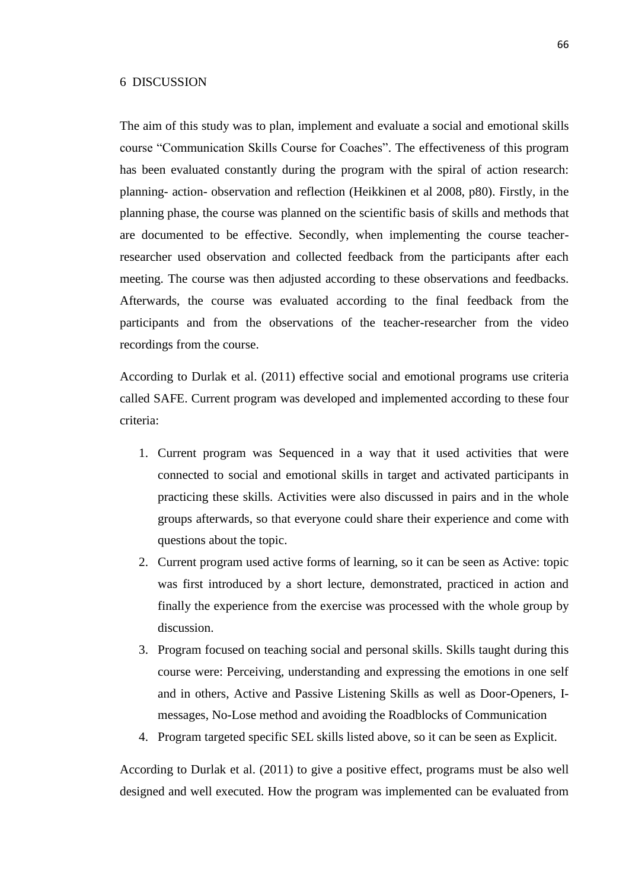## 6 DISCUSSION

The aim of this study was to plan, implement and evaluate a social and emotional skills course "Communication Skills Course for Coaches". The effectiveness of this program has been evaluated constantly during the program with the spiral of action research: planning- action- observation and reflection (Heikkinen et al 2008, p80). Firstly, in the planning phase, the course was planned on the scientific basis of skills and methods that are documented to be effective. Secondly, when implementing the course teacherresearcher used observation and collected feedback from the participants after each meeting. The course was then adjusted according to these observations and feedbacks. Afterwards, the course was evaluated according to the final feedback from the participants and from the observations of the teacher-researcher from the video recordings from the course.

According to Durlak et al. (2011) effective social and emotional programs use criteria called SAFE. Current program was developed and implemented according to these four criteria:

- 1. Current program was Sequenced in a way that it used activities that were connected to social and emotional skills in target and activated participants in practicing these skills. Activities were also discussed in pairs and in the whole groups afterwards, so that everyone could share their experience and come with questions about the topic.
- 2. Current program used active forms of learning, so it can be seen as Active: topic was first introduced by a short lecture, demonstrated, practiced in action and finally the experience from the exercise was processed with the whole group by discussion.
- 3. Program focused on teaching social and personal skills. Skills taught during this course were: Perceiving, understanding and expressing the emotions in one self and in others, Active and Passive Listening Skills as well as Door-Openers, Imessages, No-Lose method and avoiding the Roadblocks of Communication
- 4. Program targeted specific SEL skills listed above, so it can be seen as Explicit.

According to Durlak et al. (2011) to give a positive effect, programs must be also well designed and well executed. How the program was implemented can be evaluated from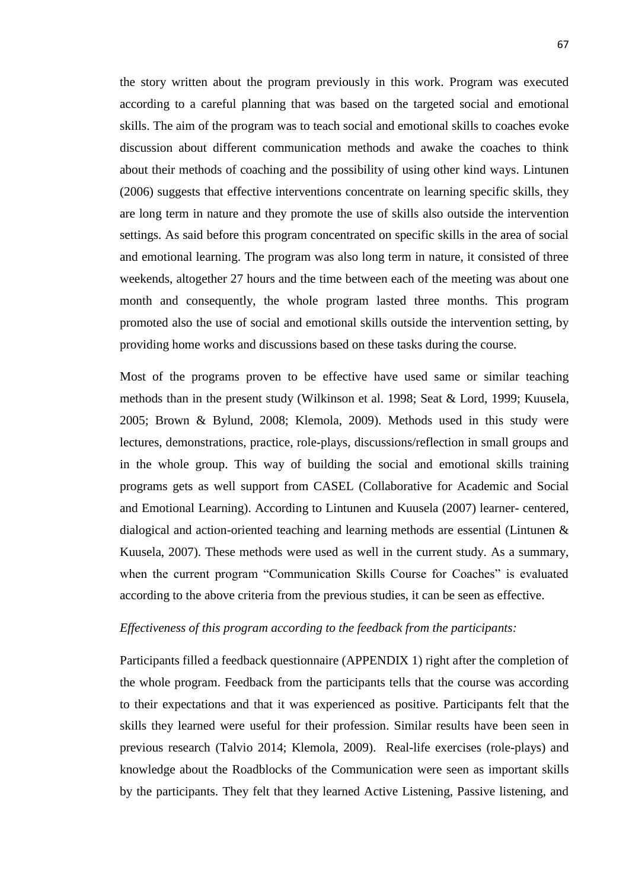the story written about the program previously in this work. Program was executed according to a careful planning that was based on the targeted social and emotional skills. The aim of the program was to teach social and emotional skills to coaches evoke discussion about different communication methods and awake the coaches to think about their methods of coaching and the possibility of using other kind ways. Lintunen (2006) suggests that effective interventions concentrate on learning specific skills, they are long term in nature and they promote the use of skills also outside the intervention settings. As said before this program concentrated on specific skills in the area of social and emotional learning. The program was also long term in nature, it consisted of three weekends, altogether 27 hours and the time between each of the meeting was about one month and consequently, the whole program lasted three months. This program promoted also the use of social and emotional skills outside the intervention setting, by providing home works and discussions based on these tasks during the course.

Most of the programs proven to be effective have used same or similar teaching methods than in the present study (Wilkinson et al. 1998; Seat & Lord, 1999; Kuusela, 2005; Brown & Bylund, 2008; Klemola, 2009). Methods used in this study were lectures, demonstrations, practice, role-plays, discussions/reflection in small groups and in the whole group. This way of building the social and emotional skills training programs gets as well support from CASEL (Collaborative for Academic and Social and Emotional Learning). According to Lintunen and Kuusela (2007) learner- centered, dialogical and action-oriented teaching and learning methods are essential (Lintunen & Kuusela, 2007). These methods were used as well in the current study. As a summary, when the current program "Communication Skills Course for Coaches" is evaluated according to the above criteria from the previous studies, it can be seen as effective.

### *Effectiveness of this program according to the feedback from the participants:*

Participants filled a feedback questionnaire (APPENDIX 1) right after the completion of the whole program. Feedback from the participants tells that the course was according to their expectations and that it was experienced as positive. Participants felt that the skills they learned were useful for their profession. Similar results have been seen in previous research (Talvio 2014; Klemola, 2009). Real-life exercises (role-plays) and knowledge about the Roadblocks of the Communication were seen as important skills by the participants. They felt that they learned Active Listening, Passive listening, and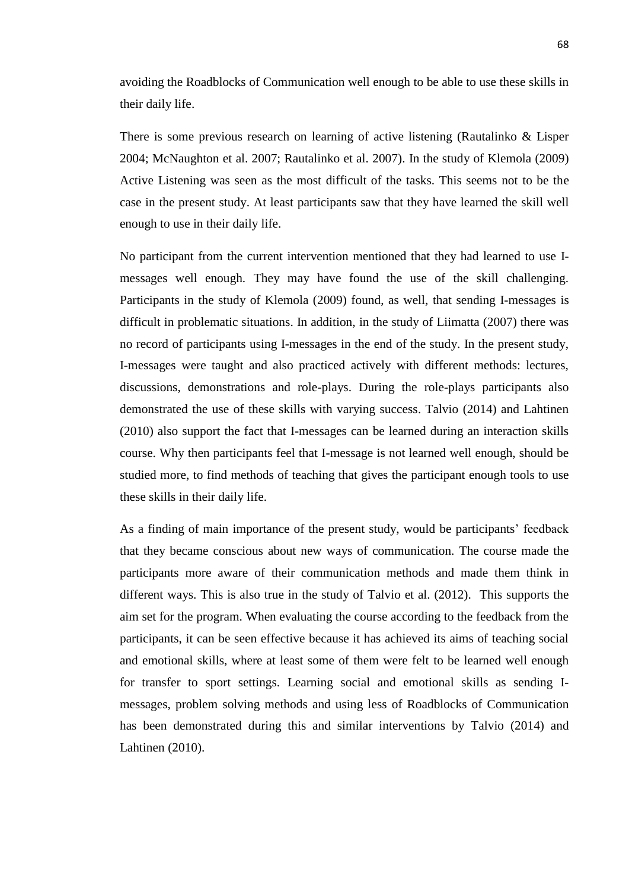avoiding the Roadblocks of Communication well enough to be able to use these skills in their daily life.

There is some previous research on learning of active listening (Rautalinko & Lisper 2004; McNaughton et al. 2007; Rautalinko et al. 2007). In the study of Klemola (2009) Active Listening was seen as the most difficult of the tasks. This seems not to be the case in the present study. At least participants saw that they have learned the skill well enough to use in their daily life.

No participant from the current intervention mentioned that they had learned to use Imessages well enough. They may have found the use of the skill challenging. Participants in the study of Klemola (2009) found, as well, that sending I-messages is difficult in problematic situations. In addition, in the study of Liimatta (2007) there was no record of participants using I-messages in the end of the study. In the present study, I-messages were taught and also practiced actively with different methods: lectures, discussions, demonstrations and role-plays. During the role-plays participants also demonstrated the use of these skills with varying success. Talvio (2014) and Lahtinen (2010) also support the fact that I-messages can be learned during an interaction skills course. Why then participants feel that I-message is not learned well enough, should be studied more, to find methods of teaching that gives the participant enough tools to use these skills in their daily life.

As a finding of main importance of the present study, would be participants' feedback that they became conscious about new ways of communication. The course made the participants more aware of their communication methods and made them think in different ways. This is also true in the study of Talvio et al. (2012). This supports the aim set for the program. When evaluating the course according to the feedback from the participants, it can be seen effective because it has achieved its aims of teaching social and emotional skills, where at least some of them were felt to be learned well enough for transfer to sport settings. Learning social and emotional skills as sending Imessages, problem solving methods and using less of Roadblocks of Communication has been demonstrated during this and similar interventions by Talvio (2014) and Lahtinen (2010).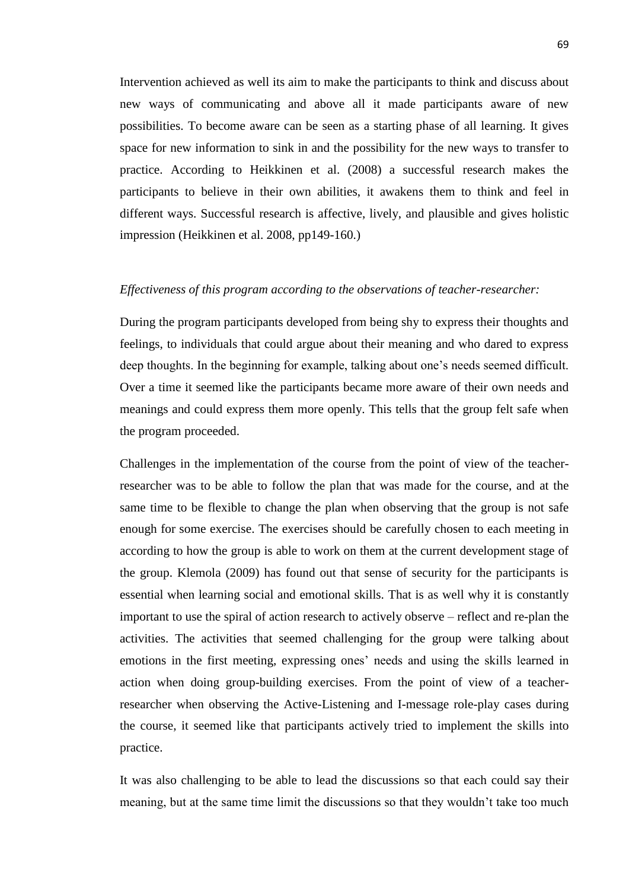Intervention achieved as well its aim to make the participants to think and discuss about new ways of communicating and above all it made participants aware of new possibilities. To become aware can be seen as a starting phase of all learning. It gives space for new information to sink in and the possibility for the new ways to transfer to practice. According to Heikkinen et al. (2008) a successful research makes the participants to believe in their own abilities, it awakens them to think and feel in different ways. Successful research is affective, lively, and plausible and gives holistic impression (Heikkinen et al. 2008, pp149-160.)

# *Effectiveness of this program according to the observations of teacher-researcher:*

During the program participants developed from being shy to express their thoughts and feelings, to individuals that could argue about their meaning and who dared to express deep thoughts. In the beginning for example, talking about one's needs seemed difficult. Over a time it seemed like the participants became more aware of their own needs and meanings and could express them more openly. This tells that the group felt safe when the program proceeded.

Challenges in the implementation of the course from the point of view of the teacherresearcher was to be able to follow the plan that was made for the course, and at the same time to be flexible to change the plan when observing that the group is not safe enough for some exercise. The exercises should be carefully chosen to each meeting in according to how the group is able to work on them at the current development stage of the group. Klemola (2009) has found out that sense of security for the participants is essential when learning social and emotional skills. That is as well why it is constantly important to use the spiral of action research to actively observe – reflect and re-plan the activities. The activities that seemed challenging for the group were talking about emotions in the first meeting, expressing ones' needs and using the skills learned in action when doing group-building exercises. From the point of view of a teacherresearcher when observing the Active-Listening and I-message role-play cases during the course, it seemed like that participants actively tried to implement the skills into practice.

It was also challenging to be able to lead the discussions so that each could say their meaning, but at the same time limit the discussions so that they wouldn't take too much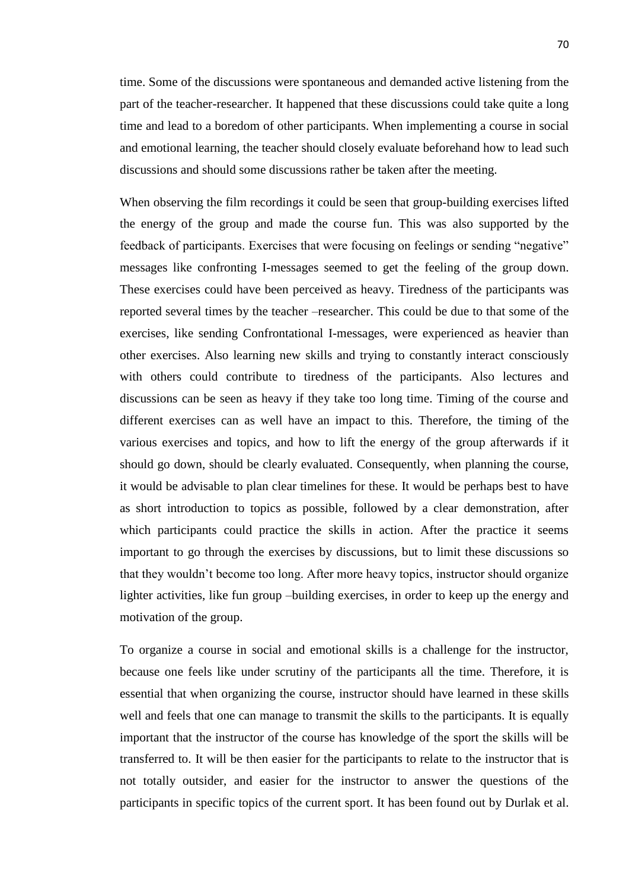time. Some of the discussions were spontaneous and demanded active listening from the part of the teacher-researcher. It happened that these discussions could take quite a long time and lead to a boredom of other participants. When implementing a course in social and emotional learning, the teacher should closely evaluate beforehand how to lead such discussions and should some discussions rather be taken after the meeting.

When observing the film recordings it could be seen that group-building exercises lifted the energy of the group and made the course fun. This was also supported by the feedback of participants. Exercises that were focusing on feelings or sending "negative" messages like confronting I-messages seemed to get the feeling of the group down. These exercises could have been perceived as heavy. Tiredness of the participants was reported several times by the teacher –researcher. This could be due to that some of the exercises, like sending Confrontational I-messages, were experienced as heavier than other exercises. Also learning new skills and trying to constantly interact consciously with others could contribute to tiredness of the participants. Also lectures and discussions can be seen as heavy if they take too long time. Timing of the course and different exercises can as well have an impact to this. Therefore, the timing of the various exercises and topics, and how to lift the energy of the group afterwards if it should go down, should be clearly evaluated. Consequently, when planning the course, it would be advisable to plan clear timelines for these. It would be perhaps best to have as short introduction to topics as possible, followed by a clear demonstration, after which participants could practice the skills in action. After the practice it seems important to go through the exercises by discussions, but to limit these discussions so that they wouldn't become too long. After more heavy topics, instructor should organize lighter activities, like fun group –building exercises, in order to keep up the energy and motivation of the group.

To organize a course in social and emotional skills is a challenge for the instructor, because one feels like under scrutiny of the participants all the time. Therefore, it is essential that when organizing the course, instructor should have learned in these skills well and feels that one can manage to transmit the skills to the participants. It is equally important that the instructor of the course has knowledge of the sport the skills will be transferred to. It will be then easier for the participants to relate to the instructor that is not totally outsider, and easier for the instructor to answer the questions of the participants in specific topics of the current sport. It has been found out by Durlak et al.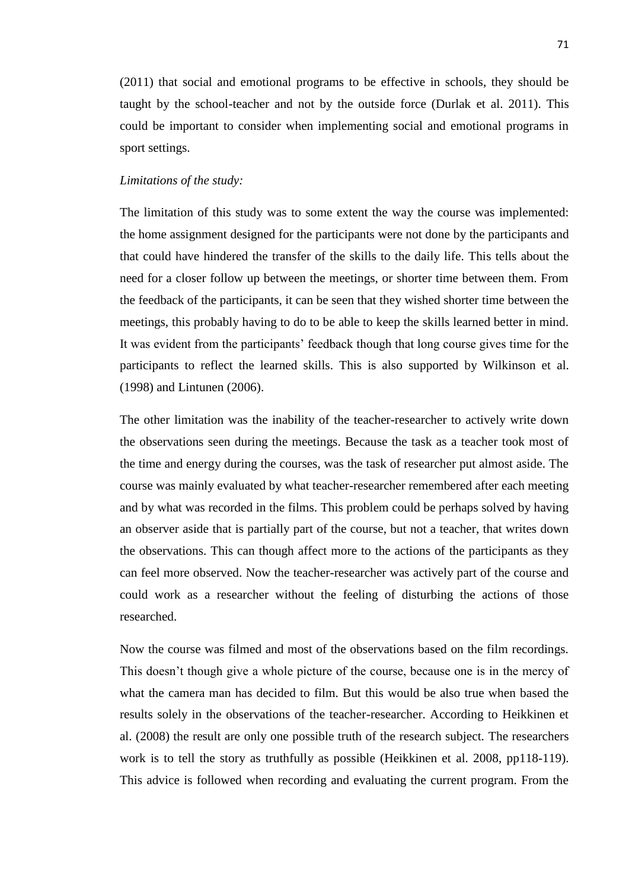(2011) that social and emotional programs to be effective in schools, they should be taught by the school-teacher and not by the outside force (Durlak et al. 2011). This could be important to consider when implementing social and emotional programs in sport settings.

# *Limitations of the study:*

The limitation of this study was to some extent the way the course was implemented: the home assignment designed for the participants were not done by the participants and that could have hindered the transfer of the skills to the daily life. This tells about the need for a closer follow up between the meetings, or shorter time between them. From the feedback of the participants, it can be seen that they wished shorter time between the meetings, this probably having to do to be able to keep the skills learned better in mind. It was evident from the participants' feedback though that long course gives time for the participants to reflect the learned skills. This is also supported by Wilkinson et al. (1998) and Lintunen (2006).

The other limitation was the inability of the teacher-researcher to actively write down the observations seen during the meetings. Because the task as a teacher took most of the time and energy during the courses, was the task of researcher put almost aside. The course was mainly evaluated by what teacher-researcher remembered after each meeting and by what was recorded in the films. This problem could be perhaps solved by having an observer aside that is partially part of the course, but not a teacher, that writes down the observations. This can though affect more to the actions of the participants as they can feel more observed. Now the teacher-researcher was actively part of the course and could work as a researcher without the feeling of disturbing the actions of those researched.

Now the course was filmed and most of the observations based on the film recordings. This doesn't though give a whole picture of the course, because one is in the mercy of what the camera man has decided to film. But this would be also true when based the results solely in the observations of the teacher-researcher. According to Heikkinen et al. (2008) the result are only one possible truth of the research subject. The researchers work is to tell the story as truthfully as possible (Heikkinen et al. 2008, pp118-119). This advice is followed when recording and evaluating the current program. From the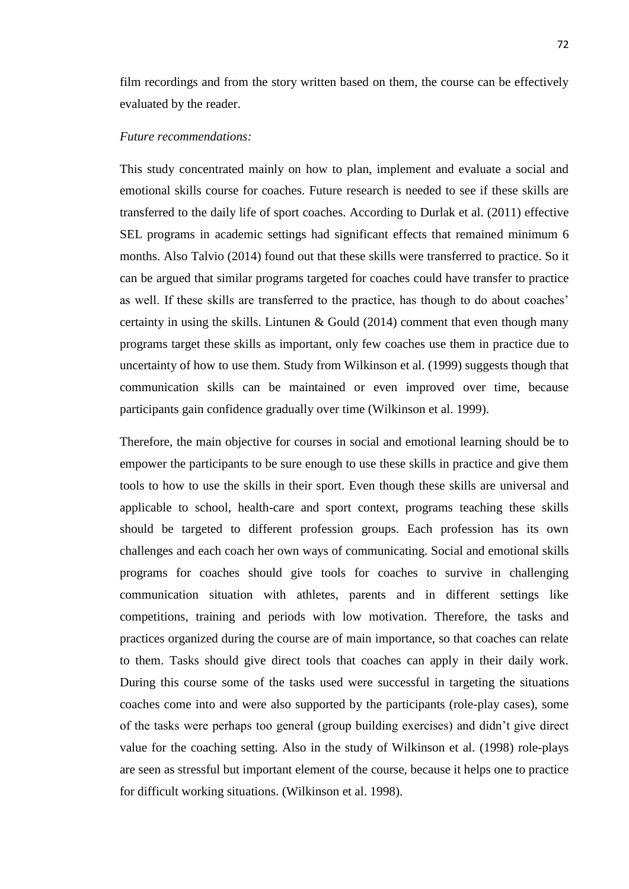film recordings and from the story written based on them, the course can be effectively evaluated by the reader.

#### *Future recommendations:*

This study concentrated mainly on how to plan, implement and evaluate a social and emotional skills course for coaches. Future research is needed to see if these skills are transferred to the daily life of sport coaches. According to Durlak et al. (2011) effective SEL programs in academic settings had significant effects that remained minimum 6 months. Also Talvio (2014) found out that these skills were transferred to practice. So it can be argued that similar programs targeted for coaches could have transfer to practice as well. If these skills are transferred to the practice, has though to do about coaches' certainty in using the skills. Lintunen & Gould (2014) comment that even though many programs target these skills as important, only few coaches use them in practice due to uncertainty of how to use them. Study from Wilkinson et al. (1999) suggests though that communication skills can be maintained or even improved over time, because participants gain confidence gradually over time (Wilkinson et al. 1999).

Therefore, the main objective for courses in social and emotional learning should be to empower the participants to be sure enough to use these skills in practice and give them tools to how to use the skills in their sport. Even though these skills are universal and applicable to school, health-care and sport context, programs teaching these skills should be targeted to different profession groups. Each profession has its own challenges and each coach her own ways of communicating. Social and emotional skills programs for coaches should give tools for coaches to survive in challenging communication situation with athletes, parents and in different settings like competitions, training and periods with low motivation. Therefore, the tasks and practices organized during the course are of main importance, so that coaches can relate to them. Tasks should give direct tools that coaches can apply in their daily work. During this course some of the tasks used were successful in targeting the situations coaches come into and were also supported by the participants (role-play cases), some of the tasks were perhaps too general (group building exercises) and didn't give direct value for the coaching setting. Also in the study of Wilkinson et al. (1998) role-plays are seen as stressful but important element of the course, because it helps one to practice for difficult working situations. (Wilkinson et al. 1998).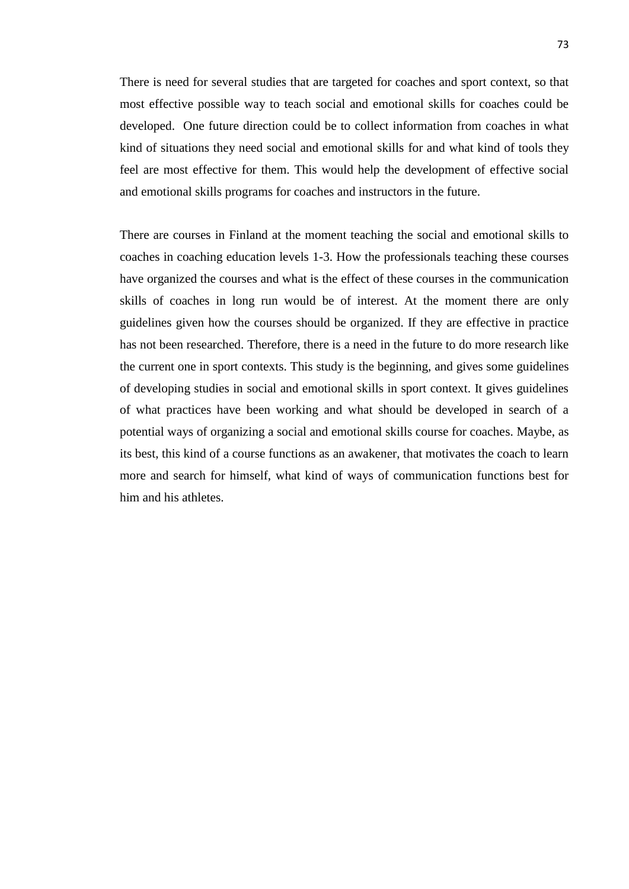There is need for several studies that are targeted for coaches and sport context, so that most effective possible way to teach social and emotional skills for coaches could be developed. One future direction could be to collect information from coaches in what kind of situations they need social and emotional skills for and what kind of tools they feel are most effective for them. This would help the development of effective social and emotional skills programs for coaches and instructors in the future.

There are courses in Finland at the moment teaching the social and emotional skills to coaches in coaching education levels 1-3. How the professionals teaching these courses have organized the courses and what is the effect of these courses in the communication skills of coaches in long run would be of interest. At the moment there are only guidelines given how the courses should be organized. If they are effective in practice has not been researched. Therefore, there is a need in the future to do more research like the current one in sport contexts. This study is the beginning, and gives some guidelines of developing studies in social and emotional skills in sport context. It gives guidelines of what practices have been working and what should be developed in search of a potential ways of organizing a social and emotional skills course for coaches. Maybe, as its best, this kind of a course functions as an awakener, that motivates the coach to learn more and search for himself, what kind of ways of communication functions best for him and his athletes.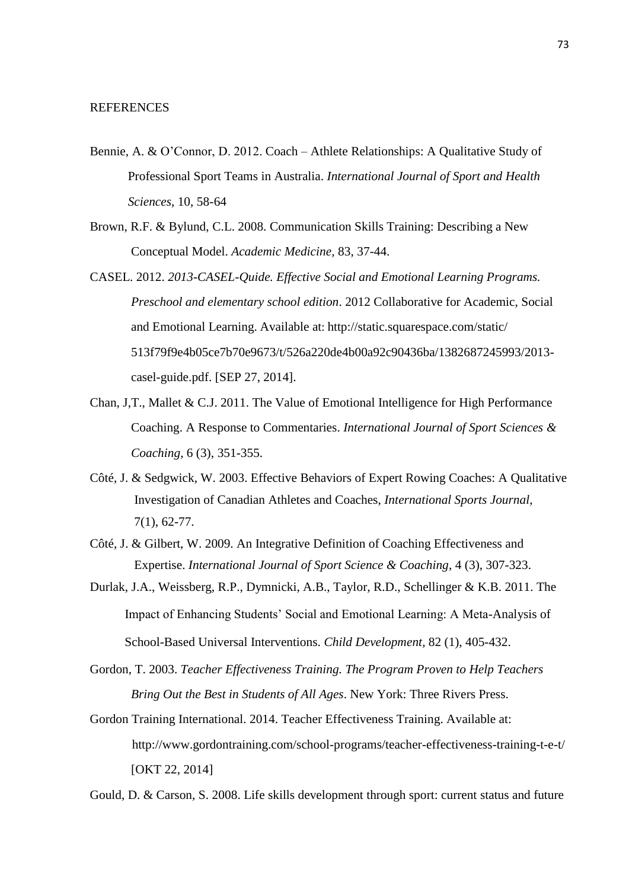#### REFERENCES

- Bennie, A. & O'Connor, D. 2012. Coach Athlete Relationships: A Qualitative Study of Professional Sport Teams in Australia. *International Journal of Sport and Health Sciences*, 10, 58-64
- Brown, R.F. & Bylund, C.L. 2008. Communication Skills Training: Describing a New Conceptual Model. *Academic Medicine,* 83, 37-44.
- CASEL. 2012. *2013-CASEL-Quide. Effective Social and Emotional Learning Programs. Preschool and elementary school edition*. 2012 Collaborative for Academic, Social and Emotional Learning. Available at: <http://static.squarespace.com/static/> 513f79f9e4b05ce7b70e9673/t/526a220de4b00a92c90436ba/1382687245993/2013 casel-guide.pdf. [SEP 27, 2014].
- Chan, J,T., Mallet & C.J. 2011. The Value of Emotional Intelligence for High Performance Coaching. A Response to Commentaries. *International Journal of Sport Sciences & Coaching,* 6 (3), 351-355.
- Côté, J. & Sedgwick, W. 2003. Effective Behaviors of Expert Rowing Coaches: A Qualitative Investigation of Canadian Athletes and Coaches, *International Sports Journal*, 7(1), 62-77.
- Côté, J. & Gilbert, W. 2009. An Integrative Definition of Coaching Effectiveness and Expertise. *International Journal of Sport Science & Coaching*, 4 (3), 307-323.
- Durlak, J.A., Weissberg, R.P., Dymnicki, A.B., Taylor, R.D., Schellinger & K.B. 2011. The Impact of Enhancing Students' Social and Emotional Learning: A Meta-Analysis of School-Based Universal Interventions. *Child Development*, 82 (1), 405-432.
- Gordon, T. 2003. *Teacher Effectiveness Training. The Program Proven to Help Teachers Bring Out the Best in Students of All Ages*. New York: Three Rivers Press.
- Gordon Training International. 2014. Teacher Effectiveness Training. Available at: [http://www.gordontraining.com/school-p](http://www.gordontraining.com/school-programs/teacher-effectiveness-training-t-e-t/)rograms/teacher-effectiveness-training-t-e-t/ [OKT 22, 2014]

Gould, D. & Carson, S. 2008. Life skills development through sport: current status and future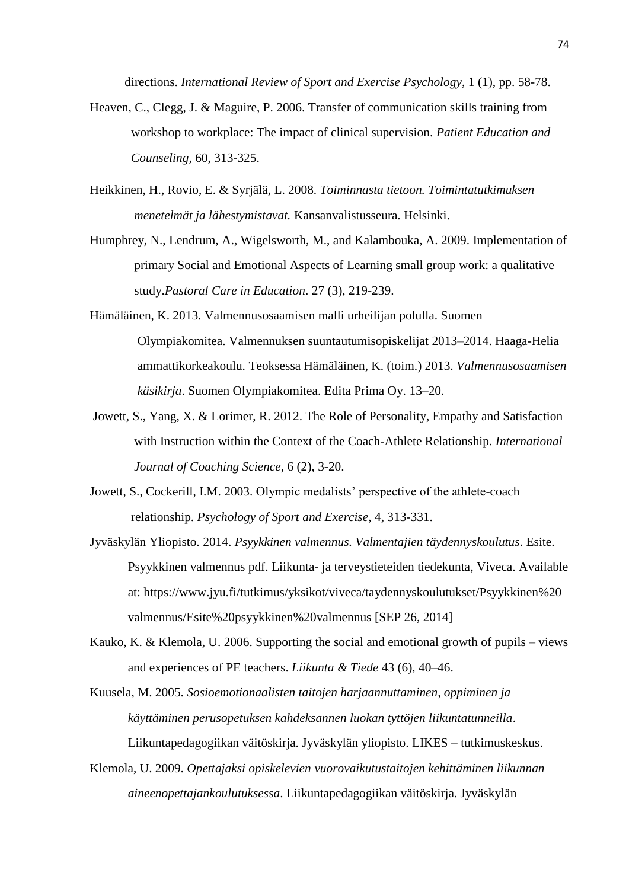directions. *International Review of Sport and Exercise Psychology*, 1 (1), pp. 58-78.

- Heaven, C., Clegg, J. & Maguire, P. 2006. Transfer of communication skills training from workshop to workplace: The impact of clinical supervision. *Patient Education and Counseling,* 60, 313-325.
- Heikkinen, H., Rovio, E. & Syrjälä, L. 2008. *Toiminnasta tietoon. Toimintatutkimuksen menetelmät ja lähestymistavat.* Kansanvalistusseura. Helsinki.
- Humphrey, N., Lendrum, A., Wigelsworth, M., and Kalambouka, A. 2009. Implementation of primary Social and Emotional Aspects of Learning small group work: a qualitative study.*Pastoral Care in Education*. 27 (3), 219-239.
- Hämäläinen, K. 2013. Valmennusosaamisen malli urheilijan polulla. Suomen Olympiakomitea. Valmennuksen suuntautumisopiskelijat 2013–2014. Haaga-Helia ammattikorkeakoulu. Teoksessa Hämäläinen, K. (toim.) 2013. *Valmennusosaamisen käsikirja*. Suomen Olympiakomitea. Edita Prima Oy. 13–20.
- Jowett, S., Yang, X. & Lorimer, R. 2012. The Role of Personality, Empathy and Satisfaction with Instruction within the Context of the Coach-Athlete Relationship. *International Journal of Coaching Science,* 6 (2), 3-20.
- Jowett, S., Cockerill, I.M. 2003. Olympic medalists' perspective of the athlete-coach relationship. *Psychology of Sport and Exercise*, 4, 313-331.
- Jyväskylän Yliopisto. 2014. *Psyykkinen valmennus. Valmentajien täydennyskoulutus*. Esite. Psyykkinen valmennus pdf. Liikunta- ja terveystieteiden tiedekunta, Viveca. Available at: [https://www.jyu.fi/tutkimus/yksikot/viveca/taydennyskoulutukset/Psyykkinen%20](https://www.jyu.fi/tutkimus/yksikot/viveca/taydennyskoulutukset/Psyykkinen) valmennus/Esite%20psyykkinen%20valmennus [SEP 26, 2014]
- Kauko, K. & Klemola, U. 2006. Supporting the social and emotional growth of pupils views and experiences of PE teachers. *Liikunta & Tiede* 43 (6), 40–46.
- Kuusela, M. 2005. *Sosioemotionaalisten taitojen harjaannuttaminen, oppiminen ja käyttäminen perusopetuksen kahdeksannen luokan tyttöjen liikuntatunneilla*. Liikuntapedagogiikan väitöskirja. Jyväskylän yliopisto. LIKES – tutkimuskeskus.
- Klemola, U. 2009. *Opettajaksi opiskelevien vuorovaikutustaitojen kehittäminen liikunnan aineenopettajankoulutuksessa*. Liikuntapedagogiikan väitöskirja. Jyväskylän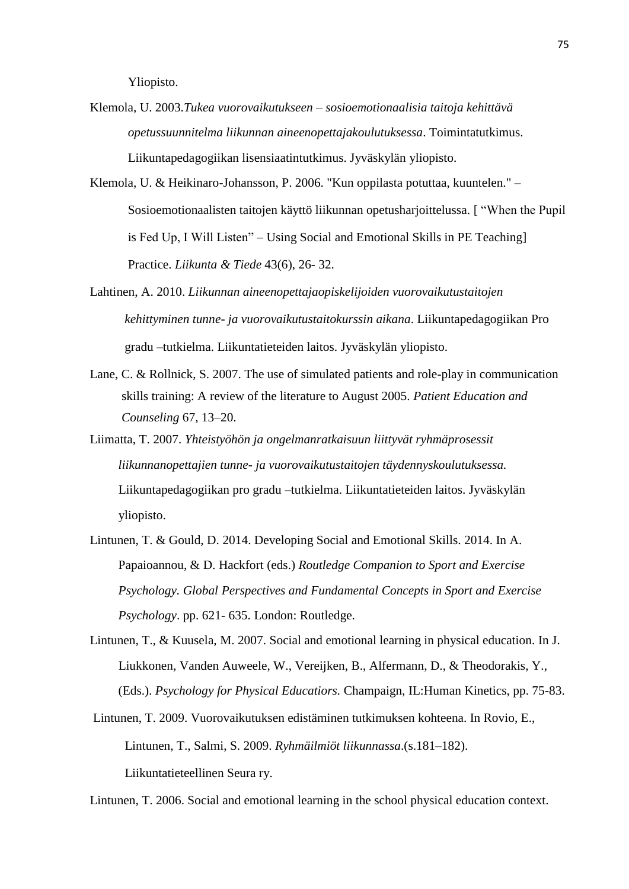Yliopisto.

- Klemola, U. 2003.*Tukea vuorovaikutukseen – sosioemotionaalisia taitoja kehittävä opetussuunnitelma liikunnan aineenopettajakoulutuksessa*. Toimintatutkimus. Liikuntapedagogiikan lisensiaatintutkimus. Jyväskylän yliopisto.
- Klemola, U. & Heikinaro-Johansson, P. 2006. "Kun oppilasta potuttaa, kuuntelen." Sosioemotionaalisten taitojen käyttö liikunnan opetusharjoittelussa. [ "When the Pupil is Fed Up, I Will Listen" – Using Social and Emotional Skills in PE Teaching] Practice. *Liikunta & Tiede* 43(6), 26- 32.
- Lahtinen, A. 2010. *Liikunnan aineenopettajaopiskelijoiden vuorovaikutustaitojen kehittyminen tunne- ja vuorovaikutustaitokurssin aikana*. Liikuntapedagogiikan Pro gradu –tutkielma. Liikuntatieteiden laitos. Jyväskylän yliopisto.
- Lane, C. & Rollnick, S. 2007. The use of simulated patients and role-play in communication skills training: A review of the literature to August 2005. *Patient Education and Counseling* 67, 13–20.
- Liimatta, T. 2007. *Yhteistyöhön ja ongelmanratkaisuun liittyvät ryhmäprosessit liikunnanopettajien tunne- ja vuorovaikutustaitojen täydennyskoulutuksessa.*  Liikuntapedagogiikan pro gradu –tutkielma. Liikuntatieteiden laitos. Jyväskylän yliopisto.
- Lintunen, T. & Gould, D. 2014. Developing Social and Emotional Skills. 2014. In A. Papaioannou, & D. Hackfort (eds.) *Routledge Companion to Sport and Exercise Psychology. Global Perspectives and Fundamental Concepts in Sport and Exercise Psychology*. pp. 621- 635. London: Routledge.
- Lintunen, T., & Kuusela, M. 2007. Social and emotional learning in physical education. In J. Liukkonen, Vanden Auweele, W., Vereijken, B., Alfermann, D., & Theodorakis, Y., (Eds.). *Psychology for Physical Educatiors.* Champaign, IL:Human Kinetics, pp. 75-83.
- Lintunen, T. 2009. Vuorovaikutuksen edistäminen tutkimuksen kohteena. In Rovio, E., Lintunen, T., Salmi, S. 2009. *Ryhmäilmiöt liikunnassa*.(s.181–182). Liikuntatieteellinen Seura ry.

Lintunen, T. 2006. Social and emotional learning in the school physical education context.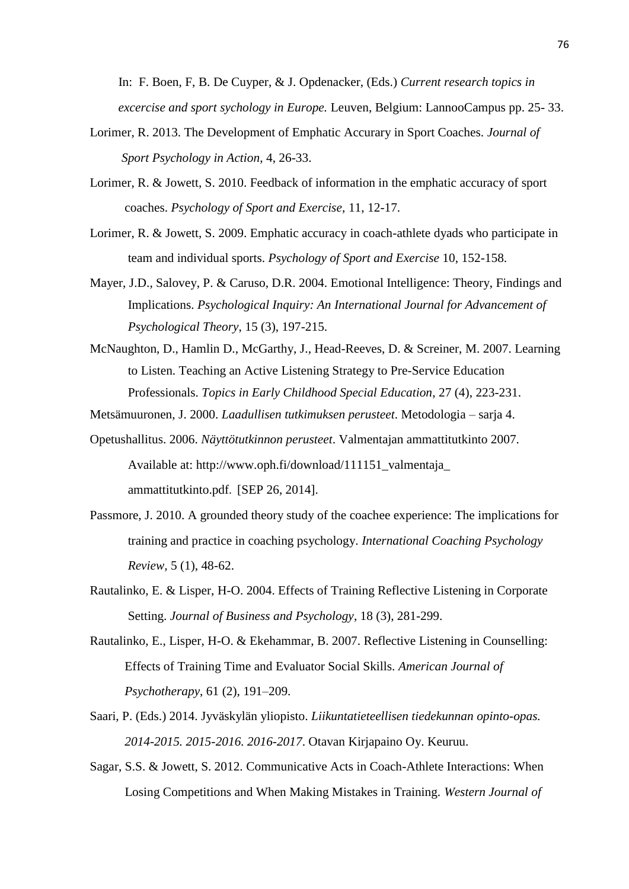In: F. Boen, F, B. De Cuyper, & J. Opdenacker, (Eds.) *Current research topics in excercise and sport sychology in Europe.* Leuven, Belgium: LannooCampus pp. 25- 33.

- Lorimer, R. 2013. The Development of Emphatic Accurary in Sport Coaches. *Journal of Sport Psychology in Action*, 4, 26-33.
- Lorimer, R. & Jowett, S. 2010. Feedback of information in the emphatic accuracy of sport coaches. *Psychology of Sport and Exercise*, 11, 12-17.
- Lorimer, R. & Jowett, S. 2009. Emphatic accuracy in coach-athlete dyads who participate in team and individual sports. *Psychology of Sport and Exercise* 10, 152-158.
- Mayer, J.D., Salovey, P. & Caruso, D.R. 2004. Emotional Intelligence: Theory, Findings and Implications. *Psychological Inquiry: An International Journal for Advancement of Psychological Theory*, 15 (3), 197-215.
- McNaughton, D., Hamlin D., McGarthy, J., Head-Reeves, D. & Screiner, M. 2007. Learning to Listen. Teaching an Active Listening Strategy to Pre-Service Education Professionals. *Topics in Early Childhood Special Education*, 27 (4), 223-231.
- Metsämuuronen, J. 2000. *Laadullisen tutkimuksen perusteet*. Metodologia sarja 4.
- Opetushallitus. 2006. *Näyttötutkinnon perusteet*. Valmentajan ammattitutkinto 2007. Available at: http://www.oph.fi/download/111151\_valmentaja [ammattitutkinto.pdf](http://www.oph.fi/download/111151_valmentaja_ammattitutkinto.pdf). [SEP 26, 2014].
- Passmore, J. 2010. A grounded theory study of the coachee experience: The implications for training and practice in coaching psychology. *International Coaching Psychology Review,* 5 (1), 48-62.
- Rautalinko, E. & Lisper, H-O. 2004. Effects of Training Reflective Listening in Corporate Setting. *Journal of Business and Psychology*, 18 (3), 281-299.
- Rautalinko, E., Lisper, H-O. & Ekehammar, B. 2007. Reflective Listening in Counselling: Effects of Training Time and Evaluator Social Skills. *American Journal of Psychotherapy*, 61 (2), 191–209.
- Saari, P. (Eds.) 2014. Jyväskylän yliopisto. *Liikuntatieteellisen tiedekunnan opinto-opas. 2014-2015. 2015-2016. 2016-2017*. Otavan Kirjapaino Oy. Keuruu.
- Sagar, S.S. & Jowett, S. 2012. Communicative Acts in Coach-Athlete Interactions: When Losing Competitions and When Making Mistakes in Training. *Western Journal of*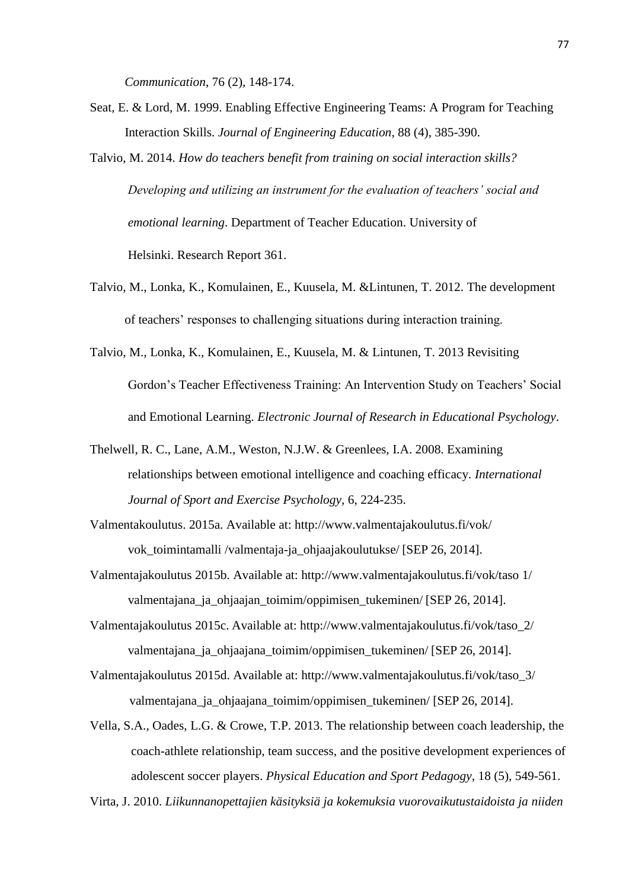*Communication*, 76 (2), 148-174.

- Seat, E. & Lord, M. 1999. Enabling Effective Engineering Teams: A Program for Teaching Interaction Skills. *Journal of Engineering Education*, 88 (4), 385-390.
- Talvio, M. 2014. *How do teachers benefit from training on social interaction skills? Developing and utilizing an instrument for the evaluation of teachers' social and emotional learning*. Department of Teacher Education. University of Helsinki. Research Report 361.
- Talvio, M., Lonka, K., Komulainen, E., Kuusela, M. &Lintunen, T. 2012. The development of teachers' responses to challenging situations during interaction training.
- Talvio, M., Lonka, K., Komulainen, E., Kuusela, M. & Lintunen, T. 2013 Revisiting Gordon's Teacher Effectiveness Training: An Intervention Study on Teachers' Social and Emotional Learning. *Electronic Journal of Research in Educational Psychology*.
- Thelwell, R. C., Lane, A.M., Weston, N.J.W. & Greenlees, I.A. 2008. Examining relationships between emotional intelligence and coaching efficacy. *International Journal of Sport and Exercise Psychology,* 6, 224-235.
- Valmentakoulutus. 2015a. Available at: [http://www.valmentajakoulutus.fi/vok/](http://www.valmentajakoulutus.fi/vok/%20vok_toimintamalli%20%20%20/valmentaja-ja_ohjaajakoulutukse/)  vok\_toimintamalli /valmentaja-ja\_ohjaajakoulutukse/ [SEP 26, 2014].
- Valmentajakoulutus 2015b. Available at: [http://www.valmentajakoulutus.fi/vok/taso 1/](http://www.valmentajakoulutus.fi/vok/taso%201/%20valmentajana_ja_ohjaajan_toimim/oppimisen_tukeminen/) valmentajana ja ohjaajan toimim/oppimisen tukeminen/ [SEP 26, 2014].
- Valmentajakoulutus 2015c. Available at: [http://www.valmentajakoulutus.fi/vok/taso\\_2/](http://www.valmentajakoulutus.fi/vok/taso_2/%20valmentajana_ja_ohjaajana_toimim/oppimisen_tukeminen/)  valmentajana\_ja\_ohjaajana\_toimim/oppimisen\_tukeminen/ [SEP 26, 2014].
- Valmentajakoulutus 2015d. Available at: [http://www.valmentajakoulutus.fi/vok/taso\\_3/](http://www.valmentajakoulutus.fi/vok/taso_3/)  valmentajana ja ohjaajana toimim/oppimisen tukeminen/ [SEP 26, 2014].
- Vella, S.A., Oades, L.G. & Crowe, T.P. 2013. The relationship between coach leadership, the coach-athlete relationship, team success, and the positive development experiences of adolescent soccer players. *Physical Education and Sport Pedagogy,* 18 (5), 549-561.

Virta, J. 2010. *Liikunnanopettajien käsityksiä ja kokemuksia vuorovaikutustaidoista ja niiden*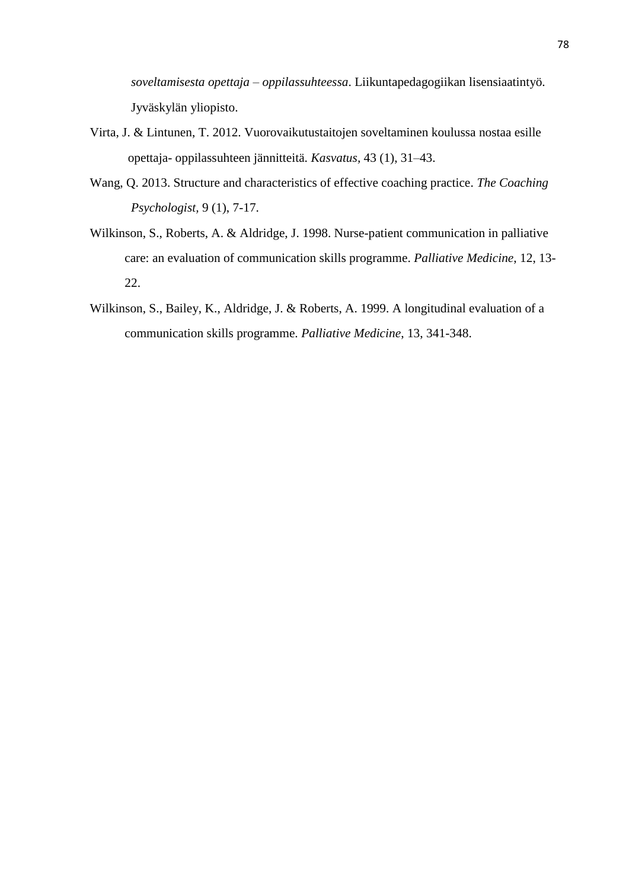*soveltamisesta opettaja – oppilassuhteessa*. Liikuntapedagogiikan lisensiaatintyö. Jyväskylän yliopisto.

- Virta, J. & Lintunen, T. 2012. Vuorovaikutustaitojen soveltaminen koulussa nostaa esille opettaja- oppilassuhteen jännitteitä. *Kasvatus,* 43 (1), 31–43.
- Wang, Q. 2013. Structure and characteristics of effective coaching practice. *The Coaching Psychologist,* 9 (1), 7-17.
- Wilkinson, S., Roberts, A. & Aldridge, J. 1998. Nurse-patient communication in palliative care: an evaluation of communication skills programme. *Palliative Medicine*, 12, 13- 22.
- Wilkinson, S., Bailey, K., Aldridge, J. & Roberts, A. 1999. A longitudinal evaluation of a communication skills programme. *Palliative Medicine*, 13, 341-348.